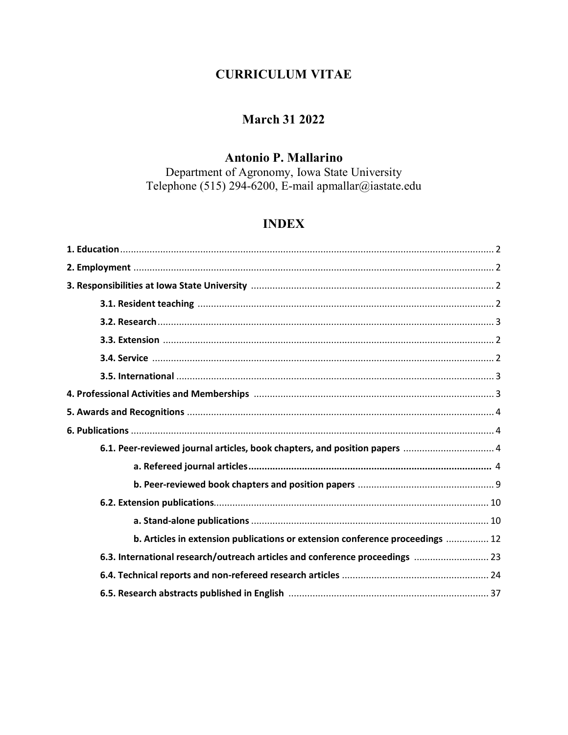# **CURRICULUM VITAE**

## **March 31 2022**

## **Antonio P. Mallarino**

Department of Agronomy, Iowa State University Telephone (515) 294-6200, E-mail apmallar@iastate.edu

# **INDEX**

| 6.1. Peer-reviewed journal articles, book chapters, and position papers  4    |  |
|-------------------------------------------------------------------------------|--|
|                                                                               |  |
|                                                                               |  |
|                                                                               |  |
|                                                                               |  |
| b. Articles in extension publications or extension conference proceedings  12 |  |
| 6.3. International research/outreach articles and conference proceedings  23  |  |
|                                                                               |  |
|                                                                               |  |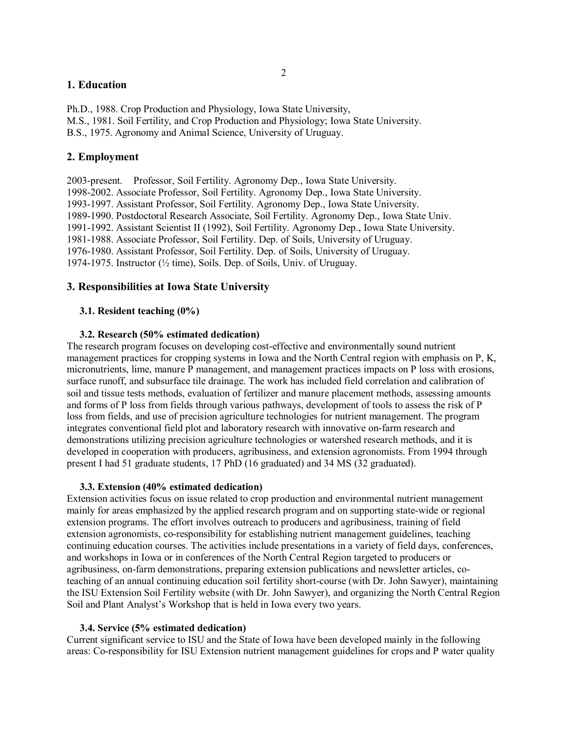#### **1. Education**

Ph.D., 1988. Crop Production and Physiology, Iowa State University, M.S., 1981. Soil Fertility, and Crop Production and Physiology; Iowa State University. B.S., 1975. Agronomy and Animal Science, University of Uruguay.

#### **2. Employment**

2003-present. Professor, Soil Fertility. Agronomy Dep., Iowa State University. 1998-2002. Associate Professor, Soil Fertility. Agronomy Dep., Iowa State University. 1993-1997. Assistant Professor, Soil Fertility. Agronomy Dep., Iowa State University. 1989-1990. Postdoctoral Research Associate, Soil Fertility. Agronomy Dep., Iowa State Univ. 1991-1992. Assistant Scientist II (1992), Soil Fertility. Agronomy Dep., Iowa State University. 1981-1988. Associate Professor, Soil Fertility. Dep. of Soils, University of Uruguay. 1976-1980. Assistant Professor, Soil Fertility. Dep. of Soils, University of Uruguay. 1974-1975. Instructor (½ time), Soils. Dep. of Soils, Univ. of Uruguay.

#### **3. Responsibilities at Iowa State University**

#### **3.1. Resident teaching (0%)**

#### **3.2. Research (50% estimated dedication)**

The research program focuses on developing cost-effective and environmentally sound nutrient management practices for cropping systems in Iowa and the North Central region with emphasis on P, K, micronutrients, lime, manure P management, and management practices impacts on P loss with erosions, surface runoff, and subsurface tile drainage. The work has included field correlation and calibration of soil and tissue tests methods, evaluation of fertilizer and manure placement methods, assessing amounts and forms of P loss from fields through various pathways, development of tools to assess the risk of P loss from fields, and use of precision agriculture technologies for nutrient management. The program integrates conventional field plot and laboratory research with innovative on-farm research and demonstrations utilizing precision agriculture technologies or watershed research methods, and it is developed in cooperation with producers, agribusiness, and extension agronomists. From 1994 through present I had 51 graduate students, 17 PhD (16 graduated) and 34 MS (32 graduated).

#### **3.3. Extension (40% estimated dedication)**

Extension activities focus on issue related to crop production and environmental nutrient management mainly for areas emphasized by the applied research program and on supporting state-wide or regional extension programs. The effort involves outreach to producers and agribusiness, training of field extension agronomists, co-responsibility for establishing nutrient management guidelines, teaching continuing education courses. The activities include presentations in a variety of field days, conferences, and workshops in Iowa or in conferences of the North Central Region targeted to producers or agribusiness, on-farm demonstrations, preparing extension publications and newsletter articles, coteaching of an annual continuing education soil fertility short-course (with Dr. John Sawyer), maintaining the ISU Extension Soil Fertility website (with Dr. John Sawyer), and organizing the North Central Region Soil and Plant Analyst's Workshop that is held in Iowa every two years.

#### **3.4. Service (5% estimated dedication)**

Current significant service to ISU and the State of Iowa have been developed mainly in the following areas: Co-responsibility for ISU Extension nutrient management guidelines for crops and P water quality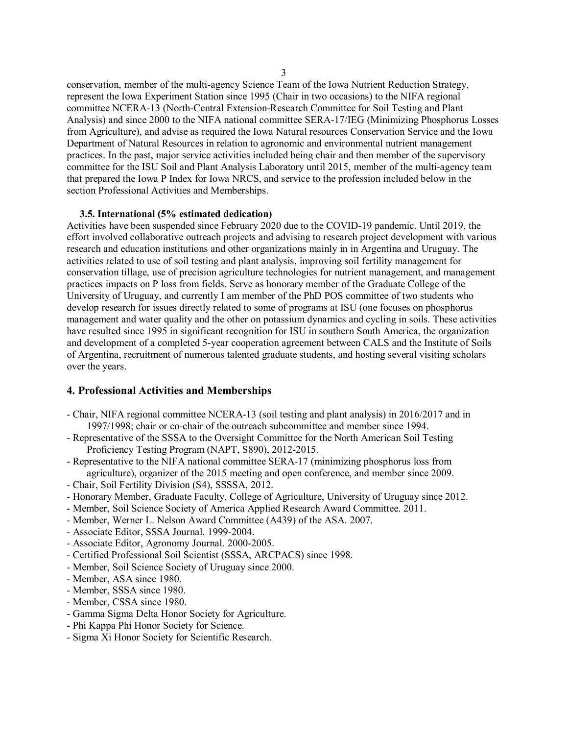conservation, member of the multi-agency Science Team of the Iowa Nutrient Reduction Strategy, represent the Iowa Experiment Station since 1995 (Chair in two occasions) to the NIFA regional committee NCERA-13 (North-Central Extension-Research Committee for Soil Testing and Plant Analysis) and since 2000 to the NIFA national committee SERA-17/IEG (Minimizing Phosphorus Losses from Agriculture), and advise as required the Iowa Natural resources Conservation Service and the Iowa Department of Natural Resources in relation to agronomic and environmental nutrient management practices. In the past, major service activities included being chair and then member of the supervisory committee for the ISU Soil and Plant Analysis Laboratory until 2015, member of the multi-agency team that prepared the Iowa P Index for Iowa NRCS, and service to the profession included below in the section Professional Activities and Memberships.

#### **3.5. International (5% estimated dedication)**

Activities have been suspended since February 2020 due to the COVID-19 pandemic. Until 2019, the effort involved collaborative outreach projects and advising to research project development with various research and education institutions and other organizations mainly in in Argentina and Uruguay. The activities related to use of soil testing and plant analysis, improving soil fertility management for conservation tillage, use of precision agriculture technologies for nutrient management, and management practices impacts on P loss from fields. Serve as honorary member of the Graduate College of the University of Uruguay, and currently I am member of the PhD POS committee of two students who develop research for issues directly related to some of programs at ISU (one focuses on phosphorus management and water quality and the other on potassium dynamics and cycling in soils. These activities have resulted since 1995 in significant recognition for ISU in southern South America, the organization and development of a completed 5-year cooperation agreement between CALS and the Institute of Soils of Argentina, recruitment of numerous talented graduate students, and hosting several visiting scholars over the years.

#### **4. Professional Activities and Memberships**

- Chair, NIFA regional committee NCERA-13 (soil testing and plant analysis) in 2016/2017 and in 1997/1998; chair or co-chair of the outreach subcommittee and member since 1994.
- Representative of the SSSA to the Oversight Committee for the North American Soil Testing Proficiency Testing Program (NAPT, S890), 2012-2015.
- Representative to the NIFA national committee SERA-17 (minimizing phosphorus loss from agriculture), organizer of the 2015 meeting and open conference, and member since 2009.
- Chair, Soil Fertility Division (S4), SSSSA, 2012.
- Honorary Member, Graduate Faculty, College of Agriculture, University of Uruguay since 2012.
- Member, Soil Science Society of America Applied Research Award Committee. 2011.
- Member, Werner L. Nelson Award Committee (A439) of the ASA. 2007.
- Associate Editor, SSSA Journal. 1999-2004.
- Associate Editor, Agronomy Journal. 2000-2005.
- Certified Professional Soil Scientist (SSSA, ARCPACS) since 1998.
- Member, Soil Science Society of Uruguay since 2000.
- Member, ASA since 1980.
- Member, SSSA since 1980.
- Member, CSSA since 1980.
- Gamma Sigma Delta Honor Society for Agriculture.
- Phi Kappa Phi Honor Society for Science.
- Sigma Xi Honor Society for Scientific Research.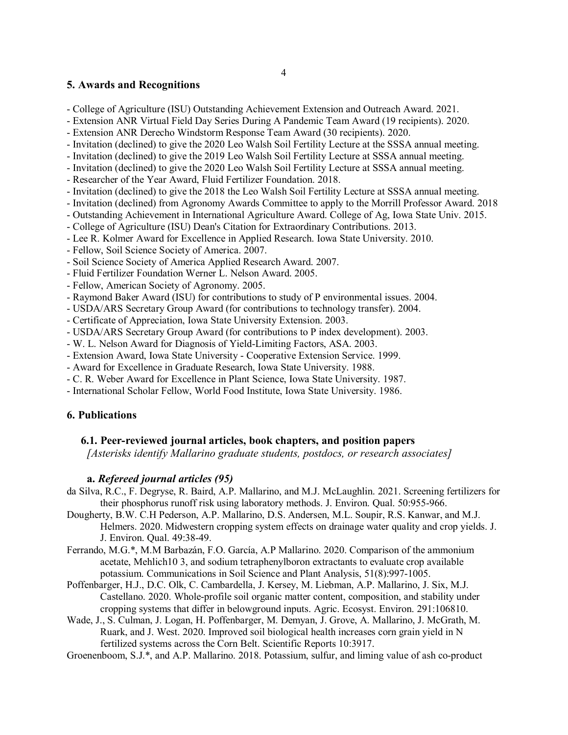#### **5. Awards and Recognitions**

- College of Agriculture (ISU) Outstanding Achievement Extension and Outreach Award. 2021.

- Extension ANR Virtual Field Day Series During A Pandemic Team Award (19 recipients). 2020.
- Extension ANR Derecho Windstorm Response Team Award (30 recipients). 2020.
- Invitation (declined) to give the 2020 Leo Walsh Soil Fertility Lecture at the SSSA annual meeting.
- Invitation (declined) to give the 2019 Leo Walsh Soil Fertility Lecture at SSSA annual meeting.
- Invitation (declined) to give the 2020 Leo Walsh Soil Fertility Lecture at SSSA annual meeting.
- Researcher of the Year Award, Fluid Fertilizer Foundation. 2018.
- Invitation (declined) to give the 2018 the Leo Walsh Soil Fertility Lecture at SSSA annual meeting.
- Invitation (declined) from Agronomy Awards Committee to apply to the Morrill Professor Award. 2018
- Outstanding Achievement in International Agriculture Award. College of Ag, Iowa State Univ. 2015.
- College of Agriculture (ISU) Dean's Citation for Extraordinary Contributions. 2013.
- Lee R. Kolmer Award for Excellence in Applied Research. Iowa State University. 2010.
- Fellow, Soil Science Society of America. 2007.
- Soil Science Society of America Applied Research Award. 2007.
- Fluid Fertilizer Foundation Werner L. Nelson Award. 2005.
- Fellow, American Society of Agronomy. 2005.
- Raymond Baker Award (ISU) for contributions to study of P environmental issues. 2004.
- USDA/ARS Secretary Group Award (for contributions to technology transfer). 2004.
- Certificate of Appreciation, Iowa State University Extension. 2003.
- USDA/ARS Secretary Group Award (for contributions to P index development). 2003.
- W. L. Nelson Award for Diagnosis of Yield-Limiting Factors, ASA. 2003.
- Extension Award, Iowa State University Cooperative Extension Service. 1999.
- Award for Excellence in Graduate Research, Iowa State University. 1988.
- C. R. Weber Award for Excellence in Plant Science, Iowa State University. 1987.
- International Scholar Fellow, World Food Institute, Iowa State University. 1986.

### **6. Publications**

### **6.1. Peer-reviewed journal articles, book chapters, and position papers**

*[Asterisks identify Mallarino graduate students, postdocs, or research associates]*

### **a.** *Refereed journal articles (95)*

- da Silva, R.C., F. Degryse, R. Baird, A.P. Mallarino, and M.J. McLaughlin. 2021. Screening fertilizers for their phosphorus runoff risk using laboratory methods. J. Environ. Qual. 50:955-966.
- Dougherty, B.W. C.H Pederson, A.P. Mallarino, D.S. Andersen, M.L. Soupir, R.S. Kanwar, and M.J. Helmers. 2020. Midwestern cropping system effects on drainage water quality and crop yields. J. J. Environ. Qual. 49:38-49.
- Ferrando, M.G.\*, M.M Barbazán, F.O. García, A.P Mallarino. 2020. Comparison of the ammonium acetate, Mehlich10 3, and sodium tetraphenylboron extractants to evaluate crop available potassium. Communications in Soil Science and Plant Analysis, 51(8):997-1005.
- Poffenbarger, H.J., D.C. Olk, C. Cambardella, J. Kersey, M. Liebman, A.P. Mallarino, J. Six, M.J. Castellano. 2020. Whole-profile soil organic matter content, composition, and stability under cropping systems that differ in belowground inputs. Agric. Ecosyst. Environ. 291:106810.
- Wade, J., S. Culman, J. Logan, H. Poffenbarger, M. Demyan, J. Grove, A. Mallarino, J. McGrath, M. Ruark, and J. West. 2020. Improved soil biological health increases corn grain yield in N fertilized systems across the Corn Belt. Scientific Reports 10:3917.

Groenenboom, S.J.\*, and A.P. Mallarino. 2018. Potassium, sulfur, and liming value of ash co-product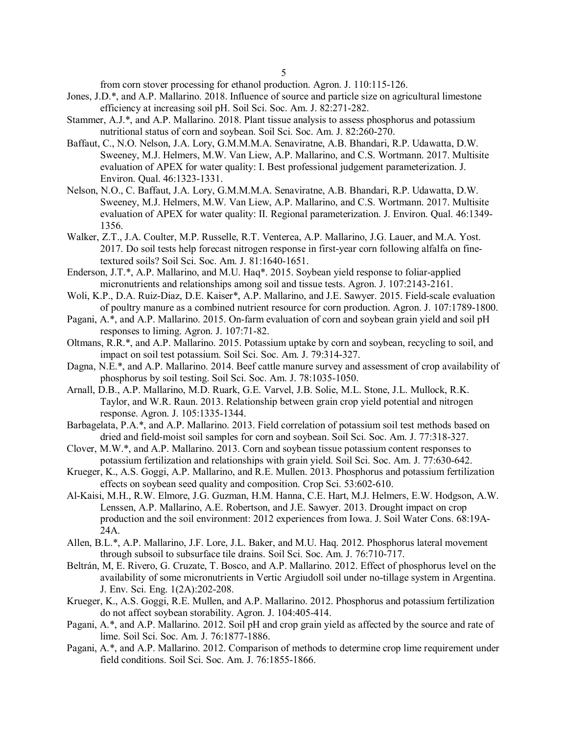from corn stover processing for ethanol production. Agron. J. 110:115-126.

- Jones, J.D.\*, and A.P. Mallarino. 2018. Influence of source and particle size on agricultural limestone efficiency at increasing soil pH. Soil Sci. Soc. Am. J. 82:271-282.
- Stammer, A.J.\*, and A.P. Mallarino. 2018. Plant tissue analysis to assess phosphorus and potassium nutritional status of corn and soybean. Soil Sci. Soc. Am. J. 82:260-270.
- Baffaut, C., N.O. Nelson, J.A. Lory, G.M.M.M.A. Senaviratne, A.B. Bhandari, R.P. Udawatta, D.W. Sweeney, M.J. Helmers, M.W. Van Liew, A.P. Mallarino, and C.S. Wortmann. 2017. Multisite evaluation of APEX for water quality: I. Best professional judgement parameterization. J. Environ. Qual. 46:1323-1331.
- Nelson, N.O., C. Baffaut, J.A. Lory, G.M.M.M.A. Senaviratne, A.B. Bhandari, R.P. Udawatta, D.W. Sweeney, M.J. Helmers, M.W. Van Liew, A.P. Mallarino, and C.S. Wortmann. 2017. Multisite evaluation of APEX for water quality: II. Regional parameterization. J. Environ. Qual. 46:1349- 1356.
- Walker, Z.T., J.A. Coulter, M.P. Russelle, R.T. Venterea, A.P. Mallarino, J.G. Lauer, and M.A. Yost. 2017. Do soil tests help forecast nitrogen response in first-year corn following alfalfa on finetextured soils? Soil Sci. Soc. Am. J. 81:1640-1651.
- Enderson, J.T.\*, A.P. Mallarino, and M.U. Haq\*. 2015. Soybean yield response to foliar-applied micronutrients and relationships among soil and tissue tests. Agron. J. 107:2143-2161.
- Woli, K.P., D.A. Ruiz-Diaz, D.E. Kaiser\*, A.P. Mallarino, and J.E. Sawyer. 2015. Field-scale evaluation of poultry manure as a combined nutrient resource for corn production. Agron. J. 107:1789-1800.
- Pagani, A.\*, and A.P. Mallarino. 2015. On-farm evaluation of corn and soybean grain yield and soil pH responses to liming. Agron. J. 107:71-82.
- Oltmans, R.R.\*, and A.P. Mallarino. 2015. Potassium uptake by corn and soybean, recycling to soil, and impact on soil test potassium. Soil Sci. Soc. Am. J. 79:314-327.
- Dagna, N.E.\*, and A.P. Mallarino. 2014. Beef cattle manure survey and assessment of crop availability of phosphorus by soil testing. Soil Sci. Soc. Am. J. 78:1035-1050.
- Arnall, D.B., A.P. Mallarino, M.D. Ruark, G.E. Varvel, J.B. Solie, M.L. Stone, J.L. Mullock, R.K. Taylor, and W.R. Raun. 2013. Relationship between grain crop yield potential and nitrogen response. Agron. J. 105:1335-1344.
- Barbagelata, P.A.\*, and A.P. Mallarino. 2013. Field correlation of potassium soil test methods based on dried and field-moist soil samples for corn and soybean. Soil Sci. Soc. Am. J. 77:318-327.
- Clover, M.W.\*, and A.P. Mallarino. 2013. Corn and soybean tissue potassium content responses to potassium fertilization and relationships with grain yield. Soil Sci. Soc. Am. J. 77:630-642.
- Krueger, K., A.S. Goggi, A.P. Mallarino, and R.E. Mullen. 2013. Phosphorus and potassium fertilization effects on soybean seed quality and composition. Crop Sci. 53:602-610.
- Al-Kaisi, M.H., R.W. Elmore, J.G. Guzman, H.M. Hanna, C.E. Hart, M.J. Helmers, E.W. Hodgson, A.W. Lenssen, A.P. Mallarino, A.E. Robertson, and J.E. Sawyer. 2013. Drought impact on crop production and the soil environment: 2012 experiences from Iowa. J. Soil Water Cons. 68:19A-24A.
- Allen, B.L.\*, A.P. Mallarino, J.F. Lore, J.L. Baker, and M.U. Haq. 2012. Phosphorus lateral movement through subsoil to subsurface tile drains. Soil Sci. Soc. Am. J. 76:710-717.
- Beltrán, M, E. Rivero, G. Cruzate, T. Bosco, and A.P. Mallarino. 2012. Effect of phosphorus level on the availability of some micronutrients in Vertic Argiudoll soil under no-tillage system in Argentina. J. Env. Sci. Eng. 1(2A):202-208.
- Krueger, K., A.S. Goggi, R.E. Mullen, and A.P. Mallarino. 2012. Phosphorus and potassium fertilization do not affect soybean storability. Agron. J. 104:405-414.
- Pagani, A.\*, and A.P. Mallarino. 2012. Soil pH and crop grain yield as affected by the source and rate of lime. Soil Sci. Soc. Am. J. 76:1877-1886.
- Pagani, A.\*, and A.P. Mallarino. 2012. Comparison of methods to determine crop lime requirement under field conditions. Soil Sci. Soc. Am. J. 76:1855-1866.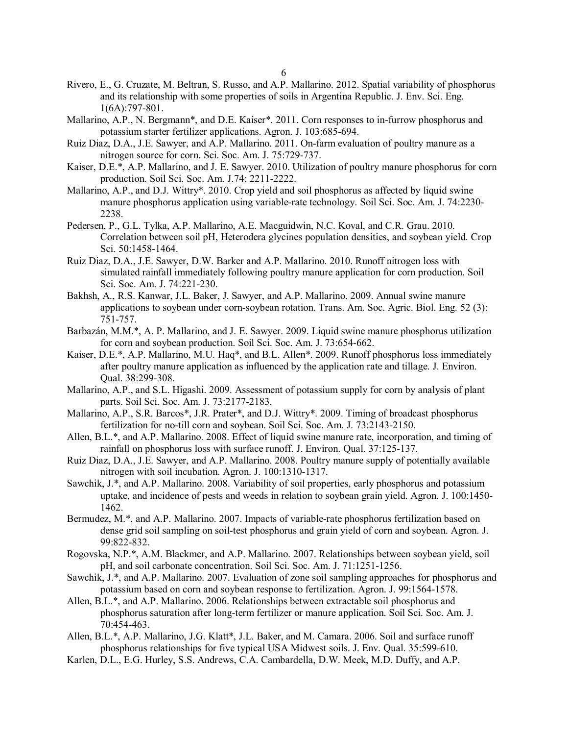- Rivero, E., G. Cruzate, M. Beltran, S. Russo, and A.P. Mallarino. 2012. Spatial variability of phosphorus and its relationship with some properties of soils in Argentina Republic. J. Env. Sci. Eng. 1(6A):797-801.
- Mallarino, A.P., N. Bergmann\*, and D.E. Kaiser\*. 2011. Corn responses to in-furrow phosphorus and potassium starter fertilizer applications. Agron. J. 103:685-694.
- Ruiz Diaz, D.A., J.E. Sawyer, and A.P. Mallarino. 2011. On-farm evaluation of poultry manure as a nitrogen source for corn. Sci. Soc. Am. J. 75:729-737.
- Kaiser, D.E.\*, A.P. Mallarino, and J. E. Sawyer. 2010. Utilization of poultry manure phosphorus for corn production. Soil Sci. Soc. Am. J.74: 2211-2222.
- Mallarino, A.P., and D.J. Wittry\*. 2010. Crop yield and soil phosphorus as affected by liquid swine manure phosphorus application using variable-rate technology. Soil Sci. Soc. Am. J. 74:2230- 2238.
- Pedersen, P., G.L. Tylka, A.P. Mallarino, A.E. Macguidwin, N.C. Koval, and C.R. Grau. 2010. Correlation between soil pH, Heterodera glycines population densities, and soybean yield. Crop Sci. 50:1458-1464.
- Ruiz Diaz, D.A., J.E. Sawyer, D.W. Barker and A.P. Mallarino. 2010. Runoff nitrogen loss with simulated rainfall immediately following poultry manure application for corn production. Soil Sci. Soc. Am. J. 74:221-230.
- Bakhsh, A., R.S. Kanwar, J.L. Baker, J. Sawyer, and A.P. Mallarino. 2009. Annual swine manure applications to soybean under corn-soybean rotation. Trans. Am. Soc. Agric. Biol. Eng. 52 (3): 751-757.
- Barbazán, M.M.\*, A. P. Mallarino, and J. E. Sawyer. 2009. Liquid swine manure phosphorus utilization for corn and soybean production. Soil Sci. Soc. Am. J. 73:654-662.
- Kaiser, D.E.\*, A.P. Mallarino, M.U. Haq\*, and B.L. Allen\*. 2009. Runoff phosphorus loss immediately after poultry manure application as influenced by the application rate and tillage. J. Environ. Qual. 38:299-308.
- Mallarino, A.P., and S.L. Higashi. 2009. Assessment of potassium supply for corn by analysis of plant parts. Soil Sci. Soc. Am. J. 73:2177-2183.
- Mallarino, A.P., S.R. Barcos\*, J.R. Prater\*, and D.J. Wittry\*. 2009. Timing of broadcast phosphorus fertilization for no-till corn and soybean. Soil Sci. Soc. Am. J. 73:2143-2150.
- Allen, B.L.\*, and A.P. Mallarino. 2008. Effect of liquid swine manure rate, incorporation, and timing of rainfall on phosphorus loss with surface runoff. J. Environ. Qual. 37:125-137.
- Ruiz Diaz, D.A., J.E. Sawyer, and A.P. Mallarino. 2008. Poultry manure supply of potentially available nitrogen with soil incubation. Agron. J. 100:1310-1317.
- Sawchik, J.\*, and A.P. Mallarino. 2008. Variability of soil properties, early phosphorus and potassium uptake, and incidence of pests and weeds in relation to soybean grain yield. Agron. J. 100:1450- 1462.
- Bermudez, M.\*, and A.P. Mallarino. 2007. Impacts of variable-rate phosphorus fertilization based on dense grid soil sampling on soil-test phosphorus and grain yield of corn and soybean. Agron. J. 99:822-832.
- Rogovska, N.P.\*, A.M. Blackmer, and A.P. Mallarino. 2007. Relationships between soybean yield, soil pH, and soil carbonate concentration. Soil Sci. Soc. Am. J. 71:1251-1256.
- Sawchik, J.\*, and A.P. Mallarino. 2007. Evaluation of zone soil sampling approaches for phosphorus and potassium based on corn and soybean response to fertilization. Agron. J. 99:1564-1578.
- Allen, B.L.\*, and A.P. Mallarino. 2006. Relationships between extractable soil phosphorus and phosphorus saturation after long-term fertilizer or manure application. Soil Sci. Soc. Am. J. 70:454-463.
- Allen, B.L.\*, A.P. Mallarino, J.G. Klatt\*, J.L. Baker, and M. Camara. 2006. Soil and surface runoff phosphorus relationships for five typical USA Midwest soils. J. Env. Qual. 35:599-610.
- Karlen, D.L., E.G. Hurley, S.S. Andrews, C.A. Cambardella, D.W. Meek, M.D. Duffy, and A.P.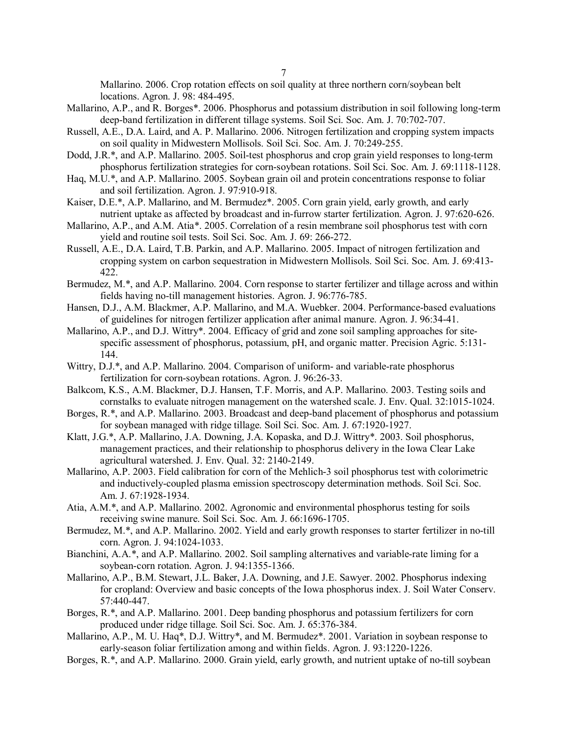Mallarino. 2006. Crop rotation effects on soil quality at three northern corn/soybean belt locations. Agron. J. 98: 484-495.

- Mallarino, A.P., and R. Borges\*. 2006. Phosphorus and potassium distribution in soil following long-term deep-band fertilization in different tillage systems. Soil Sci. Soc. Am. J. 70:702-707.
- Russell, A.E., D.A. Laird, and A. P. Mallarino. 2006. Nitrogen fertilization and cropping system impacts on soil quality in Midwestern Mollisols. Soil Sci. Soc. Am. J. 70:249-255.
- Dodd, J.R.\*, and A.P. Mallarino. 2005. Soil-test phosphorus and crop grain yield responses to long-term phosphorus fertilization strategies for corn-soybean rotations. Soil Sci. Soc. Am. J. 69:1118-1128.
- Haq, M.U.\*, and A.P. Mallarino. 2005. Soybean grain oil and protein concentrations response to foliar and soil fertilization. Agron. J. 97:910-918.
- Kaiser, D.E.\*, A.P. Mallarino, and M. Bermudez\*. 2005. Corn grain yield, early growth, and early nutrient uptake as affected by broadcast and in-furrow starter fertilization. Agron. J. 97:620-626.
- Mallarino, A.P., and A.M. Atia\*. 2005. Correlation of a resin membrane soil phosphorus test with corn yield and routine soil tests. Soil Sci. Soc. Am. J. 69: 266-272.
- Russell, A.E., D.A. Laird, T.B. Parkin, and A.P. Mallarino. 2005. Impact of nitrogen fertilization and cropping system on carbon sequestration in Midwestern Mollisols. Soil Sci. Soc. Am. J. 69:413- 422.
- Bermudez, M.\*, and A.P. Mallarino. 2004. Corn response to starter fertilizer and tillage across and within fields having no-till management histories. Agron. J. 96:776-785.
- Hansen, D.J., A.M. Blackmer, A.P. Mallarino, and M.A. Wuebker. 2004. Performance-based evaluations of guidelines for nitrogen fertilizer application after animal manure. Agron. J. 96:34-41.
- Mallarino, A.P., and D.J. Wittry\*. 2004. Efficacy of grid and zone soil sampling approaches for sitespecific assessment of phosphorus, potassium, pH, and organic matter. Precision Agric. 5:131-144.
- Wittry, D.J.\*, and A.P. Mallarino. 2004. Comparison of uniform- and variable-rate phosphorus fertilization for corn-soybean rotations. Agron. J. 96:26-33.
- Balkcom, K.S., A.M. Blackmer, D.J. Hansen, T.F. Morris, and A.P. Mallarino. 2003. Testing soils and cornstalks to evaluate nitrogen management on the watershed scale. J. Env. Qual. 32:1015-1024.
- Borges, R.\*, and A.P. Mallarino. 2003. Broadcast and deep-band placement of phosphorus and potassium for soybean managed with ridge tillage. Soil Sci. Soc. Am. J. 67:1920-1927.
- Klatt, J.G.\*, A.P. Mallarino, J.A. Downing, J.A. Kopaska, and D.J. Wittry\*. 2003. Soil phosphorus, management practices, and their relationship to phosphorus delivery in the Iowa Clear Lake agricultural watershed. J. Env. Qual. 32: 2140-2149.
- Mallarino, A.P. 2003. Field calibration for corn of the Mehlich-3 soil phosphorus test with colorimetric and inductively-coupled plasma emission spectroscopy determination methods. Soil Sci. Soc. Am. J. 67:1928-1934.
- Atia, A.M.\*, and A.P. Mallarino. 2002. Agronomic and environmental phosphorus testing for soils receiving swine manure. Soil Sci. Soc. Am. J. 66:1696-1705.
- Bermudez, M.\*, and A.P. Mallarino. 2002. Yield and early growth responses to starter fertilizer in no-till corn. Agron. J. 94:1024-1033.
- Bianchini, A.A.\*, and A.P. Mallarino. 2002. Soil sampling alternatives and variable-rate liming for a soybean-corn rotation. Agron. J. 94:1355-1366.
- Mallarino, A.P., B.M. Stewart, J.L. Baker, J.A. Downing, and J.E. Sawyer. 2002. Phosphorus indexing for cropland: Overview and basic concepts of the Iowa phosphorus index. J. Soil Water Conserv. 57:440-447.
- Borges, R.\*, and A.P. Mallarino. 2001. Deep banding phosphorus and potassium fertilizers for corn produced under ridge tillage. Soil Sci. Soc. Am. J. 65:376-384.
- Mallarino, A.P., M. U. Haq\*, D.J. Wittry\*, and M. Bermudez\*. 2001. Variation in soybean response to early-season foliar fertilization among and within fields. Agron. J. 93:1220-1226.
- Borges, R.\*, and A.P. Mallarino. 2000. Grain yield, early growth, and nutrient uptake of no-till soybean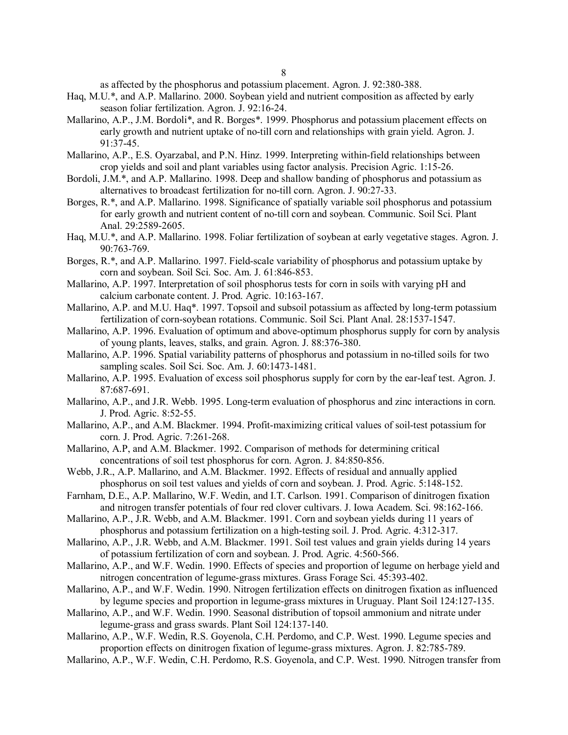as affected by the phosphorus and potassium placement. Agron. J. 92:380-388.

- Haq, M.U.\*, and A.P. Mallarino. 2000. Soybean yield and nutrient composition as affected by early season foliar fertilization. Agron. J. 92:16-24.
- Mallarino, A.P., J.M. Bordoli\*, and R. Borges\*. 1999. Phosphorus and potassium placement effects on early growth and nutrient uptake of no-till corn and relationships with grain yield. Agron. J. 91:37-45.
- Mallarino, A.P., E.S. Oyarzabal, and P.N. Hinz. 1999. Interpreting within-field relationships between crop yields and soil and plant variables using factor analysis. Precision Agric. 1:15-26.
- Bordoli, J.M.\*, and A.P. Mallarino. 1998. Deep and shallow banding of phosphorus and potassium as alternatives to broadcast fertilization for no-till corn. Agron. J. 90:27-33.
- Borges, R.\*, and A.P. Mallarino. 1998. Significance of spatially variable soil phosphorus and potassium for early growth and nutrient content of no-till corn and soybean. Communic. Soil Sci. Plant Anal. 29:2589-2605.
- Haq, M.U.\*, and A.P. Mallarino. 1998. Foliar fertilization of soybean at early vegetative stages. Agron. J. 90:763-769.
- Borges, R.\*, and A.P. Mallarino. 1997. Field-scale variability of phosphorus and potassium uptake by corn and soybean. Soil Sci. Soc. Am. J. 61:846-853.
- Mallarino, A.P. 1997. Interpretation of soil phosphorus tests for corn in soils with varying pH and calcium carbonate content. J. Prod. Agric. 10:163-167.
- Mallarino, A.P. and M.U. Haq\*. 1997. Topsoil and subsoil potassium as affected by long-term potassium fertilization of corn-soybean rotations. Communic. Soil Sci. Plant Anal. 28:1537-1547.
- Mallarino, A.P. 1996. Evaluation of optimum and above-optimum phosphorus supply for corn by analysis of young plants, leaves, stalks, and grain. Agron. J. 88:376-380.
- Mallarino, A.P. 1996. Spatial variability patterns of phosphorus and potassium in no-tilled soils for two sampling scales. Soil Sci. Soc. Am. J. 60:1473-1481.
- Mallarino, A.P. 1995. Evaluation of excess soil phosphorus supply for corn by the ear-leaf test. Agron. J. 87:687-691.
- Mallarino, A.P., and J.R. Webb. 1995. Long-term evaluation of phosphorus and zinc interactions in corn. J. Prod. Agric. 8:52-55.
- Mallarino, A.P., and A.M. Blackmer. 1994. Profit-maximizing critical values of soil-test potassium for corn. J. Prod. Agric. 7:261-268.
- Mallarino, A.P, and A.M. Blackmer. 1992. Comparison of methods for determining critical concentrations of soil test phosphorus for corn. Agron. J. 84:850-856.
- Webb, J.R., A.P. Mallarino, and A.M. Blackmer. 1992. Effects of residual and annually applied phosphorus on soil test values and yields of corn and soybean. J. Prod. Agric. 5:148-152.
- Farnham, D.E., A.P. Mallarino, W.F. Wedin, and I.T. Carlson. 1991. Comparison of dinitrogen fixation and nitrogen transfer potentials of four red clover cultivars. J. Iowa Academ. Sci. 98:162-166.
- Mallarino, A.P., J.R. Webb, and A.M. Blackmer. 1991. Corn and soybean yields during 11 years of phosphorus and potassium fertilization on a high-testing soil. J. Prod. Agric. 4:312-317.
- Mallarino, A.P., J.R. Webb, and A.M. Blackmer. 1991. Soil test values and grain yields during 14 years of potassium fertilization of corn and soybean. J. Prod. Agric. 4:560-566.
- Mallarino, A.P., and W.F. Wedin. 1990. Effects of species and proportion of legume on herbage yield and nitrogen concentration of legume-grass mixtures. Grass Forage Sci. 45:393-402.
- Mallarino, A.P., and W.F. Wedin. 1990. Nitrogen fertilization effects on dinitrogen fixation as influenced by legume species and proportion in legume-grass mixtures in Uruguay. Plant Soil 124:127-135.
- Mallarino, A.P., and W.F. Wedin. 1990. Seasonal distribution of topsoil ammonium and nitrate under legume-grass and grass swards. Plant Soil 124:137-140.
- Mallarino, A.P., W.F. Wedin, R.S. Goyenola, C.H. Perdomo, and C.P. West. 1990. Legume species and proportion effects on dinitrogen fixation of legume-grass mixtures. Agron. J. 82:785-789.
- Mallarino, A.P., W.F. Wedin, C.H. Perdomo, R.S. Goyenola, and C.P. West. 1990. Nitrogen transfer from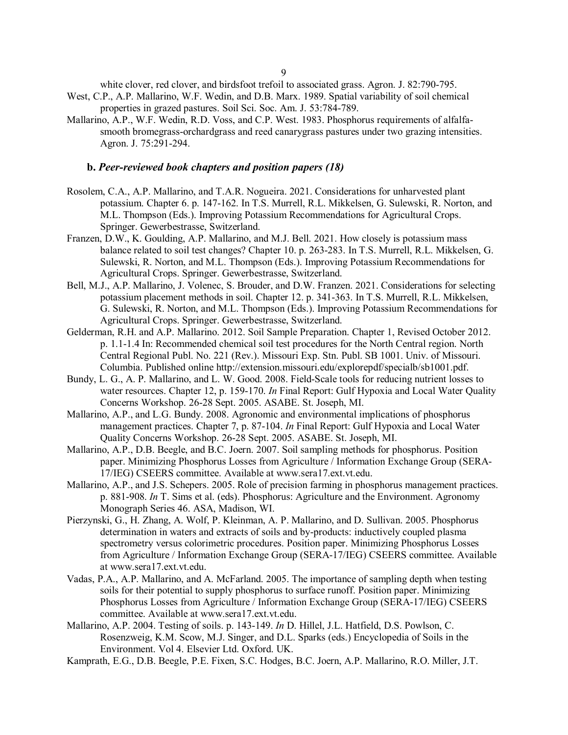white clover, red clover, and birdsfoot trefoil to associated grass. Agron. J. 82:790-795.

- West, C.P., A.P. Mallarino, W.F. Wedin, and D.B. Marx. 1989. Spatial variability of soil chemical properties in grazed pastures. Soil Sci. Soc. Am. J. 53:784-789.
- Mallarino, A.P., W.F. Wedin, R.D. Voss, and C.P. West. 1983. Phosphorus requirements of alfalfasmooth bromegrass-orchardgrass and reed canarygrass pastures under two grazing intensities. Agron. J. 75:291-294.

#### **b.** *Peer-reviewed book chapters and position papers (18)*

- Rosolem, C.A., A.P. Mallarino, and T.A.R. Nogueira. 2021. Considerations for unharvested plant potassium. Chapter 6. p. 147-162. In T.S. Murrell, R.L. Mikkelsen, G. Sulewski, R. Norton, and M.L. Thompson (Eds.). Improving Potassium Recommendations for Agricultural Crops. Springer. Gewerbestrasse, Switzerland.
- Franzen, D.W., K. Goulding, A.P. Mallarino, and M.J. Bell. 2021. How closely is potassium mass balance related to soil test changes? Chapter 10. p. 263-283. In T.S. Murrell, R.L. Mikkelsen, G. Sulewski, R. Norton, and M.L. Thompson (Eds.). Improving Potassium Recommendations for Agricultural Crops. Springer. Gewerbestrasse, Switzerland.
- Bell, M.J., A.P. Mallarino, J. Volenec, S. Brouder, and D.W. Franzen. 2021. Considerations for selecting potassium placement methods in soil. Chapter 12. p. 341-363. In T.S. Murrell, R.L. Mikkelsen, G. Sulewski, R. Norton, and M.L. Thompson (Eds.). Improving Potassium Recommendations for Agricultural Crops. Springer. Gewerbestrasse, Switzerland.
- Gelderman, R.H. and A.P. Mallarino. 2012. Soil Sample Preparation. Chapter 1, Revised October 2012. p. 1.1-1.4 In: Recommended chemical soil test procedures for the North Central region. North Central Regional Publ. No. 221 (Rev.). Missouri Exp. Stn. Publ. SB 1001. Univ. of Missouri. Columbia. Published online http://extension.missouri.edu/explorepdf/specialb/sb1001.pdf.
- Bundy, L. G., A. P. Mallarino, and L. W. Good. 2008. Field-Scale tools for reducing nutrient losses to water resources. Chapter 12, p. 159-170. *In* Final Report: Gulf Hypoxia and Local Water Quality Concerns Workshop. 26-28 Sept. 2005. ASABE. St. Joseph, MI.
- Mallarino, A.P., and L.G. Bundy. 2008. Agronomic and environmental implications of phosphorus management practices. Chapter 7, p. 87-104. *In* Final Report: Gulf Hypoxia and Local Water Quality Concerns Workshop. 26-28 Sept. 2005. ASABE. St. Joseph, MI.
- Mallarino, A.P., D.B. Beegle, and B.C. Joern. 2007. Soil sampling methods for phosphorus. Position paper. Minimizing Phosphorus Losses from Agriculture / Information Exchange Group (SERA-17/IEG) CSEERS committee. Available at www.sera17.ext.vt.edu.
- Mallarino, A.P., and J.S. Schepers. 2005. Role of precision farming in phosphorus management practices. p. 881-908. *In* T. Sims et al. (eds). Phosphorus: Agriculture and the Environment. Agronomy Monograph Series 46. ASA, Madison, WI.
- Pierzynski, G., H. Zhang, A. Wolf, P. Kleinman, A. P. Mallarino, and D. Sullivan. 2005. Phosphorus determination in waters and extracts of soils and by-products: inductively coupled plasma spectrometry versus colorimetric procedures. Position paper. Minimizing Phosphorus Losses from Agriculture / Information Exchange Group (SERA-17/IEG) CSEERS committee. Available at www.sera17.ext.vt.edu.
- Vadas, P.A., A.P. Mallarino, and A. McFarland. 2005. The importance of sampling depth when testing soils for their potential to supply phosphorus to surface runoff. Position paper. Minimizing Phosphorus Losses from Agriculture / Information Exchange Group (SERA-17/IEG) CSEERS committee. Available at www.sera17.ext.vt.edu.
- Mallarino, A.P. 2004. Testing of soils. p. 143-149. *In* D. Hillel, J.L. Hatfield, D.S. Powlson, C. Rosenzweig, K.M. Scow, M.J. Singer, and D.L. Sparks (eds.) Encyclopedia of Soils in the Environment. Vol 4. Elsevier Ltd. Oxford. UK.
- Kamprath, E.G., D.B. Beegle, P.E. Fixen, S.C. Hodges, B.C. Joern, A.P. Mallarino, R.O. Miller, J.T.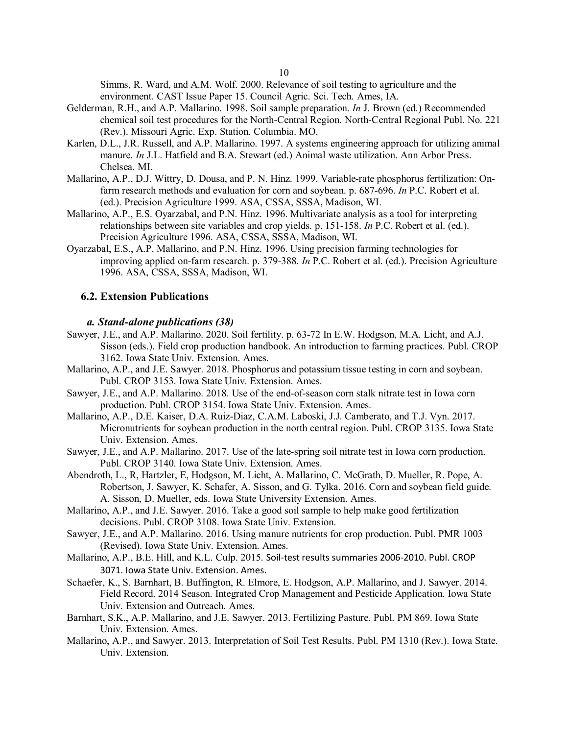Simms, R. Ward, and A.M. Wolf. 2000. Relevance of soil testing to agriculture and the environment. CAST Issue Paper 15. Council Agric. Sci. Tech. Ames, IA.

- Gelderman, R.H., and A.P. Mallarino. 1998. Soil sample preparation. *In* J. Brown (ed.) Recommended chemical soil test procedures for the North-Central Region. North-Central Regional Publ. No. 221 (Rev.). Missouri Agric. Exp. Station. Columbia. MO.
- Karlen, D.L., J.R. Russell, and A.P. Mallarino. 1997. A systems engineering approach for utilizing animal manure. *In* J.L. Hatfield and B.A. Stewart (ed.) Animal waste utilization. Ann Arbor Press. Chelsea. MI.
- Mallarino, A.P., D.J. Wittry, D. Dousa, and P. N. Hinz. 1999. Variable-rate phosphorus fertilization: Onfarm research methods and evaluation for corn and soybean. p. 687-696. *In* P.C. Robert et al. (ed.). Precision Agriculture 1999. ASA, CSSA, SSSA, Madison, WI.
- Mallarino, A.P., E.S. Oyarzabal, and P.N. Hinz. 1996. Multivariate analysis as a tool for interpreting relationships between site variables and crop yields. p. 151-158. *In* P.C. Robert et al. (ed.). Precision Agriculture 1996. ASA, CSSA, SSSA, Madison, WI.
- Oyarzabal, E.S., A.P. Mallarino, and P.N. Hinz. 1996. Using precision farming technologies for improving applied on-farm research. p. 379-388. *In* P.C. Robert et al. (ed.). Precision Agriculture 1996. ASA, CSSA, SSSA, Madison, WI.

## **6.2. Extension Publications**

#### *a. Stand-alone publications (38)*

- Sawyer, J.E., and A.P. Mallarino. 2020. Soil fertility. p. 63-72 In E.W. Hodgson, M.A. Licht, and A.J. Sisson (eds.). Field crop production handbook. An introduction to farming practices. Publ. CROP 3162. Iowa State Univ. Extension. Ames.
- Mallarino, A.P., and J.E. Sawyer. 2018. Phosphorus and potassium tissue testing in corn and soybean. Publ. CROP 3153. Iowa State Univ. Extension. Ames.
- Sawyer, J.E., and A.P. Mallarino. 2018. Use of the end-of-season corn stalk nitrate test in Iowa corn production. Publ. CROP 3154. Iowa State Univ. Extension. Ames.
- Mallarino, A.P., D.E. Kaiser, D.A. Ruiz-Diaz, C.A.M. Laboski, J.J. Camberato, and T.J. Vyn. 2017. Micronutrients for soybean production in the north central region. Publ. CROP 3135. Iowa State Univ. Extension. Ames.
- Sawyer, J.E., and A.P. Mallarino. 2017. Use of the late-spring soil nitrate test in Iowa corn production. Publ. CROP 3140. Iowa State Univ. Extension. Ames.
- Abendroth, L., R, Hartzler, E, Hodgson, M. Licht, A. Mallarino, C. McGrath, D. Mueller, R. Pope, A. Robertson, J. Sawyer, K. Schafer, A. Sisson, and G. Tylka. 2016. Corn and soybean field guide. A. Sisson, D. Mueller, eds. Iowa State University Extension. Ames.
- Mallarino, A.P., and J.E. Sawyer. 2016. Take a good soil sample to help make good fertilization decisions. Publ. CROP 3108. Iowa State Univ. Extension.
- Sawyer, J.E., and A.P. Mallarino. 2016. Using manure nutrients for crop production. Publ. PMR 1003 (Revised). Iowa State Univ. Extension. Ames.
- Mallarino, A.P., B.E. Hill, and K.L. Culp. 2015. Soil-test results summaries 2006-2010. Publ. CROP 3071. Iowa State Univ. Extension. Ames.
- Schaefer, K., S. Barnhart, B. Buffington, R. Elmore, E. Hodgson, A.P. Mallarino, and J. Sawyer. 2014. Field Record. 2014 Season. Integrated Crop Management and Pesticide Application. Iowa State Univ. Extension and Outreach. Ames.
- Barnhart, S.K., A.P. Mallarino, and J.E. Sawyer. 2013. Fertilizing Pasture. Publ. PM 869. Iowa State Univ. Extension. Ames.
- Mallarino, A.P., and Sawyer. 2013. Interpretation of Soil Test Results. Publ. PM 1310 (Rev.). Iowa State. Univ. Extension.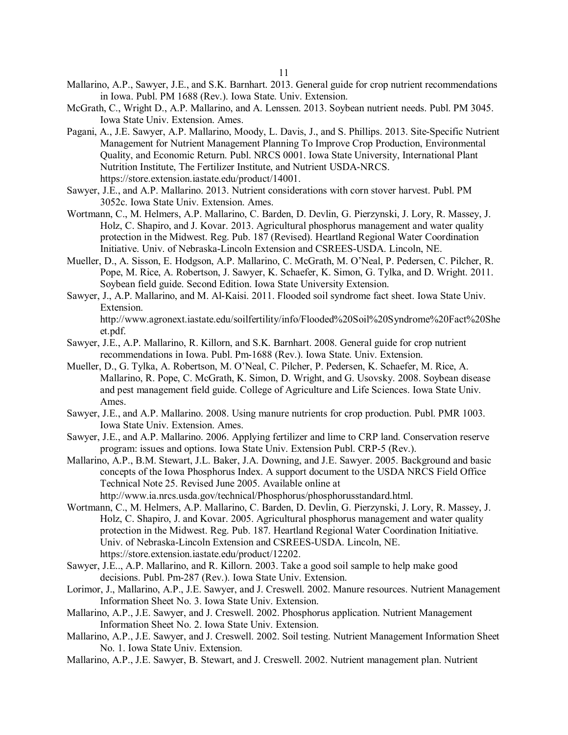- Mallarino, A.P., Sawyer, J.E., and S.K. Barnhart. 2013. General guide for crop nutrient recommendations in Iowa. Publ. PM 1688 (Rev.). Iowa State. Univ. Extension.
- McGrath, C., Wright D., A.P. Mallarino, and A. Lenssen. 2013. Soybean nutrient needs. Publ. PM 3045. Iowa State Univ. Extension. Ames.
- Pagani, A., J.E. Sawyer, A.P. Mallarino, Moody, L. Davis, J., and S. Phillips. 2013. Site-Specific Nutrient Management for Nutrient Management Planning To Improve Crop Production, Environmental Quality, and Economic Return. Publ. NRCS 0001. Iowa State University, International Plant Nutrition Institute, The Fertilizer Institute, and Nutrient USDA-NRCS. https://store.extension.iastate.edu/product/14001.
- Sawyer, J.E., and A.P. Mallarino. 2013. Nutrient considerations with corn stover harvest. Publ. PM 3052c. Iowa State Univ. Extension. Ames.
- Wortmann, C., M. Helmers, A.P. Mallarino, C. Barden, D. Devlin, G. Pierzynski, J. Lory, R. Massey, J. Holz, C. Shapiro, and J. Kovar. 2013. Agricultural phosphorus management and water quality protection in the Midwest. Reg. Pub. 187 (Revised). Heartland Regional Water Coordination Initiative. Univ. of Nebraska-Lincoln Extension and CSREES-USDA. Lincoln, NE.
- Mueller, D., A. Sisson, E. Hodgson, A.P. Mallarino, C. McGrath, M. O'Neal, P. Pedersen, C. Pilcher, R. Pope, M. Rice, A. Robertson, J. Sawyer, K. Schaefer, K. Simon, G. Tylka, and D. Wright. 2011. Soybean field guide. Second Edition. Iowa State University Extension.
- Sawyer, J., A.P. Mallarino, and M. Al-Kaisi. 2011. Flooded soil syndrome fact sheet. Iowa State Univ. Extension. http://www.agronext.iastate.edu/soilfertility/info/Flooded%20Soil%20Syndrome%20Fact%20She et.pdf.
- Sawyer, J.E., A.P. Mallarino, R. Killorn, and S.K. Barnhart. 2008. General guide for crop nutrient recommendations in Iowa. Publ. Pm-1688 (Rev.). Iowa State. Univ. Extension.
- Mueller, D., G. Tylka, A. Robertson, M. O'Neal, C. Pilcher, P. Pedersen, K. Schaefer, M. Rice, A. Mallarino, R. Pope, C. McGrath, K. Simon, D. Wright, and G. Usovsky. 2008. Soybean disease and pest management field guide. College of Agriculture and Life Sciences. Iowa State Univ. Ames.
- Sawyer, J.E., and A.P. Mallarino. 2008. Using manure nutrients for crop production. Publ. PMR 1003. Iowa State Univ. Extension. Ames.
- Sawyer, J.E., and A.P. Mallarino. 2006. Applying fertilizer and lime to CRP land. Conservation reserve program: issues and options. Iowa State Univ. Extension Publ. CRP-5 (Rev.).
- Mallarino, A.P., B.M. Stewart, J.L. Baker, J.A. Downing, and J.E. Sawyer. 2005. Background and basic concepts of the Iowa Phosphorus Index. A support document to the USDA NRCS Field Office Technical Note 25. Revised June 2005. Available online at

http://www.ia.nrcs.usda.gov/technical/Phosphorus/phosphorusstandard.html.

- Wortmann, C., M. Helmers, A.P. Mallarino, C. Barden, D. Devlin, G. Pierzynski, J. Lory, R. Massey, J. Holz, C. Shapiro, J. and Kovar. 2005. Agricultural phosphorus management and water quality protection in the Midwest. Reg. Pub. 187. Heartland Regional Water Coordination Initiative. Univ. of Nebraska-Lincoln Extension and CSREES-USDA. Lincoln, NE. https://store.extension.iastate.edu/product/12202.
- Sawyer, J.E.., A.P. Mallarino, and R. Killorn. 2003. Take a good soil sample to help make good decisions. Publ. Pm-287 (Rev.). Iowa State Univ. Extension.
- Lorimor, J., Mallarino, A.P., J.E. Sawyer, and J. Creswell. 2002. Manure resources. Nutrient Management Information Sheet No. 3. Iowa State Univ. Extension.
- Mallarino, A.P., J.E. Sawyer, and J. Creswell. 2002. Phosphorus application. Nutrient Management Information Sheet No. 2. Iowa State Univ. Extension.
- Mallarino, A.P., J.E. Sawyer, and J. Creswell. 2002. Soil testing. Nutrient Management Information Sheet No. 1. Iowa State Univ. Extension.
- Mallarino, A.P., J.E. Sawyer, B. Stewart, and J. Creswell. 2002. Nutrient management plan. Nutrient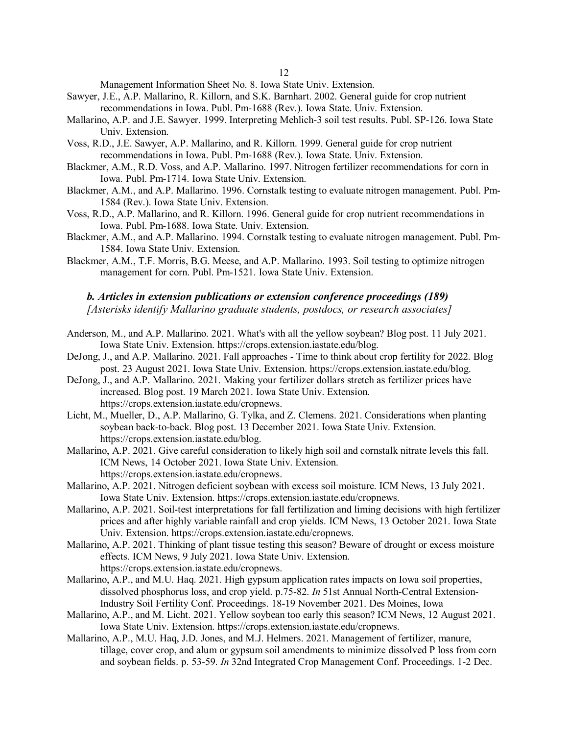Management Information Sheet No. 8. Iowa State Univ. Extension.

- Sawyer, J.E., A.P. Mallarino, R. Killorn, and S.K. Barnhart. 2002. General guide for crop nutrient recommendations in Iowa. Publ. Pm-1688 (Rev.). Iowa State. Univ. Extension.
- Mallarino, A.P. and J.E. Sawyer. 1999. Interpreting Mehlich-3 soil test results. Publ. SP-126. Iowa State Univ. Extension.
- Voss, R.D., J.E. Sawyer, A.P. Mallarino, and R. Killorn. 1999. General guide for crop nutrient recommendations in Iowa. Publ. Pm-1688 (Rev.). Iowa State. Univ. Extension.
- Blackmer, A.M., R.D. Voss, and A.P. Mallarino. 1997. Nitrogen fertilizer recommendations for corn in Iowa. Publ. Pm-1714. Iowa State Univ. Extension.
- Blackmer, A.M., and A.P. Mallarino. 1996. Cornstalk testing to evaluate nitrogen management. Publ. Pm-1584 (Rev.). Iowa State Univ. Extension.
- Voss, R.D., A.P. Mallarino, and R. Killorn. 1996. General guide for crop nutrient recommendations in Iowa. Publ. Pm-1688. Iowa State. Univ. Extension.
- Blackmer, A.M., and A.P. Mallarino. 1994. Cornstalk testing to evaluate nitrogen management. Publ. Pm-1584. Iowa State Univ. Extension.
- Blackmer, A.M., T.F. Morris, B.G. Meese, and A.P. Mallarino. 1993. Soil testing to optimize nitrogen management for corn. Publ. Pm-1521. Iowa State Univ. Extension.

## *b. Articles in extension publications or extension conference proceedings (189) [Asterisks identify Mallarino graduate students, postdocs, or research associates]*

- Anderson, M., and A.P. Mallarino. 2021. What's with all the yellow soybean? Blog post. 11 July 2021. Iowa State Univ. Extension. https://crops.extension.iastate.edu/blog.
- DeJong, J., and A.P. Mallarino. 2021. Fall approaches Time to think about crop fertility for 2022. Blog post. 23 August 2021. Iowa State Univ. Extension. https://crops.extension.iastate.edu/blog.
- DeJong, J., and A.P. Mallarino. 2021. Making your fertilizer dollars stretch as fertilizer prices have increased. Blog post. 19 March 2021. Iowa State Univ. Extension. https://crops.extension.iastate.edu/cropnews.
- Licht, M., Mueller, D., A.P. Mallarino, G. Tylka, and Z. Clemens. 2021. Considerations when planting soybean back-to-back. Blog post. 13 December 2021. Iowa State Univ. Extension. https://crops.extension.iastate.edu/blog.
- Mallarino, A.P. 2021. Give careful consideration to likely high soil and cornstalk nitrate levels this fall. ICM News, 14 October 2021. Iowa State Univ. Extension. https://crops.extension.iastate.edu/cropnews.
- Mallarino, A.P. 2021. Nitrogen deficient soybean with excess soil moisture. ICM News, 13 July 2021. Iowa State Univ. Extension. https://crops.extension.iastate.edu/cropnews.
- Mallarino, A.P. 2021. Soil-test interpretations for fall fertilization and liming decisions with high fertilizer prices and after highly variable rainfall and crop yields. ICM News, 13 October 2021. Iowa State Univ. Extension. https://crops.extension.iastate.edu/cropnews.
- Mallarino, A.P. 2021. Thinking of plant tissue testing this season? Beware of drought or excess moisture effects. ICM News, 9 July 2021. Iowa State Univ. Extension. https://crops.extension.iastate.edu/cropnews.
- Mallarino, A.P., and M.U. Haq. 2021. High gypsum application rates impacts on Iowa soil properties, dissolved phosphorus loss, and crop yield. p.75-82. *In* 51st Annual North-Central Extension-Industry Soil Fertility Conf. Proceedings. 18-19 November 2021. Des Moines, Iowa
- Mallarino, A.P., and M. Licht. 2021. Yellow soybean too early this season? ICM News, 12 August 2021. Iowa State Univ. Extension. https://crops.extension.iastate.edu/cropnews.
- Mallarino, A.P., M.U. Haq, J.D. Jones, and M.J. Helmers. 2021. Management of fertilizer, manure, tillage, cover crop, and alum or gypsum soil amendments to minimize dissolved P loss from corn and soybean fields. p. 53-59. *In* 32nd Integrated Crop Management Conf. Proceedings. 1-2 Dec.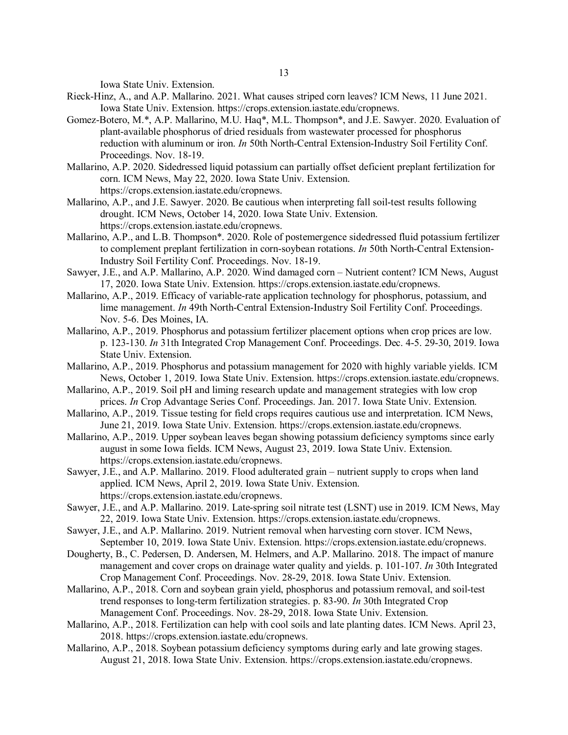Iowa State Univ. Extension.

- Rieck-Hinz, A., and A.P. Mallarino. 2021. What causes striped corn leaves? ICM News, 11 June 2021. Iowa State Univ. Extension. https://crops.extension.iastate.edu/cropnews.
- Gomez-Botero, M.\*, A.P. Mallarino, M.U. Haq\*, M.L. Thompson\*, and J.E. Sawyer. 2020. Evaluation of plant-available phosphorus of dried residuals from wastewater processed for phosphorus reduction with aluminum or iron. *In* 50th North-Central Extension-Industry Soil Fertility Conf. Proceedings. Nov. 18-19.
- Mallarino, A.P. 2020. Sidedressed liquid potassium can partially offset deficient preplant fertilization for corn. ICM News, May 22, 2020. Iowa State Univ. Extension. https://crops.extension.iastate.edu/cropnews.
- Mallarino, A.P., and J.E. Sawyer. 2020. Be cautious when interpreting fall soil-test results following drought. ICM News, October 14, 2020. Iowa State Univ. Extension. https://crops.extension.iastate.edu/cropnews.
- Mallarino, A.P., and L.B. Thompson\*. 2020. Role of postemergence sidedressed fluid potassium fertilizer to complement preplant fertilization in corn-soybean rotations. *In* 50th North-Central Extension-Industry Soil Fertility Conf. Proceedings. Nov. 18-19.
- Sawyer, J.E., and A.P. Mallarino, A.P. 2020. Wind damaged corn Nutrient content? ICM News, August 17, 2020. Iowa State Univ. Extension. https://crops.extension.iastate.edu/cropnews.
- Mallarino, A.P., 2019. Efficacy of variable-rate application technology for phosphorus, potassium, and lime management. *In* 49th North-Central Extension-Industry Soil Fertility Conf. Proceedings. Nov. 5-6. Des Moines, IA.
- Mallarino, A.P., 2019. Phosphorus and potassium fertilizer placement options when crop prices are low. p. 123-130. *In* 31th Integrated Crop Management Conf. Proceedings. Dec. 4-5. 29-30, 2019. Iowa State Univ. Extension.
- Mallarino, A.P., 2019. Phosphorus and potassium management for 2020 with highly variable yields. ICM News, October 1, 2019. Iowa State Univ. Extension. https://crops.extension.iastate.edu/cropnews.
- Mallarino, A.P., 2019. Soil pH and liming research update and management strategies with low crop prices. *In* Crop Advantage Series Conf. Proceedings. Jan. 2017. Iowa State Univ. Extension.
- Mallarino, A.P., 2019. Tissue testing for field crops requires cautious use and interpretation. ICM News, June 21, 2019. Iowa State Univ. Extension. https://crops.extension.iastate.edu/cropnews.
- Mallarino, A.P., 2019. Upper soybean leaves began showing potassium deficiency symptoms since early august in some Iowa fields. ICM News, August 23, 2019. Iowa State Univ. Extension. https://crops.extension.iastate.edu/cropnews.
- Sawyer, J.E., and A.P. Mallarino. 2019. Flood adulterated grain nutrient supply to crops when land applied. ICM News, April 2, 2019. Iowa State Univ. Extension. https://crops.extension.iastate.edu/cropnews.
- Sawyer, J.E., and A.P. Mallarino. 2019. Late-spring soil nitrate test (LSNT) use in 2019. ICM News, May 22, 2019. Iowa State Univ. Extension. https://crops.extension.iastate.edu/cropnews.
- Sawyer, J.E., and A.P. Mallarino. 2019. Nutrient removal when harvesting corn stover. ICM News, September 10, 2019. Iowa State Univ. Extension. https://crops.extension.iastate.edu/cropnews.
- Dougherty, B., C. Pedersen, D. Andersen, M. Helmers, and A.P. Mallarino. 2018. The impact of manure management and cover crops on drainage water quality and yields. p. 101-107. *In* 30th Integrated Crop Management Conf. Proceedings. Nov. 28-29, 2018. Iowa State Univ. Extension.
- Mallarino, A.P., 2018. Corn and soybean grain yield, phosphorus and potassium removal, and soil-test trend responses to long-term fertilization strategies. p. 83-90. *In* 30th Integrated Crop Management Conf. Proceedings. Nov. 28-29, 2018. Iowa State Univ. Extension.
- Mallarino, A.P., 2018. Fertilization can help with cool soils and late planting dates. ICM News. April 23, 2018. https://crops.extension.iastate.edu/cropnews.
- Mallarino, A.P., 2018. Soybean potassium deficiency symptoms during early and late growing stages. August 21, 2018. Iowa State Univ. Extension. https://crops.extension.iastate.edu/cropnews.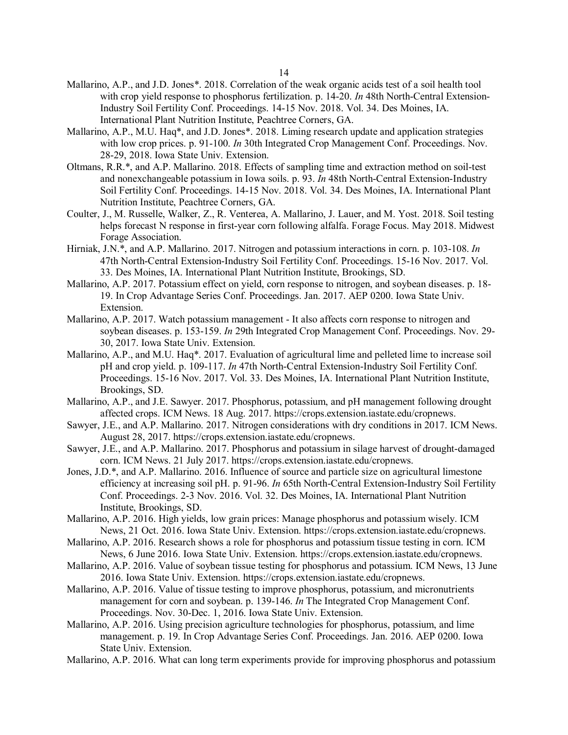- Mallarino, A.P., and J.D. Jones\*. 2018. Correlation of the weak organic acids test of a soil health tool with crop yield response to phosphorus fertilization. p. 14-20. *In* 48th North-Central Extension-Industry Soil Fertility Conf. Proceedings. 14-15 Nov. 2018. Vol. 34. Des Moines, IA. International Plant Nutrition Institute, Peachtree Corners, GA.
- Mallarino, A.P., M.U. Haq\*, and J.D. Jones\*. 2018. Liming research update and application strategies with low crop prices. p. 91-100. *In* 30th Integrated Crop Management Conf. Proceedings. Nov. 28-29, 2018. Iowa State Univ. Extension.
- Oltmans, R.R.\*, and A.P. Mallarino. 2018. Effects of sampling time and extraction method on soil-test and nonexchangeable potassium in Iowa soils. p. 93. *In* 48th North-Central Extension-Industry Soil Fertility Conf. Proceedings. 14-15 Nov. 2018. Vol. 34. Des Moines, IA. International Plant Nutrition Institute, Peachtree Corners, GA.
- Coulter, J., M. Russelle, Walker, Z., R. Venterea, A. Mallarino, J. Lauer, and M. Yost. 2018. Soil testing helps forecast N response in first-year corn following alfalfa. Forage Focus. May 2018. Midwest Forage Association.
- Hirniak, J.N.\*, and A.P. Mallarino. 2017. Nitrogen and potassium interactions in corn. p. 103-108. *In* 47th North-Central Extension-Industry Soil Fertility Conf. Proceedings. 15-16 Nov. 2017. Vol. 33. Des Moines, IA. International Plant Nutrition Institute, Brookings, SD.
- Mallarino, A.P. 2017. Potassium effect on yield, corn response to nitrogen, and soybean diseases. p. 18- 19. In Crop Advantage Series Conf. Proceedings. Jan. 2017. AEP 0200. Iowa State Univ. Extension.
- Mallarino, A.P. 2017. Watch potassium management It also affects corn response to nitrogen and soybean diseases. p. 153-159. *In* 29th Integrated Crop Management Conf. Proceedings. Nov. 29- 30, 2017. Iowa State Univ. Extension.
- Mallarino, A.P., and M.U. Haq\*. 2017. Evaluation of agricultural lime and pelleted lime to increase soil pH and crop yield. p. 109-117. *In* 47th North-Central Extension-Industry Soil Fertility Conf. Proceedings. 15-16 Nov. 2017. Vol. 33. Des Moines, IA. International Plant Nutrition Institute, Brookings, SD.
- Mallarino, A.P., and J.E. Sawyer. 2017. Phosphorus, potassium, and pH management following drought affected crops. ICM News. 18 Aug. 2017. https://crops.extension.iastate.edu/cropnews.
- Sawyer, J.E., and A.P. Mallarino. 2017. Nitrogen considerations with dry conditions in 2017. ICM News. August 28, 2017. https://crops.extension.iastate.edu/cropnews.
- Sawyer, J.E., and A.P. Mallarino. 2017. Phosphorus and potassium in silage harvest of drought-damaged corn. ICM News. 21 July 2017. https://crops.extension.iastate.edu/cropnews.
- Jones, J.D.\*, and A.P. Mallarino. 2016. Influence of source and particle size on agricultural limestone efficiency at increasing soil pH. p. 91-96. *In* 65th North-Central Extension-Industry Soil Fertility Conf. Proceedings. 2-3 Nov. 2016. Vol. 32. Des Moines, IA. International Plant Nutrition Institute, Brookings, SD.
- Mallarino, A.P. 2016. High yields, low grain prices: Manage phosphorus and potassium wisely. ICM News, 21 Oct. 2016. Iowa State Univ. Extension. https://crops.extension.iastate.edu/cropnews.
- Mallarino, A.P. 2016. Research shows a role for phosphorus and potassium tissue testing in corn. ICM News, 6 June 2016. Iowa State Univ. Extension. https://crops.extension.iastate.edu/cropnews.
- Mallarino, A.P. 2016. Value of soybean tissue testing for phosphorus and potassium. ICM News, 13 June 2016. Iowa State Univ. Extension. https://crops.extension.iastate.edu/cropnews.
- Mallarino, A.P. 2016. Value of tissue testing to improve phosphorus, potassium, and micronutrients management for corn and soybean. p. 139-146. *In* The Integrated Crop Management Conf. Proceedings. Nov. 30-Dec. 1, 2016. Iowa State Univ. Extension.
- Mallarino, A.P. 2016. Using precision agriculture technologies for phosphorus, potassium, and lime management. p. 19. In Crop Advantage Series Conf. Proceedings. Jan. 2016. AEP 0200. Iowa State Univ. Extension.
- Mallarino, A.P. 2016. What can long term experiments provide for improving phosphorus and potassium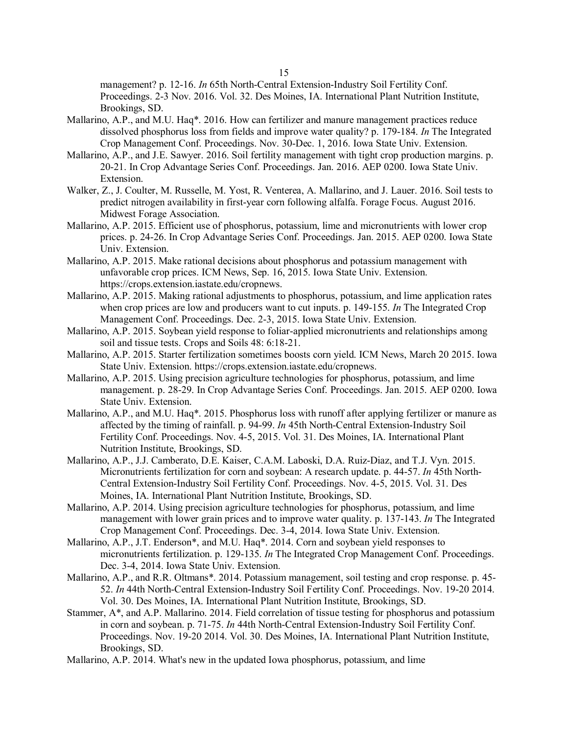management? p. 12-16. *In* 65th North-Central Extension-Industry Soil Fertility Conf. Proceedings. 2-3 Nov. 2016. Vol. 32. Des Moines, IA. International Plant Nutrition Institute, Brookings, SD.

- Mallarino, A.P., and M.U. Haq\*. 2016. How can fertilizer and manure management practices reduce dissolved phosphorus loss from fields and improve water quality? p. 179-184. *In* The Integrated Crop Management Conf. Proceedings. Nov. 30-Dec. 1, 2016. Iowa State Univ. Extension.
- Mallarino, A.P., and J.E. Sawyer. 2016. Soil fertility management with tight crop production margins. p. 20-21. In Crop Advantage Series Conf. Proceedings. Jan. 2016. AEP 0200. Iowa State Univ. Extension.
- Walker, Z., J. Coulter, M. Russelle, M. Yost, R. Venterea, A. Mallarino, and J. Lauer. 2016. Soil tests to predict nitrogen availability in first-year corn following alfalfa. Forage Focus. August 2016. Midwest Forage Association.
- Mallarino, A.P. 2015. Efficient use of phosphorus, potassium, lime and micronutrients with lower crop prices. p. 24-26. In Crop Advantage Series Conf. Proceedings. Jan. 2015. AEP 0200. Iowa State Univ. Extension.
- Mallarino, A.P. 2015. Make rational decisions about phosphorus and potassium management with unfavorable crop prices. ICM News, Sep. 16, 2015. Iowa State Univ. Extension. https://crops.extension.iastate.edu/cropnews.
- Mallarino, A.P. 2015. Making rational adjustments to phosphorus, potassium, and lime application rates when crop prices are low and producers want to cut inputs. p. 149-155. *In* The Integrated Crop Management Conf. Proceedings. Dec. 2-3, 2015. Iowa State Univ. Extension.
- Mallarino, A.P. 2015. Soybean yield response to foliar-applied micronutrients and relationships among soil and tissue tests. Crops and Soils 48: 6:18-21.
- Mallarino, A.P. 2015. Starter fertilization sometimes boosts corn yield. ICM News, March 20 2015. Iowa State Univ. Extension. https://crops.extension.iastate.edu/cropnews.
- Mallarino, A.P. 2015. Using precision agriculture technologies for phosphorus, potassium, and lime management. p. 28-29. In Crop Advantage Series Conf. Proceedings. Jan. 2015. AEP 0200. Iowa State Univ. Extension.
- Mallarino, A.P., and M.U. Haq\*. 2015. Phosphorus loss with runoff after applying fertilizer or manure as affected by the timing of rainfall. p. 94-99. *In* 45th North-Central Extension-Industry Soil Fertility Conf. Proceedings. Nov. 4-5, 2015. Vol. 31. Des Moines, IA. International Plant Nutrition Institute, Brookings, SD.
- Mallarino, A.P., J.J. Camberato, D.E. Kaiser, C.A.M. Laboski, D.A. Ruiz-Diaz, and T.J. Vyn. 2015. Micronutrients fertilization for corn and soybean: A research update. p. 44-57. *In* 45th North-Central Extension-Industry Soil Fertility Conf. Proceedings. Nov. 4-5, 2015. Vol. 31. Des Moines, IA. International Plant Nutrition Institute, Brookings, SD.
- Mallarino, A.P. 2014. Using precision agriculture technologies for phosphorus, potassium, and lime management with lower grain prices and to improve water quality. p. 137-143. *In* The Integrated Crop Management Conf. Proceedings. Dec. 3-4, 2014. Iowa State Univ. Extension.
- Mallarino, A.P., J.T. Enderson\*, and M.U. Haq\*. 2014. Corn and soybean yield responses to micronutrients fertilization. p. 129-135. *In* The Integrated Crop Management Conf. Proceedings. Dec. 3-4, 2014. Iowa State Univ. Extension.
- Mallarino, A.P., and R.R. Oltmans\*. 2014. Potassium management, soil testing and crop response. p. 45- 52. *In* 44th North-Central Extension-Industry Soil Fertility Conf. Proceedings. Nov. 19-20 2014. Vol. 30. Des Moines, IA. International Plant Nutrition Institute, Brookings, SD.
- Stammer, A\*, and A.P. Mallarino. 2014. Field correlation of tissue testing for phosphorus and potassium in corn and soybean. p. 71-75. *In* 44th North-Central Extension-Industry Soil Fertility Conf. Proceedings. Nov. 19-20 2014. Vol. 30. Des Moines, IA. International Plant Nutrition Institute, Brookings, SD.
- Mallarino, A.P. 2014. What's new in the updated Iowa phosphorus, potassium, and lime

15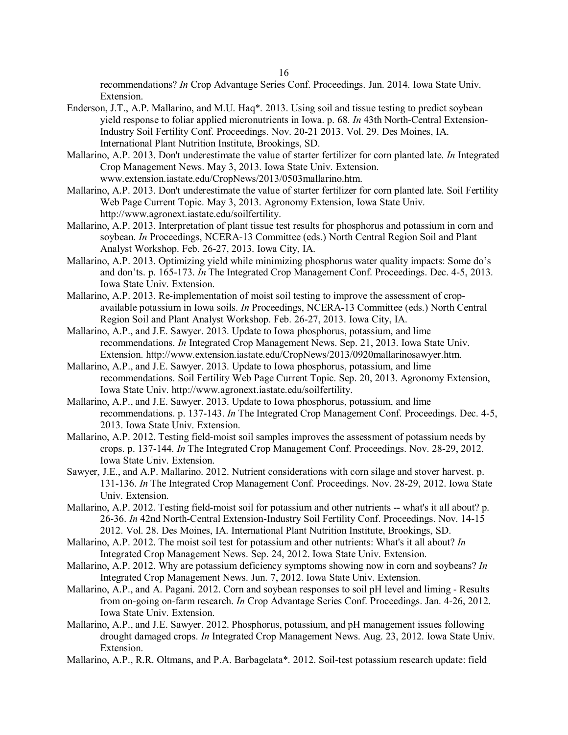recommendations? *In* Crop Advantage Series Conf. Proceedings. Jan. 2014. Iowa State Univ. Extension.

- Enderson, J.T., A.P. Mallarino, and M.U. Haq\*. 2013. Using soil and tissue testing to predict soybean yield response to foliar applied micronutrients in Iowa. p. 68. *In* 43th North-Central Extension-Industry Soil Fertility Conf. Proceedings. Nov. 20-21 2013. Vol. 29. Des Moines, IA. International Plant Nutrition Institute, Brookings, SD.
- Mallarino, A.P. 2013. Don't underestimate the value of starter fertilizer for corn planted late. *In* Integrated Crop Management News. May 3, 2013. Iowa State Univ. Extension. www.extension.iastate.edu/CropNews/2013/0503mallarino.htm.
- Mallarino, A.P. 2013. Don't underestimate the value of starter fertilizer for corn planted late. Soil Fertility Web Page Current Topic. May 3, 2013. Agronomy Extension, Iowa State Univ. http://www.agronext.iastate.edu/soilfertility.
- Mallarino, A.P. 2013. Interpretation of plant tissue test results for phosphorus and potassium in corn and soybean. *In* Proceedings, NCERA-13 Committee (eds.) North Central Region Soil and Plant Analyst Workshop. Feb. 26-27, 2013. Iowa City, IA.
- Mallarino, A.P. 2013. Optimizing yield while minimizing phosphorus water quality impacts: Some do's and don'ts. p. 165-173. *In* The Integrated Crop Management Conf. Proceedings. Dec. 4-5, 2013. Iowa State Univ. Extension.
- Mallarino, A.P. 2013. Re-implementation of moist soil testing to improve the assessment of cropavailable potassium in Iowa soils. *In* Proceedings, NCERA-13 Committee (eds.) North Central Region Soil and Plant Analyst Workshop. Feb. 26-27, 2013. Iowa City, IA.
- Mallarino, A.P., and J.E. Sawyer. 2013. Update to Iowa phosphorus, potassium, and lime recommendations. *In* Integrated Crop Management News. Sep. 21, 2013. Iowa State Univ. Extension. http://www.extension.iastate.edu/CropNews/2013/0920mallarinosawyer.htm.
- Mallarino, A.P., and J.E. Sawyer. 2013. Update to Iowa phosphorus, potassium, and lime recommendations. Soil Fertility Web Page Current Topic. Sep. 20, 2013. Agronomy Extension, Iowa State Univ. http://www.agronext.iastate.edu/soilfertility.
- Mallarino, A.P., and J.E. Sawyer. 2013. Update to Iowa phosphorus, potassium, and lime recommendations. p. 137-143. *In* The Integrated Crop Management Conf. Proceedings. Dec. 4-5, 2013. Iowa State Univ. Extension.
- Mallarino, A.P. 2012. Testing field-moist soil samples improves the assessment of potassium needs by crops. p. 137-144. *In* The Integrated Crop Management Conf. Proceedings. Nov. 28-29, 2012. Iowa State Univ. Extension.
- Sawyer, J.E., and A.P. Mallarino. 2012. Nutrient considerations with corn silage and stover harvest. p. 131-136. *In* The Integrated Crop Management Conf. Proceedings. Nov. 28-29, 2012. Iowa State Univ. Extension.
- Mallarino, A.P. 2012. Testing field-moist soil for potassium and other nutrients -- what's it all about? p. 26-36. *In* 42nd North-Central Extension-Industry Soil Fertility Conf. Proceedings. Nov. 14-15 2012. Vol. 28. Des Moines, IA. International Plant Nutrition Institute, Brookings, SD.
- Mallarino, A.P. 2012. The moist soil test for potassium and other nutrients: What's it all about? *In* Integrated Crop Management News. Sep. 24, 2012. Iowa State Univ. Extension.
- Mallarino, A.P. 2012. Why are potassium deficiency symptoms showing now in corn and soybeans? *In* Integrated Crop Management News. Jun. 7, 2012. Iowa State Univ. Extension.
- Mallarino, A.P., and A. Pagani. 2012. Corn and soybean responses to soil pH level and liming Results from on-going on-farm research. *In* Crop Advantage Series Conf. Proceedings. Jan. 4-26, 2012. Iowa State Univ. Extension.
- Mallarino, A.P., and J.E. Sawyer. 2012. Phosphorus, potassium, and pH management issues following drought damaged crops. *In* Integrated Crop Management News. Aug. 23, 2012. Iowa State Univ. Extension.
- Mallarino, A.P., R.R. Oltmans, and P.A. Barbagelata\*. 2012. Soil-test potassium research update: field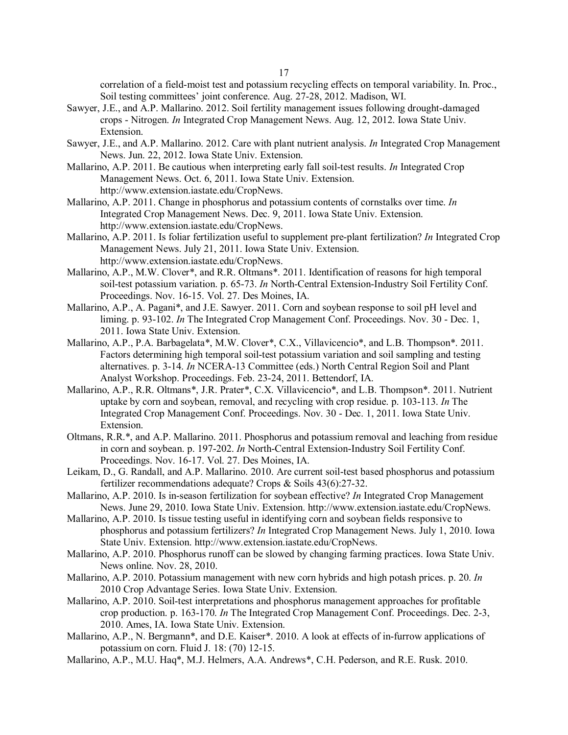correlation of a field-moist test and potassium recycling effects on temporal variability. In. Proc., Soil testing committees' joint conference. Aug. 27-28, 2012. Madison, WI.

- Sawyer, J.E., and A.P. Mallarino. 2012. Soil fertility management issues following drought-damaged crops - Nitrogen. *In* Integrated Crop Management News. Aug. 12, 2012. Iowa State Univ. Extension.
- Sawyer, J.E., and A.P. Mallarino. 2012. Care with plant nutrient analysis. *In* Integrated Crop Management News. Jun. 22, 2012. Iowa State Univ. Extension.
- Mallarino, A.P. 2011. Be cautious when interpreting early fall soil-test results. *In* Integrated Crop Management News. Oct. 6, 2011. Iowa State Univ. Extension. http://www.extension.iastate.edu/CropNews.
- Mallarino, A.P. 2011. Change in phosphorus and potassium contents of cornstalks over time. *In* Integrated Crop Management News. Dec. 9, 2011. Iowa State Univ. Extension. http://www.extension.iastate.edu/CropNews.
- Mallarino, A.P. 2011. Is foliar fertilization useful to supplement pre-plant fertilization? *In* Integrated Crop Management News. July 21, 2011. Iowa State Univ. Extension. http://www.extension.iastate.edu/CropNews.
- Mallarino, A.P., M.W. Clover\*, and R.R. Oltmans\*. 2011. Identification of reasons for high temporal soil-test potassium variation. p. 65-73. *In* North-Central Extension-Industry Soil Fertility Conf. Proceedings. Nov. 16-15. Vol. 27. Des Moines, IA.
- Mallarino, A.P., A. Pagani\*, and J.E. Sawyer. 2011. Corn and soybean response to soil pH level and liming. p. 93-102. *In* The Integrated Crop Management Conf. Proceedings. Nov. 30 - Dec. 1, 2011. Iowa State Univ. Extension.
- Mallarino, A.P., P.A. Barbagelata\*, M.W. Clover\*, C.X., Villavicencio\*, and L.B. Thompson\*. 2011. Factors determining high temporal soil-test potassium variation and soil sampling and testing alternatives. p. 3-14. *In* NCERA-13 Committee (eds.) North Central Region Soil and Plant Analyst Workshop. Proceedings. Feb. 23-24, 2011. Bettendorf, IA.
- Mallarino, A.P., R.R. Oltmans\*, J.R. Prater\*, C.X. Villavicencio\*, and L.B. Thompson\*. 2011. Nutrient uptake by corn and soybean, removal, and recycling with crop residue. p. 103-113. *In* The Integrated Crop Management Conf. Proceedings. Nov. 30 - Dec. 1, 2011. Iowa State Univ. Extension.
- Oltmans, R.R.\*, and A.P. Mallarino. 2011. Phosphorus and potassium removal and leaching from residue in corn and soybean. p. 197-202. *In* North-Central Extension-Industry Soil Fertility Conf. Proceedings. Nov. 16-17. Vol. 27. Des Moines, IA.
- Leikam, D., G. Randall, and A.P. Mallarino. 2010. Are current soil-test based phosphorus and potassium fertilizer recommendations adequate? Crops & Soils 43(6):27-32.
- Mallarino, A.P. 2010. Is in-season fertilization for soybean effective? *In* Integrated Crop Management News. June 29, 2010. Iowa State Univ. Extension. http://www.extension.iastate.edu/CropNews.
- Mallarino, A.P. 2010. Is tissue testing useful in identifying corn and soybean fields responsive to phosphorus and potassium fertilizers? *In* Integrated Crop Management News. July 1, 2010. Iowa State Univ. Extension. http://www.extension.iastate.edu/CropNews.
- Mallarino, A.P. 2010. Phosphorus runoff can be slowed by changing farming practices. Iowa State Univ. News online. Nov. 28, 2010.
- Mallarino, A.P. 2010. Potassium management with new corn hybrids and high potash prices. p. 20. *In* 2010 Crop Advantage Series. Iowa State Univ. Extension.
- Mallarino, A.P. 2010. Soil-test interpretations and phosphorus management approaches for profitable crop production. p. 163-170. *In* The Integrated Crop Management Conf. Proceedings. Dec. 2-3, 2010. Ames, IA. Iowa State Univ. Extension.
- Mallarino, A.P., N. Bergmann\*, and D.E. Kaiser\*. 2010. A look at effects of in-furrow applications of potassium on corn. Fluid J. 18: (70) 12-15.
- Mallarino, A.P., M.U. Haq\*, M.J. Helmers, A.A. Andrews\*, C.H. Pederson, and R.E. Rusk. 2010.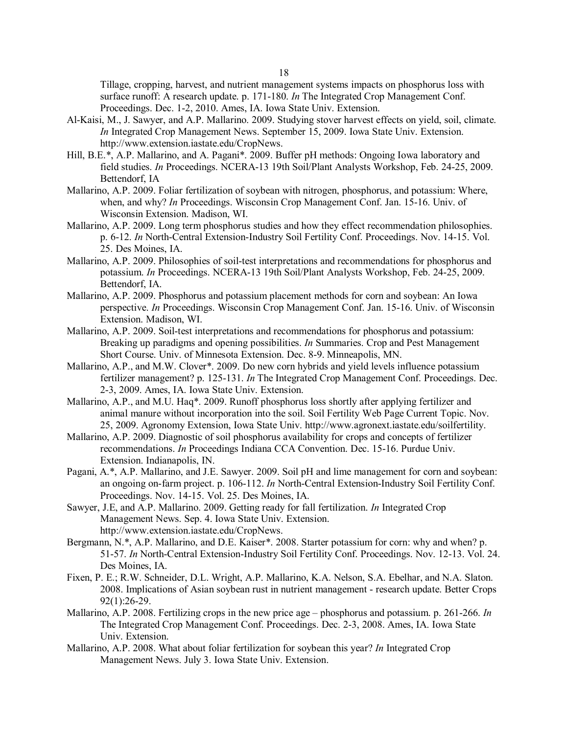Tillage, cropping, harvest, and nutrient management systems impacts on phosphorus loss with surface runoff: A research update. p. 171-180. *In* The Integrated Crop Management Conf. Proceedings. Dec. 1-2, 2010. Ames, IA. Iowa State Univ. Extension.

- Al-Kaisi, M., J. Sawyer, and A.P. Mallarino. 2009. Studying stover harvest effects on yield, soil, climate. *In* Integrated Crop Management News. September 15, 2009. Iowa State Univ. Extension. http://www.extension.iastate.edu/CropNews.
- Hill, B.E.\*, A.P. Mallarino, and A. Pagani\*. 2009. Buffer pH methods: Ongoing Iowa laboratory and field studies. *In* Proceedings. NCERA-13 19th Soil/Plant Analysts Workshop, Feb. 24-25, 2009. Bettendorf, IA
- Mallarino, A.P. 2009. Foliar fertilization of soybean with nitrogen, phosphorus, and potassium: Where, when, and why? *In* Proceedings. Wisconsin Crop Management Conf. Jan. 15-16. Univ. of Wisconsin Extension. Madison, WI.
- Mallarino, A.P. 2009. Long term phosphorus studies and how they effect recommendation philosophies. p. 6-12. *In* North-Central Extension-Industry Soil Fertility Conf. Proceedings. Nov. 14-15. Vol. 25. Des Moines, IA.
- Mallarino, A.P. 2009. Philosophies of soil-test interpretations and recommendations for phosphorus and potassium. *In* Proceedings. NCERA-13 19th Soil/Plant Analysts Workshop, Feb. 24-25, 2009. Bettendorf, IA.
- Mallarino, A.P. 2009. Phosphorus and potassium placement methods for corn and soybean: An Iowa perspective. *In* Proceedings. Wisconsin Crop Management Conf. Jan. 15-16. Univ. of Wisconsin Extension. Madison, WI.
- Mallarino, A.P. 2009. Soil-test interpretations and recommendations for phosphorus and potassium: Breaking up paradigms and opening possibilities. *In* Summaries. Crop and Pest Management Short Course. Univ. of Minnesota Extension. Dec. 8-9. Minneapolis, MN.
- Mallarino, A.P., and M.W. Clover\*. 2009. Do new corn hybrids and yield levels influence potassium fertilizer management? p. 125-131. *In* The Integrated Crop Management Conf. Proceedings. Dec. 2-3, 2009. Ames, IA. Iowa State Univ. Extension.
- Mallarino, A.P., and M.U. Haq\*. 2009. Runoff phosphorus loss shortly after applying fertilizer and animal manure without incorporation into the soil. Soil Fertility Web Page Current Topic. Nov. 25, 2009. Agronomy Extension, Iowa State Univ. http://www.agronext.iastate.edu/soilfertility.
- Mallarino, A.P. 2009. Diagnostic of soil phosphorus availability for crops and concepts of fertilizer recommendations. *In* Proceedings Indiana CCA Convention. Dec. 15-16. Purdue Univ. Extension. Indianapolis, IN.
- Pagani, A.\*, A.P. Mallarino, and J.E. Sawyer. 2009. Soil pH and lime management for corn and soybean: an ongoing on-farm project. p. 106-112. *In* North-Central Extension-Industry Soil Fertility Conf. Proceedings. Nov. 14-15. Vol. 25. Des Moines, IA.
- Sawyer, J.E, and A.P. Mallarino. 2009. Getting ready for fall fertilization. *In* Integrated Crop Management News. Sep. 4. Iowa State Univ. Extension. http://www.extension.iastate.edu/CropNews.
- Bergmann, N.\*, A.P. Mallarino, and D.E. Kaiser\*. 2008. Starter potassium for corn: why and when? p. 51-57. *In* North-Central Extension-Industry Soil Fertility Conf. Proceedings. Nov. 12-13. Vol. 24. Des Moines, IA.
- Fixen, P. E.; R.W. Schneider, D.L. Wright, A.P. Mallarino, K.A. Nelson, S.A. Ebelhar, and N.A. Slaton. 2008. Implications of Asian soybean rust in nutrient management - research update. Better Crops 92(1):26-29.
- Mallarino, A.P. 2008. Fertilizing crops in the new price age phosphorus and potassium. p. 261-266. *In* The Integrated Crop Management Conf. Proceedings. Dec. 2-3, 2008. Ames, IA. Iowa State Univ. Extension.
- Mallarino, A.P. 2008. What about foliar fertilization for soybean this year? *In* Integrated Crop Management News. July 3. Iowa State Univ. Extension.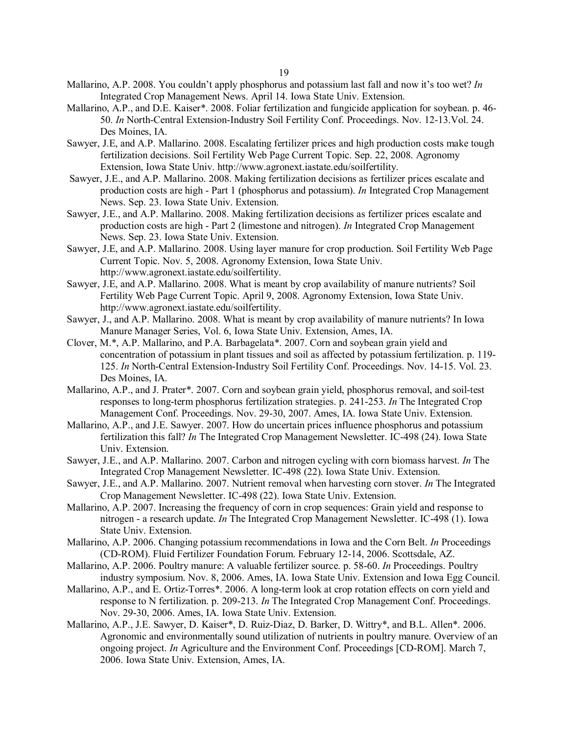- Mallarino, A.P. 2008. You couldn't apply phosphorus and potassium last fall and now it's too wet? *In* Integrated Crop Management News. April 14. Iowa State Univ. Extension.
- Mallarino, A.P., and D.E. Kaiser\*. 2008. Foliar fertilization and fungicide application for soybean. p. 46- 50. *In* North-Central Extension-Industry Soil Fertility Conf. Proceedings. Nov. 12-13.Vol. 24. Des Moines, IA.
- Sawyer, J.E, and A.P. Mallarino. 2008. Escalating fertilizer prices and high production costs make tough fertilization decisions. Soil Fertility Web Page Current Topic. Sep. 22, 2008. Agronomy Extension, Iowa State Univ. http://www.agronext.iastate.edu/soilfertility.
- Sawyer, J.E., and A.P. Mallarino. 2008. Making fertilization decisions as fertilizer prices escalate and production costs are high - Part 1 (phosphorus and potassium). *In* Integrated Crop Management News. Sep. 23. Iowa State Univ. Extension.
- Sawyer, J.E., and A.P. Mallarino. 2008. Making fertilization decisions as fertilizer prices escalate and production costs are high - Part 2 (limestone and nitrogen). *In* Integrated Crop Management News. Sep. 23. Iowa State Univ. Extension.
- Sawyer, J.E, and A.P. Mallarino. 2008. Using layer manure for crop production. Soil Fertility Web Page Current Topic. Nov. 5, 2008. Agronomy Extension, Iowa State Univ. http://www.agronext.iastate.edu/soilfertility.
- Sawyer, J.E, and A.P. Mallarino. 2008. What is meant by crop availability of manure nutrients? Soil Fertility Web Page Current Topic. April 9, 2008. Agronomy Extension, Iowa State Univ. http://www.agronext.iastate.edu/soilfertility.
- Sawyer, J., and A.P. Mallarino. 2008. What is meant by crop availability of manure nutrients? In Iowa Manure Manager Series, Vol. 6, Iowa State Univ. Extension, Ames, IA.
- Clover, M.\*, A.P. Mallarino, and P.A. Barbagelata\*. 2007. Corn and soybean grain yield and concentration of potassium in plant tissues and soil as affected by potassium fertilization. p. 119- 125. *In* North-Central Extension-Industry Soil Fertility Conf. Proceedings. Nov. 14-15. Vol. 23. Des Moines, IA.
- Mallarino, A.P., and J. Prater\*. 2007. Corn and soybean grain yield, phosphorus removal, and soil-test responses to long-term phosphorus fertilization strategies. p. 241-253. *In* The Integrated Crop Management Conf. Proceedings. Nov. 29-30, 2007. Ames, IA. Iowa State Univ. Extension.
- Mallarino, A.P., and J.E. Sawyer. 2007. How do uncertain prices influence phosphorus and potassium fertilization this fall? *In* The Integrated Crop Management Newsletter. IC-498 (24). Iowa State Univ. Extension.
- Sawyer, J.E., and A.P. Mallarino. 2007. Carbon and nitrogen cycling with corn biomass harvest. *In* The Integrated Crop Management Newsletter. IC-498 (22). Iowa State Univ. Extension.
- Sawyer, J.E., and A.P. Mallarino. 2007. Nutrient removal when harvesting corn stover. *In* The Integrated Crop Management Newsletter. IC-498 (22). Iowa State Univ. Extension.
- Mallarino, A.P. 2007. Increasing the frequency of corn in crop sequences: Grain yield and response to nitrogen - a research update. *In* The Integrated Crop Management Newsletter. IC-498 (1). Iowa State Univ. Extension.
- Mallarino, A.P. 2006. Changing potassium recommendations in Iowa and the Corn Belt. *In* Proceedings (CD-ROM). Fluid Fertilizer Foundation Forum. February 12-14, 2006. Scottsdale, AZ.
- Mallarino, A.P. 2006. Poultry manure: A valuable fertilizer source. p. 58-60. *In* Proceedings. Poultry industry symposium. Nov. 8, 2006. Ames, IA. Iowa State Univ. Extension and Iowa Egg Council.
- Mallarino, A.P., and E. Ortiz-Torres\*. 2006. A long-term look at crop rotation effects on corn yield and response to N fertilization. p. 209-213. *In* The Integrated Crop Management Conf. Proceedings. Nov. 29-30, 2006. Ames, IA. Iowa State Univ. Extension.
- Mallarino, A.P., J.E. Sawyer, D. Kaiser\*, D. Ruiz-Diaz, D. Barker, D. Wittry\*, and B.L. Allen\*. 2006. Agronomic and environmentally sound utilization of nutrients in poultry manure. Overview of an ongoing project. *In* Agriculture and the Environment Conf. Proceedings [CD-ROM]. March 7, 2006. Iowa State Univ. Extension, Ames, IA.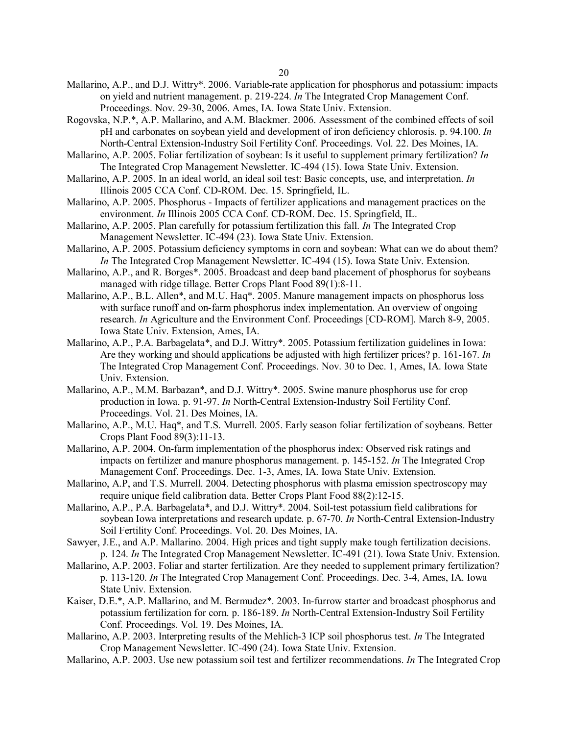- Mallarino, A.P., and D.J. Wittry\*. 2006. Variable-rate application for phosphorus and potassium: impacts on yield and nutrient management. p. 219-224. *In* The Integrated Crop Management Conf. Proceedings. Nov. 29-30, 2006. Ames, IA. Iowa State Univ. Extension.
- Rogovska, N.P.\*, A.P. Mallarino, and A.M. Blackmer. 2006. Assessment of the combined effects of soil pH and carbonates on soybean yield and development of iron deficiency chlorosis. p. 94.100. *In* North-Central Extension-Industry Soil Fertility Conf. Proceedings. Vol. 22. Des Moines, IA.
- Mallarino, A.P. 2005. Foliar fertilization of soybean: Is it useful to supplement primary fertilization? *In* The Integrated Crop Management Newsletter. IC-494 (15). Iowa State Univ. Extension.
- Mallarino, A.P. 2005. In an ideal world, an ideal soil test: Basic concepts, use, and interpretation. *In* Illinois 2005 CCA Conf. CD-ROM. Dec. 15. Springfield, IL.
- Mallarino, A.P. 2005. Phosphorus Impacts of fertilizer applications and management practices on the environment. *In* Illinois 2005 CCA Conf. CD-ROM. Dec. 15. Springfield, IL.
- Mallarino, A.P. 2005. Plan carefully for potassium fertilization this fall. *In* The Integrated Crop Management Newsletter. IC-494 (23). Iowa State Univ. Extension.
- Mallarino, A.P. 2005. Potassium deficiency symptoms in corn and soybean: What can we do about them? *In* The Integrated Crop Management Newsletter. IC-494 (15). Iowa State Univ. Extension.
- Mallarino, A.P., and R. Borges\*. 2005. Broadcast and deep band placement of phosphorus for soybeans managed with ridge tillage. Better Crops Plant Food 89(1):8-11.
- Mallarino, A.P., B.L. Allen\*, and M.U. Haq\*. 2005. Manure management impacts on phosphorus loss with surface runoff and on-farm phosphorus index implementation. An overview of ongoing research. *In* Agriculture and the Environment Conf. Proceedings [CD-ROM]. March 8-9, 2005. Iowa State Univ. Extension, Ames, IA.
- Mallarino, A.P., P.A. Barbagelata\*, and D.J. Wittry\*. 2005. Potassium fertilization guidelines in Iowa: Are they working and should applications be adjusted with high fertilizer prices? p. 161-167. *In* The Integrated Crop Management Conf. Proceedings. Nov. 30 to Dec. 1, Ames, IA. Iowa State Univ. Extension.
- Mallarino, A.P., M.M. Barbazan\*, and D.J. Wittry\*. 2005. Swine manure phosphorus use for crop production in Iowa. p. 91-97. *In* North-Central Extension-Industry Soil Fertility Conf. Proceedings. Vol. 21. Des Moines, IA.
- Mallarino, A.P., M.U. Haq\*, and T.S. Murrell. 2005. Early season foliar fertilization of soybeans. Better Crops Plant Food 89(3):11-13.
- Mallarino, A.P. 2004. On-farm implementation of the phosphorus index: Observed risk ratings and impacts on fertilizer and manure phosphorus management. p. 145-152. *In* The Integrated Crop Management Conf. Proceedings. Dec. 1-3, Ames, IA. Iowa State Univ. Extension.
- Mallarino, A.P, and T.S. Murrell. 2004. Detecting phosphorus with plasma emission spectroscopy may require unique field calibration data. Better Crops Plant Food 88(2):12-15.
- Mallarino, A.P., P.A. Barbagelata\*, and D.J. Wittry\*. 2004. Soil-test potassium field calibrations for soybean Iowa interpretations and research update. p. 67-70. *In* North-Central Extension-Industry Soil Fertility Conf. Proceedings. Vol. 20. Des Moines, IA.
- Sawyer, J.E., and A.P. Mallarino. 2004. High prices and tight supply make tough fertilization decisions. p. 124. *In* The Integrated Crop Management Newsletter. IC-491 (21). Iowa State Univ. Extension.
- Mallarino, A.P. 2003. Foliar and starter fertilization. Are they needed to supplement primary fertilization? p. 113-120. *In* The Integrated Crop Management Conf. Proceedings. Dec. 3-4, Ames, IA. Iowa State Univ. Extension.
- Kaiser, D.E.\*, A.P. Mallarino, and M. Bermudez\*. 2003. In-furrow starter and broadcast phosphorus and potassium fertilization for corn. p. 186-189. *In* North-Central Extension-Industry Soil Fertility Conf. Proceedings. Vol. 19. Des Moines, IA.
- Mallarino, A.P. 2003. Interpreting results of the Mehlich-3 ICP soil phosphorus test. *In* The Integrated Crop Management Newsletter. IC-490 (24). Iowa State Univ. Extension.
- Mallarino, A.P. 2003. Use new potassium soil test and fertilizer recommendations. *In* The Integrated Crop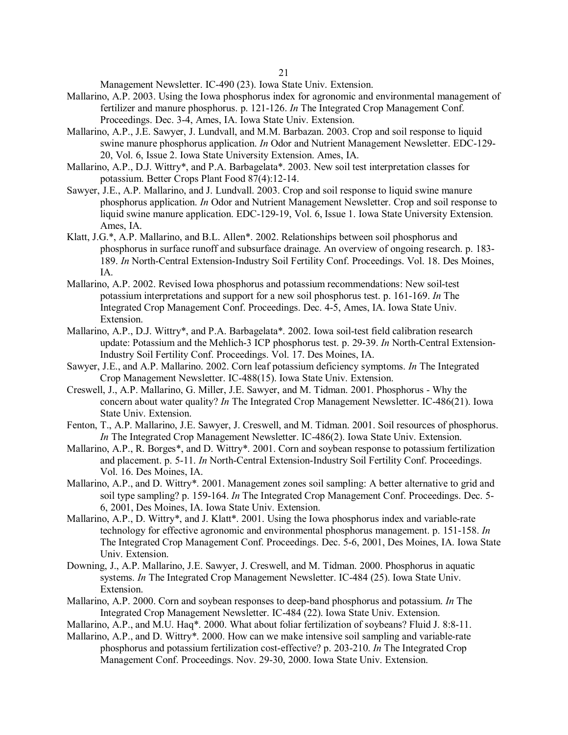Management Newsletter. IC-490 (23). Iowa State Univ. Extension.

- Mallarino, A.P. 2003. Using the Iowa phosphorus index for agronomic and environmental management of fertilizer and manure phosphorus. p. 121-126. *In* The Integrated Crop Management Conf. Proceedings. Dec. 3-4, Ames, IA. Iowa State Univ. Extension.
- Mallarino, A.P., J.E. Sawyer, J. Lundvall, and M.M. Barbazan. 2003. Crop and soil response to liquid swine manure phosphorus application. *In* Odor and Nutrient Management Newsletter. EDC-129- 20, Vol. 6, Issue 2. Iowa State University Extension. Ames, IA.
- Mallarino, A.P., D.J. Wittry\*, and P.A. Barbagelata\*. 2003. New soil test interpretation classes for potassium. Better Crops Plant Food 87(4):12-14.
- Sawyer, J.E., A.P. Mallarino, and J. Lundvall. 2003. Crop and soil response to liquid swine manure phosphorus application. *In* Odor and Nutrient Management Newsletter. Crop and soil response to liquid swine manure application. EDC-129-19, Vol. 6, Issue 1. Iowa State University Extension. Ames, IA.
- Klatt, J.G.\*, A.P. Mallarino, and B.L. Allen\*. 2002. Relationships between soil phosphorus and phosphorus in surface runoff and subsurface drainage. An overview of ongoing research. p. 183- 189. *In* North-Central Extension-Industry Soil Fertility Conf. Proceedings. Vol. 18. Des Moines, IA.
- Mallarino, A.P. 2002. Revised Iowa phosphorus and potassium recommendations: New soil-test potassium interpretations and support for a new soil phosphorus test. p. 161-169. *In* The Integrated Crop Management Conf. Proceedings. Dec. 4-5, Ames, IA. Iowa State Univ. Extension.
- Mallarino, A.P., D.J. Wittry\*, and P.A. Barbagelata\*. 2002. Iowa soil-test field calibration research update: Potassium and the Mehlich-3 ICP phosphorus test. p. 29-39. *In* North-Central Extension-Industry Soil Fertility Conf. Proceedings. Vol. 17. Des Moines, IA.
- Sawyer, J.E., and A.P. Mallarino. 2002. Corn leaf potassium deficiency symptoms. *In* The Integrated Crop Management Newsletter. IC-488(15). Iowa State Univ. Extension.
- Creswell, J., A.P. Mallarino, G. Miller, J.E. Sawyer, and M. Tidman. 2001. Phosphorus Why the concern about water quality? *In* The Integrated Crop Management Newsletter. IC-486(21). Iowa State Univ. Extension.
- Fenton, T., A.P. Mallarino, J.E. Sawyer, J. Creswell, and M. Tidman. 2001. Soil resources of phosphorus. *In* The Integrated Crop Management Newsletter. IC-486(2). Iowa State Univ. Extension.
- Mallarino, A.P., R. Borges\*, and D. Wittry\*. 2001. Corn and soybean response to potassium fertilization and placement. p. 5-11. *In* North-Central Extension-Industry Soil Fertility Conf. Proceedings. Vol. 16. Des Moines, IA.
- Mallarino, A.P., and D. Wittry\*. 2001. Management zones soil sampling: A better alternative to grid and soil type sampling? p. 159-164. *In* The Integrated Crop Management Conf. Proceedings. Dec. 5- 6, 2001, Des Moines, IA. Iowa State Univ. Extension.
- Mallarino, A.P., D. Wittry\*, and J. Klatt\*. 2001. Using the Iowa phosphorus index and variable-rate technology for effective agronomic and environmental phosphorus management. p. 151-158. *In* The Integrated Crop Management Conf. Proceedings. Dec. 5-6, 2001, Des Moines, IA. Iowa State Univ. Extension.
- Downing, J., A.P. Mallarino, J.E. Sawyer, J. Creswell, and M. Tidman. 2000. Phosphorus in aquatic systems. *In* The Integrated Crop Management Newsletter. IC-484 (25). Iowa State Univ. Extension.
- Mallarino, A.P. 2000. Corn and soybean responses to deep-band phosphorus and potassium. *In* The Integrated Crop Management Newsletter. IC-484 (22). Iowa State Univ. Extension.
- Mallarino, A.P., and M.U. Haq\*. 2000. What about foliar fertilization of soybeans? Fluid J. 8:8-11.
- Mallarino, A.P., and D. Wittry\*. 2000. How can we make intensive soil sampling and variable-rate phosphorus and potassium fertilization cost-effective? p. 203-210. *In* The Integrated Crop Management Conf. Proceedings. Nov. 29-30, 2000. Iowa State Univ. Extension.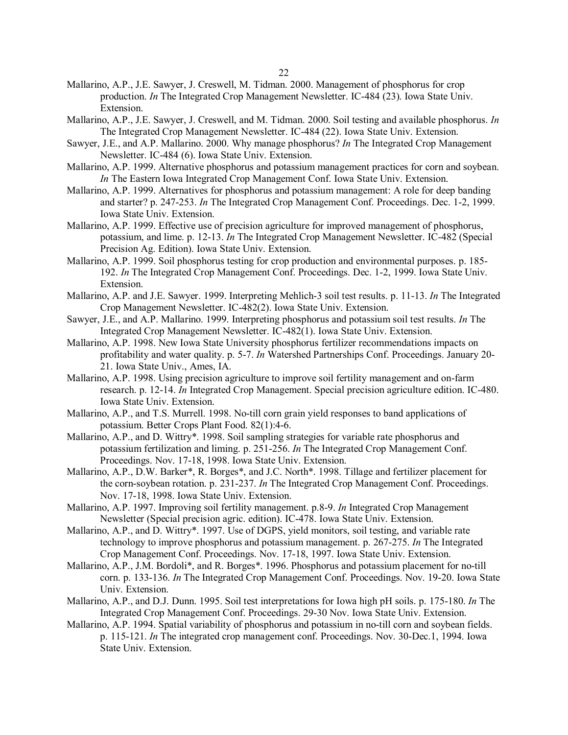- Mallarino, A.P., J.E. Sawyer, J. Creswell, M. Tidman. 2000. Management of phosphorus for crop production. *In* The Integrated Crop Management Newsletter. IC-484 (23). Iowa State Univ. Extension.
- Mallarino, A.P., J.E. Sawyer, J. Creswell, and M. Tidman. 2000. Soil testing and available phosphorus. *In* The Integrated Crop Management Newsletter. IC-484 (22). Iowa State Univ. Extension.
- Sawyer, J.E., and A.P. Mallarino. 2000. Why manage phosphorus? *In* The Integrated Crop Management Newsletter. IC-484 (6). Iowa State Univ. Extension.
- Mallarino, A.P. 1999. Alternative phosphorus and potassium management practices for corn and soybean. *In* The Eastern Iowa Integrated Crop Management Conf. Iowa State Univ. Extension.
- Mallarino, A.P. 1999. Alternatives for phosphorus and potassium management: A role for deep banding and starter? p. 247-253. *In* The Integrated Crop Management Conf. Proceedings. Dec. 1-2, 1999. Iowa State Univ. Extension.
- Mallarino, A.P. 1999. Effective use of precision agriculture for improved management of phosphorus, potassium, and lime. p. 12-13. *In* The Integrated Crop Management Newsletter. IC-482 (Special Precision Ag. Edition). Iowa State Univ. Extension.
- Mallarino, A.P. 1999. Soil phosphorus testing for crop production and environmental purposes. p. 185- 192. *In* The Integrated Crop Management Conf. Proceedings. Dec. 1-2, 1999. Iowa State Univ. Extension.
- Mallarino, A.P. and J.E. Sawyer. 1999. Interpreting Mehlich-3 soil test results. p. 11-13. *In* The Integrated Crop Management Newsletter. IC-482(2). Iowa State Univ. Extension.
- Sawyer, J.E., and A.P. Mallarino. 1999. Interpreting phosphorus and potassium soil test results. *In* The Integrated Crop Management Newsletter. IC-482(1). Iowa State Univ. Extension.
- Mallarino, A.P. 1998. New Iowa State University phosphorus fertilizer recommendations impacts on profitability and water quality. p. 5-7. *In* Watershed Partnerships Conf. Proceedings. January 20- 21. Iowa State Univ., Ames, IA.
- Mallarino, A.P. 1998. Using precision agriculture to improve soil fertility management and on-farm research. p. 12-14. *In* Integrated Crop Management. Special precision agriculture edition. IC-480. Iowa State Univ. Extension.
- Mallarino, A.P., and T.S. Murrell. 1998. No-till corn grain yield responses to band applications of potassium. Better Crops Plant Food. 82(1):4-6.
- Mallarino, A.P., and D. Wittry\*. 1998. Soil sampling strategies for variable rate phosphorus and potassium fertilization and liming. p. 251-256. *In* The Integrated Crop Management Conf. Proceedings. Nov. 17-18, 1998. Iowa State Univ. Extension.
- Mallarino, A.P., D.W. Barker\*, R. Borges\*, and J.C. North\*. 1998. Tillage and fertilizer placement for the corn-soybean rotation. p. 231-237. *In* The Integrated Crop Management Conf. Proceedings. Nov. 17-18, 1998. Iowa State Univ. Extension.
- Mallarino, A.P. 1997. Improving soil fertility management. p.8-9. *In* Integrated Crop Management Newsletter (Special precision agric. edition). IC-478. Iowa State Univ. Extension.
- Mallarino, A.P., and D. Wittry\*. 1997. Use of DGPS, yield monitors, soil testing, and variable rate technology to improve phosphorus and potassium management. p. 267-275. *In* The Integrated Crop Management Conf. Proceedings. Nov. 17-18, 1997. Iowa State Univ. Extension.
- Mallarino, A.P., J.M. Bordoli\*, and R. Borges\*. 1996. Phosphorus and potassium placement for no-till corn. p. 133-136. *In* The Integrated Crop Management Conf. Proceedings. Nov. 19-20. Iowa State Univ. Extension.
- Mallarino, A.P., and D.J. Dunn. 1995. Soil test interpretations for Iowa high pH soils. p. 175-180. *In* The Integrated Crop Management Conf. Proceedings. 29-30 Nov. Iowa State Univ. Extension.
- Mallarino, A.P. 1994. Spatial variability of phosphorus and potassium in no-till corn and soybean fields. p. 115-121. *In* The integrated crop management conf. Proceedings. Nov. 30-Dec.1, 1994. Iowa State Univ. Extension.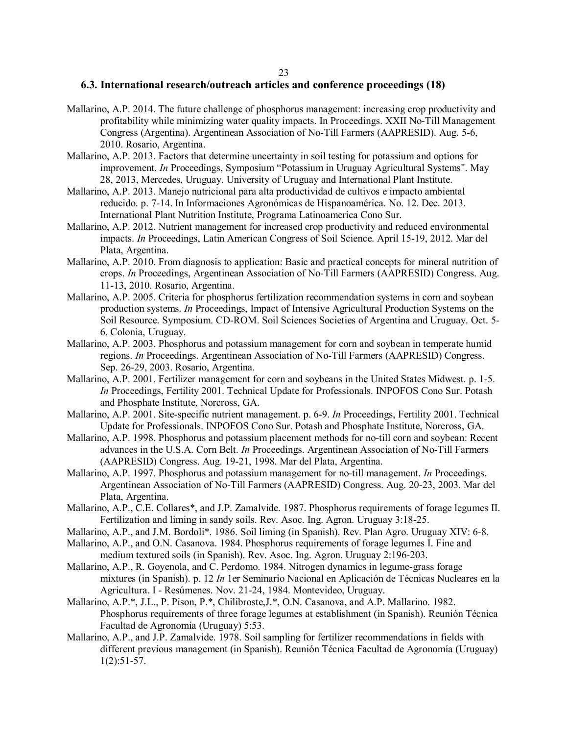#### **6.3. International research/outreach articles and conference proceedings (18)**

- Mallarino, A.P. 2014. The future challenge of phosphorus management: increasing crop productivity and profitability while minimizing water quality impacts. In Proceedings. XXII No-Till Management Congress (Argentina). Argentinean Association of No-Till Farmers (AAPRESID). Aug. 5-6, 2010. Rosario, Argentina.
- Mallarino, A.P. 2013. Factors that determine uncertainty in soil testing for potassium and options for improvement. *In* Proceedings, Symposium "Potassium in Uruguay Agricultural Systems". May 28, 2013, Mercedes, Uruguay. University of Uruguay and International Plant Institute.
- Mallarino, A.P. 2013. Manejo nutricional para alta productividad de cultivos e impacto ambiental reducido. p. 7-14. In Informaciones Agronómicas de Hispanoamérica. No. 12. Dec. 2013. International Plant Nutrition Institute, Programa Latinoamerica Cono Sur.
- Mallarino, A.P. 2012. Nutrient management for increased crop productivity and reduced environmental impacts. *In* Proceedings, Latin American Congress of Soil Science. April 15-19, 2012. Mar del Plata, Argentina.
- Mallarino, A.P. 2010. From diagnosis to application: Basic and practical concepts for mineral nutrition of crops. *In* Proceedings, Argentinean Association of No-Till Farmers (AAPRESID) Congress. Aug. 11-13, 2010. Rosario, Argentina.
- Mallarino, A.P. 2005. Criteria for phosphorus fertilization recommendation systems in corn and soybean production systems. *In* Proceedings, Impact of Intensive Agricultural Production Systems on the Soil Resource. Symposium. CD-ROM. Soil Sciences Societies of Argentina and Uruguay. Oct. 5- 6. Colonia, Uruguay.
- Mallarino, A.P. 2003. Phosphorus and potassium management for corn and soybean in temperate humid regions. *In* Proceedings. Argentinean Association of No-Till Farmers (AAPRESID) Congress. Sep. 26-29, 2003. Rosario, Argentina.
- Mallarino, A.P. 2001. Fertilizer management for corn and soybeans in the United States Midwest. p. 1-5. *In* Proceedings, Fertility 2001. Technical Update for Professionals. INPOFOS Cono Sur. Potash and Phosphate Institute, Norcross, GA.
- Mallarino, A.P. 2001. Site-specific nutrient management. p. 6-9. *In* Proceedings, Fertility 2001. Technical Update for Professionals. INPOFOS Cono Sur. Potash and Phosphate Institute, Norcross, GA.
- Mallarino, A.P. 1998. Phosphorus and potassium placement methods for no-till corn and soybean: Recent advances in the U.S.A. Corn Belt. *In* Proceedings. Argentinean Association of No-Till Farmers (AAPRESID) Congress. Aug. 19-21, 1998. Mar del Plata, Argentina.
- Mallarino, A.P. 1997. Phosphorus and potassium management for no-till management. *In* Proceedings. Argentinean Association of No-Till Farmers (AAPRESID) Congress. Aug. 20-23, 2003. Mar del Plata, Argentina.
- Mallarino, A.P., C.E. Collares\*, and J.P. Zamalvide. 1987. Phosphorus requirements of forage legumes II. Fertilization and liming in sandy soils. Rev. Asoc. Ing. Agron. Uruguay 3:18-25.
- Mallarino, A.P., and J.M. Bordoli\*. 1986. Soil liming (in Spanish). Rev. Plan Agro. Uruguay XIV: 6-8.
- Mallarino, A.P., and O.N. Casanova. 1984. Phosphorus requirements of forage legumes I. Fine and medium textured soils (in Spanish). Rev. Asoc. Ing. Agron. Uruguay 2:196-203.
- Mallarino, A.P., R. Goyenola, and C. Perdomo. 1984. Nitrogen dynamics in legume-grass forage mixtures (in Spanish). p. 12 *In* 1er Seminario Nacional en Aplicación de Técnicas Nucleares en la Agricultura. I - Resúmenes. Nov. 21-24, 1984. Montevideo, Uruguay.
- Mallarino, A.P.\*, J.L., P. Pison, P.\*, Chilibroste,J.\*, O.N. Casanova, and A.P. Mallarino. 1982. Phosphorus requirements of three forage legumes at establishment (in Spanish). Reunión Técnica Facultad de Agronomía (Uruguay) 5:53.
- Mallarino, A.P., and J.P. Zamalvide. 1978. Soil sampling for fertilizer recommendations in fields with different previous management (in Spanish). Reunión Técnica Facultad de Agronomía (Uruguay)  $1(2):51-57.$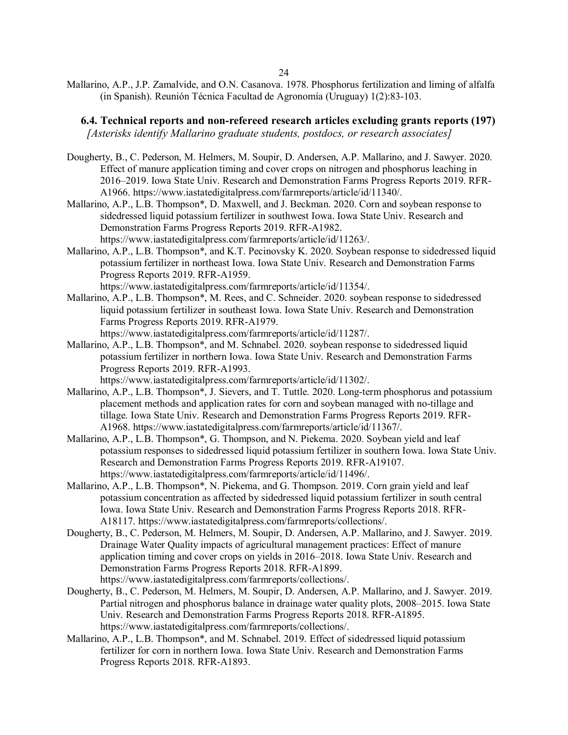Mallarino, A.P., J.P. Zamalvide, and O.N. Casanova. 1978. Phosphorus fertilization and liming of alfalfa (in Spanish). Reunión Técnica Facultad de Agronomía (Uruguay) 1(2):83-103.

 **6.4. Technical reports and non-refereed research articles excluding grants reports (197)** *[Asterisks identify Mallarino graduate students, postdocs, or research associates]*

- Dougherty, B., C. Pederson, M. Helmers, M. Soupir, D. Andersen, A.P. Mallarino, and J. Sawyer. 2020. Effect of manure application timing and cover crops on nitrogen and phosphorus leaching in 2016–2019. Iowa State Univ. Research and Demonstration Farms Progress Reports 2019. RFR-A1966. https://www.iastatedigitalpress.com/farmreports/article/id/11340/.
- Mallarino, A.P., L.B. Thompson\*, D. Maxwell, and J. Beckman. 2020. Corn and soybean response to sidedressed liquid potassium fertilizer in southwest Iowa. Iowa State Univ. Research and Demonstration Farms Progress Reports 2019. RFR-A1982. https://www.iastatedigitalpress.com/farmreports/article/id/11263/.
- Mallarino, A.P., L.B. Thompson\*, and K.T. Pecinovsky K. 2020. Soybean response to sidedressed liquid potassium fertilizer in northeast Iowa. Iowa State Univ. Research and Demonstration Farms Progress Reports 2019. RFR-A1959.

https://www.iastatedigitalpress.com/farmreports/article/id/11354/.

Mallarino, A.P., L.B. Thompson\*, M. Rees, and C. Schneider. 2020. soybean response to sidedressed liquid potassium fertilizer in southeast Iowa. Iowa State Univ. Research and Demonstration Farms Progress Reports 2019. RFR-A1979.

https://www.iastatedigitalpress.com/farmreports/article/id/11287/.

Mallarino, A.P., L.B. Thompson\*, and M. Schnabel. 2020. soybean response to sidedressed liquid potassium fertilizer in northern Iowa. Iowa State Univ. Research and Demonstration Farms Progress Reports 2019. RFR-A1993.

https://www.iastatedigitalpress.com/farmreports/article/id/11302/.

- Mallarino, A.P., L.B. Thompson\*, J. Sievers, and T. Tuttle. 2020. Long-term phosphorus and potassium placement methods and application rates for corn and soybean managed with no-tillage and tillage. Iowa State Univ. Research and Demonstration Farms Progress Reports 2019. RFR-A1968. https://www.iastatedigitalpress.com/farmreports/article/id/11367/.
- Mallarino, A.P., L.B. Thompson\*, G. Thompson, and N. Piekema. 2020. Soybean yield and leaf potassium responses to sidedressed liquid potassium fertilizer in southern Iowa. Iowa State Univ. Research and Demonstration Farms Progress Reports 2019. RFR-A19107. https://www.iastatedigitalpress.com/farmreports/article/id/11496/.
- Mallarino, A.P., L.B. Thompson\*, N. Piekema, and G. Thompson. 2019. Corn grain yield and leaf potassium concentration as affected by sidedressed liquid potassium fertilizer in south central Iowa. Iowa State Univ. Research and Demonstration Farms Progress Reports 2018. RFR-A18117. https://www.iastatedigitalpress.com/farmreports/collections/.
- Dougherty, B., C. Pederson, M. Helmers, M. Soupir, D. Andersen, A.P. Mallarino, and J. Sawyer. 2019. Drainage Water Quality impacts of agricultural management practices: Effect of manure application timing and cover crops on yields in 2016–2018. Iowa State Univ. Research and Demonstration Farms Progress Reports 2018. RFR-A1899. https://www.iastatedigitalpress.com/farmreports/collections/.
- Dougherty, B., C. Pederson, M. Helmers, M. Soupir, D. Andersen, A.P. Mallarino, and J. Sawyer. 2019. Partial nitrogen and phosphorus balance in drainage water quality plots, 2008–2015. Iowa State Univ. Research and Demonstration Farms Progress Reports 2018. RFR-A1895. https://www.iastatedigitalpress.com/farmreports/collections/.
- Mallarino, A.P., L.B. Thompson\*, and M. Schnabel. 2019. Effect of sidedressed liquid potassium fertilizer for corn in northern Iowa. Iowa State Univ. Research and Demonstration Farms Progress Reports 2018. RFR-A1893.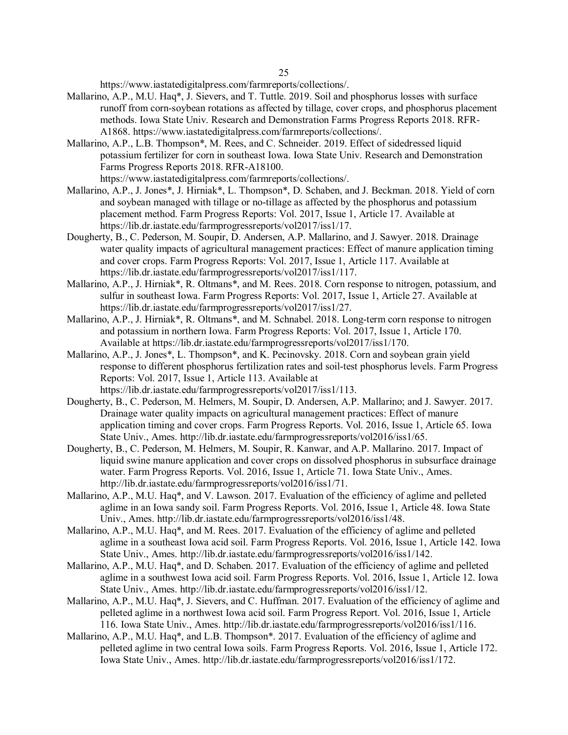https://www.iastatedigitalpress.com/farmreports/collections/.

- Mallarino, A.P., M.U. Haq\*, J. Sievers, and T. Tuttle. 2019. Soil and phosphorus losses with surface runoff from corn-soybean rotations as affected by tillage, cover crops, and phosphorus placement methods. Iowa State Univ. Research and Demonstration Farms Progress Reports 2018. RFR-A1868. https://www.iastatedigitalpress.com/farmreports/collections/.
- Mallarino, A.P., L.B. Thompson\*, M. Rees, and C. Schneider. 2019. Effect of sidedressed liquid potassium fertilizer for corn in southeast Iowa. Iowa State Univ. Research and Demonstration Farms Progress Reports 2018. RFR-A18100.

https://www.iastatedigitalpress.com/farmreports/collections/.

- Mallarino, A.P., J. Jones\*, J. Hirniak\*, L. Thompson\*, D. Schaben, and J. Beckman. 2018. Yield of corn and soybean managed with tillage or no-tillage as affected by the phosphorus and potassium placement method. Farm Progress Reports: Vol. 2017, Issue 1, Article 17. Available at https://lib.dr.iastate.edu/farmprogressreports/vol2017/iss1/17.
- Dougherty, B., C. Pederson, M. Soupir, D. Andersen, A.P. Mallarino, and J. Sawyer. 2018. Drainage water quality impacts of agricultural management practices: Effect of manure application timing and cover crops. Farm Progress Reports: Vol. 2017, Issue 1, Article 117. Available at https://lib.dr.iastate.edu/farmprogressreports/vol2017/iss1/117.
- Mallarino, A.P., J. Hirniak\*, R. Oltmans\*, and M. Rees. 2018. Corn response to nitrogen, potassium, and sulfur in southeast Iowa. Farm Progress Reports: Vol. 2017, Issue 1, Article 27. Available at https://lib.dr.iastate.edu/farmprogressreports/vol2017/iss1/27.
- Mallarino, A.P., J. Hirniak\*, R. Oltmans\*, and M. Schnabel. 2018. Long-term corn response to nitrogen and potassium in northern Iowa. Farm Progress Reports: Vol. 2017, Issue 1, Article 170. Available at https://lib.dr.iastate.edu/farmprogressreports/vol2017/iss1/170.
- Mallarino, A.P., J. Jones\*, L. Thompson\*, and K. Pecinovsky. 2018. Corn and soybean grain yield response to different phosphorus fertilization rates and soil-test phosphorus levels. Farm Progress Reports: Vol. 2017, Issue 1, Article 113. Available at https://lib.dr.iastate.edu/farmprogressreports/vol2017/iss1/113.
- Dougherty, B., C. Pederson, M. Helmers, M. Soupir, D. Andersen, A.P. Mallarino; and J. Sawyer. 2017. Drainage water quality impacts on agricultural management practices: Effect of manure application timing and cover crops. Farm Progress Reports. Vol. 2016, Issue 1, Article 65. Iowa State Univ., Ames. http://lib.dr.iastate.edu/farmprogressreports/vol2016/iss1/65.
- Dougherty, B., C. Pederson, M. Helmers, M. Soupir, R. Kanwar, and A.P. Mallarino. 2017. Impact of liquid swine manure application and cover crops on dissolved phosphorus in subsurface drainage water. Farm Progress Reports. Vol. 2016, Issue 1, Article 71. Iowa State Univ., Ames. http://lib.dr.iastate.edu/farmprogressreports/vol2016/iss1/71.
- Mallarino, A.P., M.U. Haq\*, and V. Lawson. 2017. Evaluation of the efficiency of aglime and pelleted aglime in an Iowa sandy soil. Farm Progress Reports. Vol. 2016, Issue 1, Article 48. Iowa State Univ., Ames. http://lib.dr.iastate.edu/farmprogressreports/vol2016/iss1/48.
- Mallarino, A.P., M.U. Haq\*, and M. Rees. 2017. Evaluation of the efficiency of aglime and pelleted aglime in a southeast Iowa acid soil. Farm Progress Reports. Vol. 2016, Issue 1, Article 142. Iowa State Univ., Ames. http://lib.dr.iastate.edu/farmprogressreports/vol2016/iss1/142.
- Mallarino, A.P., M.U. Haq\*, and D. Schaben. 2017. Evaluation of the efficiency of aglime and pelleted aglime in a southwest Iowa acid soil. Farm Progress Reports. Vol. 2016, Issue 1, Article 12. Iowa State Univ., Ames. http://lib.dr.iastate.edu/farmprogressreports/vol2016/iss1/12.
- Mallarino, A.P., M.U. Haq\*, J. Sievers, and C. Huffman. 2017. Evaluation of the efficiency of aglime and pelleted aglime in a northwest Iowa acid soil. Farm Progress Report. Vol. 2016, Issue 1, Article 116. Iowa State Univ., Ames. http://lib.dr.iastate.edu/farmprogressreports/vol2016/iss1/116.
- Mallarino, A.P., M.U. Haq<sup>\*</sup>, and L.B. Thompson<sup>\*</sup>. 2017. Evaluation of the efficiency of aglime and pelleted aglime in two central Iowa soils. Farm Progress Reports. Vol. 2016, Issue 1, Article 172. Iowa State Univ., Ames. http://lib.dr.iastate.edu/farmprogressreports/vol2016/iss1/172.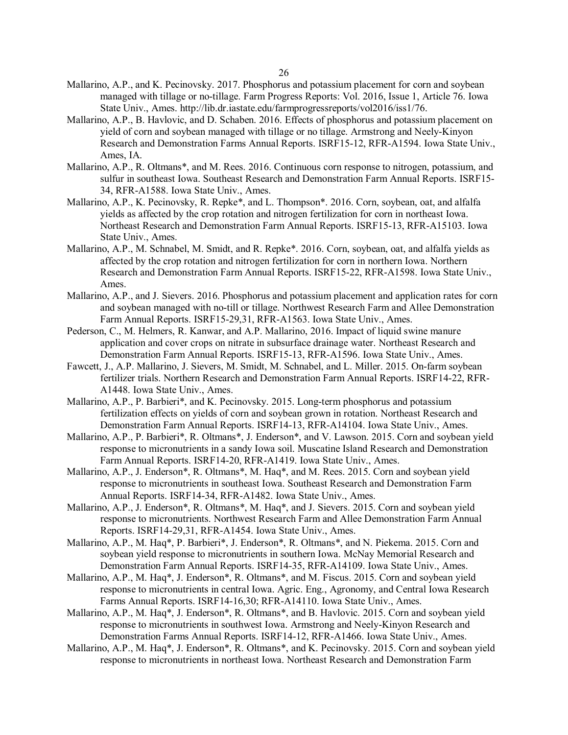- Mallarino, A.P., and K. Pecinovsky. 2017. Phosphorus and potassium placement for corn and soybean managed with tillage or no-tillage. Farm Progress Reports: Vol. 2016, Issue 1, Article 76. Iowa State Univ., Ames. http://lib.dr.iastate.edu/farmprogressreports/vol2016/iss1/76.
- Mallarino, A.P., B. Havlovic, and D. Schaben. 2016. Effects of phosphorus and potassium placement on yield of corn and soybean managed with tillage or no tillage. Armstrong and Neely-Kinyon Research and Demonstration Farms Annual Reports. ISRF15-12, RFR-A1594. Iowa State Univ., Ames, IA.
- Mallarino, A.P., R. Oltmans\*, and M. Rees. 2016. Continuous corn response to nitrogen, potassium, and sulfur in southeast Iowa. Southeast Research and Demonstration Farm Annual Reports. ISRF15- 34, RFR-A1588. Iowa State Univ., Ames.
- Mallarino, A.P., K. Pecinovsky, R. Repke\*, and L. Thompson\*. 2016. Corn, soybean, oat, and alfalfa yields as affected by the crop rotation and nitrogen fertilization for corn in northeast Iowa. Northeast Research and Demonstration Farm Annual Reports. ISRF15-13, RFR-A15103. Iowa State Univ., Ames.
- Mallarino, A.P., M. Schnabel, M. Smidt, and R. Repke\*. 2016. Corn, soybean, oat, and alfalfa yields as affected by the crop rotation and nitrogen fertilization for corn in northern Iowa. Northern Research and Demonstration Farm Annual Reports. ISRF15-22, RFR-A1598. Iowa State Univ., Ames.
- Mallarino, A.P., and J. Sievers. 2016. Phosphorus and potassium placement and application rates for corn and soybean managed with no-till or tillage. Northwest Research Farm and Allee Demonstration Farm Annual Reports. ISRF15-29,31, RFR-A1563. Iowa State Univ., Ames.
- Pederson, C., M. Helmers, R. Kanwar, and A.P. Mallarino, 2016. Impact of liquid swine manure application and cover crops on nitrate in subsurface drainage water. Northeast Research and Demonstration Farm Annual Reports. ISRF15-13, RFR-A1596. Iowa State Univ., Ames.
- Fawcett, J., A.P. Mallarino, J. Sievers, M. Smidt, M. Schnabel, and L. Miller. 2015. On-farm soybean fertilizer trials. Northern Research and Demonstration Farm Annual Reports. ISRF14-22, RFR-A1448. Iowa State Univ., Ames.
- Mallarino, A.P., P. Barbieri\*, and K. Pecinovsky. 2015. Long-term phosphorus and potassium fertilization effects on yields of corn and soybean grown in rotation. Northeast Research and Demonstration Farm Annual Reports. ISRF14-13, RFR-A14104. Iowa State Univ., Ames.
- Mallarino, A.P., P. Barbieri\*, R. Oltmans\*, J. Enderson\*, and V. Lawson. 2015. Corn and soybean yield response to micronutrients in a sandy Iowa soil. Muscatine Island Research and Demonstration Farm Annual Reports. ISRF14-20, RFR-A1419. Iowa State Univ., Ames.
- Mallarino, A.P., J. Enderson\*, R. Oltmans\*, M. Haq\*, and M. Rees. 2015. Corn and soybean yield response to micronutrients in southeast Iowa. Southeast Research and Demonstration Farm Annual Reports. ISRF14-34, RFR-A1482. Iowa State Univ., Ames.
- Mallarino, A.P., J. Enderson\*, R. Oltmans\*, M. Haq\*, and J. Sievers. 2015. Corn and soybean yield response to micronutrients. Northwest Research Farm and Allee Demonstration Farm Annual Reports. ISRF14-29,31, RFR-A1454. Iowa State Univ., Ames.
- Mallarino, A.P., M. Haq\*, P. Barbieri\*, J. Enderson\*, R. Oltmans\*, and N. Piekema. 2015. Corn and soybean yield response to micronutrients in southern Iowa. McNay Memorial Research and Demonstration Farm Annual Reports. ISRF14-35, RFR-A14109. Iowa State Univ., Ames.
- Mallarino, A.P., M. Haq\*, J. Enderson\*, R. Oltmans\*, and M. Fiscus. 2015. Corn and soybean yield response to micronutrients in central Iowa. Agric. Eng., Agronomy, and Central Iowa Research Farms Annual Reports. ISRF14-16,30; RFR-A14110. Iowa State Univ., Ames.
- Mallarino, A.P., M. Haq\*, J. Enderson\*, R. Oltmans\*, and B. Havlovic. 2015. Corn and soybean yield response to micronutrients in southwest Iowa. Armstrong and Neely-Kinyon Research and Demonstration Farms Annual Reports. ISRF14-12, RFR-A1466. Iowa State Univ., Ames.
- Mallarino, A.P., M. Haq\*, J. Enderson\*, R. Oltmans\*, and K. Pecinovsky. 2015. Corn and soybean yield response to micronutrients in northeast Iowa. Northeast Research and Demonstration Farm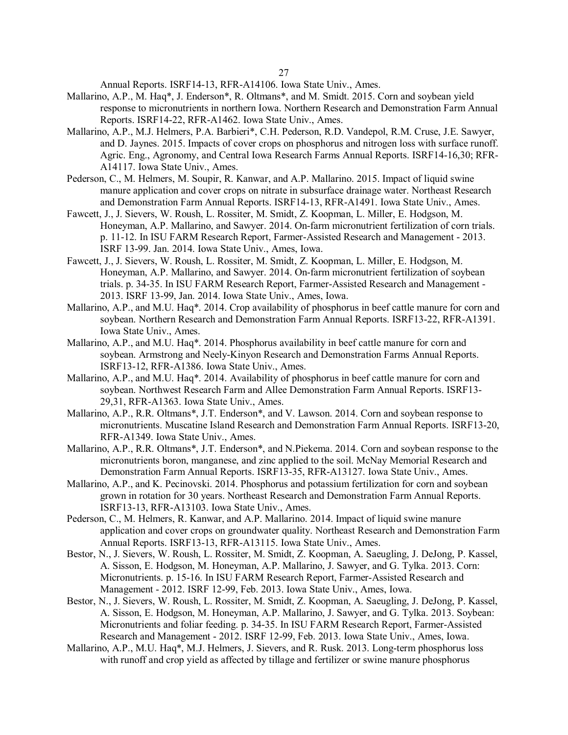Annual Reports. ISRF14-13, RFR-A14106. Iowa State Univ., Ames.

- Mallarino, A.P., M. Haq\*, J. Enderson\*, R. Oltmans\*, and M. Smidt. 2015. Corn and soybean yield response to micronutrients in northern Iowa. Northern Research and Demonstration Farm Annual Reports. ISRF14-22, RFR-A1462. Iowa State Univ., Ames.
- Mallarino, A.P., M.J. Helmers, P.A. Barbieri\*, C.H. Pederson, R.D. Vandepol, R.M. Cruse, J.E. Sawyer, and D. Jaynes. 2015. Impacts of cover crops on phosphorus and nitrogen loss with surface runoff. Agric. Eng., Agronomy, and Central Iowa Research Farms Annual Reports. ISRF14-16,30; RFR-A14117. Iowa State Univ., Ames.
- Pederson, C., M. Helmers, M. Soupir, R. Kanwar, and A.P. Mallarino. 2015. Impact of liquid swine manure application and cover crops on nitrate in subsurface drainage water. Northeast Research and Demonstration Farm Annual Reports. ISRF14-13, RFR-A1491. Iowa State Univ., Ames.
- Fawcett, J., J. Sievers, W. Roush, L. Rossiter, M. Smidt, Z. Koopman, L. Miller, E. Hodgson, M. Honeyman, A.P. Mallarino, and Sawyer. 2014. On-farm micronutrient fertilization of corn trials. p. 11-12. In ISU FARM Research Report, Farmer-Assisted Research and Management - 2013. ISRF 13-99. Jan. 2014. Iowa State Univ., Ames, Iowa.
- Fawcett, J., J. Sievers, W. Roush, L. Rossiter, M. Smidt, Z. Koopman, L. Miller, E. Hodgson, M. Honeyman, A.P. Mallarino, and Sawyer. 2014. On-farm micronutrient fertilization of soybean trials. p. 34-35. In ISU FARM Research Report, Farmer-Assisted Research and Management - 2013. ISRF 13-99, Jan. 2014. Iowa State Univ., Ames, Iowa.
- Mallarino, A.P., and M.U. Haq\*. 2014. Crop availability of phosphorus in beef cattle manure for corn and soybean. Northern Research and Demonstration Farm Annual Reports. ISRF13-22, RFR-A1391. Iowa State Univ., Ames.
- Mallarino, A.P., and M.U. Haq\*. 2014. Phosphorus availability in beef cattle manure for corn and soybean. Armstrong and Neely-Kinyon Research and Demonstration Farms Annual Reports. ISRF13-12, RFR-A1386. Iowa State Univ., Ames.
- Mallarino, A.P., and M.U. Haq\*. 2014. Availability of phosphorus in beef cattle manure for corn and soybean. Northwest Research Farm and Allee Demonstration Farm Annual Reports. ISRF13- 29,31, RFR-A1363. Iowa State Univ., Ames.
- Mallarino, A.P., R.R. Oltmans\*, J.T. Enderson\*, and V. Lawson. 2014. Corn and soybean response to micronutrients. Muscatine Island Research and Demonstration Farm Annual Reports. ISRF13-20, RFR-A1349. Iowa State Univ., Ames.
- Mallarino, A.P., R.R. Oltmans\*, J.T. Enderson\*, and N.Piekema. 2014. Corn and soybean response to the micronutrients boron, manganese, and zinc applied to the soil. McNay Memorial Research and Demonstration Farm Annual Reports. ISRF13-35, RFR-A13127. Iowa State Univ., Ames.
- Mallarino, A.P., and K. Pecinovski. 2014. Phosphorus and potassium fertilization for corn and soybean grown in rotation for 30 years. Northeast Research and Demonstration Farm Annual Reports. ISRF13-13, RFR-A13103. Iowa State Univ., Ames.
- Pederson, C., M. Helmers, R. Kanwar, and A.P. Mallarino. 2014. Impact of liquid swine manure application and cover crops on groundwater quality. Northeast Research and Demonstration Farm Annual Reports. ISRF13-13, RFR-A13115. Iowa State Univ., Ames.
- Bestor, N., J. Sievers, W. Roush, L. Rossiter, M. Smidt, Z. Koopman, A. Saeugling, J. DeJong, P. Kassel, A. Sisson, E. Hodgson, M. Honeyman, A.P. Mallarino, J. Sawyer, and G. Tylka. 2013. Corn: Micronutrients. p. 15-16. In ISU FARM Research Report, Farmer-Assisted Research and Management - 2012. ISRF 12-99, Feb. 2013. Iowa State Univ., Ames, Iowa.
- Bestor, N., J. Sievers, W. Roush, L. Rossiter, M. Smidt, Z. Koopman, A. Saeugling, J. DeJong, P. Kassel, A. Sisson, E. Hodgson, M. Honeyman, A.P. Mallarino, J. Sawyer, and G. Tylka. 2013. Soybean: Micronutrients and foliar feeding. p. 34-35. In ISU FARM Research Report, Farmer-Assisted Research and Management - 2012. ISRF 12-99, Feb. 2013. Iowa State Univ., Ames, Iowa.
- Mallarino, A.P., M.U. Haq\*, M.J. Helmers, J. Sievers, and R. Rusk. 2013. Long-term phosphorus loss with runoff and crop yield as affected by tillage and fertilizer or swine manure phosphorus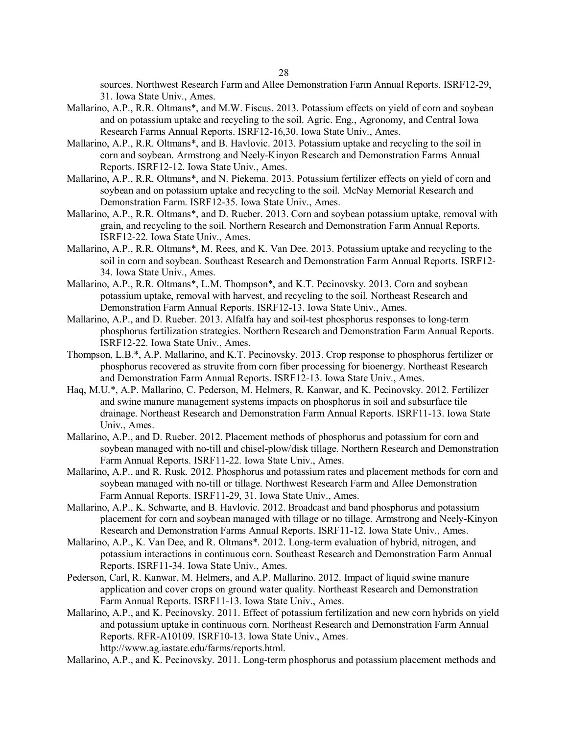sources. Northwest Research Farm and Allee Demonstration Farm Annual Reports. ISRF12-29, 31. Iowa State Univ., Ames.

- Mallarino, A.P., R.R. Oltmans\*, and M.W. Fiscus. 2013. Potassium effects on yield of corn and soybean and on potassium uptake and recycling to the soil. Agric. Eng., Agronomy, and Central Iowa Research Farms Annual Reports. ISRF12-16,30. Iowa State Univ., Ames.
- Mallarino, A.P., R.R. Oltmans\*, and B. Havlovic. 2013. Potassium uptake and recycling to the soil in corn and soybean. Armstrong and Neely-Kinyon Research and Demonstration Farms Annual Reports. ISRF12-12. Iowa State Univ., Ames.
- Mallarino, A.P., R.R. Oltmans\*, and N. Piekema. 2013. Potassium fertilizer effects on yield of corn and soybean and on potassium uptake and recycling to the soil. McNay Memorial Research and Demonstration Farm. ISRF12-35. Iowa State Univ., Ames.
- Mallarino, A.P., R.R. Oltmans\*, and D. Rueber. 2013. Corn and soybean potassium uptake, removal with grain, and recycling to the soil. Northern Research and Demonstration Farm Annual Reports. ISRF12-22. Iowa State Univ., Ames.
- Mallarino, A.P., R.R. Oltmans\*, M. Rees, and K. Van Dee. 2013. Potassium uptake and recycling to the soil in corn and soybean. Southeast Research and Demonstration Farm Annual Reports. ISRF12- 34. Iowa State Univ., Ames.
- Mallarino, A.P., R.R. Oltmans\*, L.M. Thompson\*, and K.T. Pecinovsky. 2013. Corn and soybean potassium uptake, removal with harvest, and recycling to the soil. Northeast Research and Demonstration Farm Annual Reports. ISRF12-13. Iowa State Univ., Ames.
- Mallarino, A.P., and D. Rueber. 2013. Alfalfa hay and soil-test phosphorus responses to long-term phosphorus fertilization strategies. Northern Research and Demonstration Farm Annual Reports. ISRF12-22. Iowa State Univ., Ames.
- Thompson, L.B.\*, A.P. Mallarino, and K.T. Pecinovsky. 2013. Crop response to phosphorus fertilizer or phosphorus recovered as struvite from corn fiber processing for bioenergy. Northeast Research and Demonstration Farm Annual Reports. ISRF12-13. Iowa State Univ., Ames.
- Haq, M.U.\*, A.P. Mallarino, C. Pederson, M. Helmers, R. Kanwar, and K. Pecinovsky. 2012. Fertilizer and swine manure management systems impacts on phosphorus in soil and subsurface tile drainage. Northeast Research and Demonstration Farm Annual Reports. ISRF11-13. Iowa State Univ., Ames.
- Mallarino, A.P., and D. Rueber. 2012. Placement methods of phosphorus and potassium for corn and soybean managed with no-till and chisel-plow/disk tillage. Northern Research and Demonstration Farm Annual Reports. ISRF11-22. Iowa State Univ., Ames.
- Mallarino, A.P., and R. Rusk. 2012. Phosphorus and potassium rates and placement methods for corn and soybean managed with no-till or tillage. Northwest Research Farm and Allee Demonstration Farm Annual Reports. ISRF11-29, 31. Iowa State Univ., Ames.
- Mallarino, A.P., K. Schwarte, and B. Havlovic. 2012. Broadcast and band phosphorus and potassium placement for corn and soybean managed with tillage or no tillage. Armstrong and Neely-Kinyon Research and Demonstration Farms Annual Reports. ISRF11-12. Iowa State Univ., Ames.
- Mallarino, A.P., K. Van Dee, and R. Oltmans\*. 2012. Long-term evaluation of hybrid, nitrogen, and potassium interactions in continuous corn. Southeast Research and Demonstration Farm Annual Reports. ISRF11-34. Iowa State Univ., Ames.
- Pederson, Carl, R. Kanwar, M. Helmers, and A.P. Mallarino. 2012. Impact of liquid swine manure application and cover crops on ground water quality. Northeast Research and Demonstration Farm Annual Reports. ISRF11-13. Iowa State Univ., Ames.
- Mallarino, A.P., and K. Pecinovsky. 2011. Effect of potassium fertilization and new corn hybrids on yield and potassium uptake in continuous corn. Northeast Research and Demonstration Farm Annual Reports. RFR-A10109. ISRF10-13. Iowa State Univ., Ames. http://www.ag.iastate.edu/farms/reports.html.
- Mallarino, A.P., and K. Pecinovsky. 2011. Long-term phosphorus and potassium placement methods and

28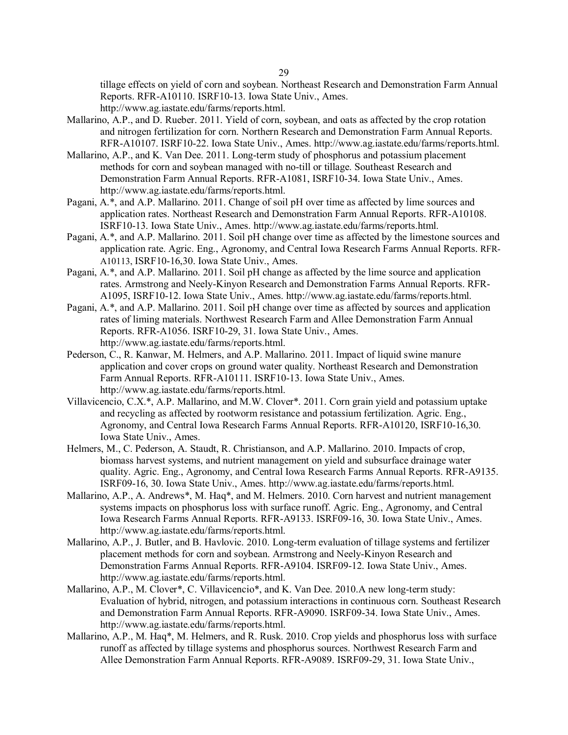tillage effects on yield of corn and soybean. Northeast Research and Demonstration Farm Annual Reports. RFR-A10110. ISRF10-13. Iowa State Univ., Ames.

http://www.ag.iastate.edu/farms/reports.html.

- Mallarino, A.P., and D. Rueber. 2011. Yield of corn, soybean, and oats as affected by the crop rotation and nitrogen fertilization for corn. Northern Research and Demonstration Farm Annual Reports. RFR-A10107. ISRF10-22. Iowa State Univ., Ames. http://www.ag.iastate.edu/farms/reports.html.
- Mallarino, A.P., and K. Van Dee. 2011. Long-term study of phosphorus and potassium placement methods for corn and soybean managed with no-till or tillage. Southeast Research and Demonstration Farm Annual Reports. RFR-A1081, ISRF10-34. Iowa State Univ., Ames. http://www.ag.iastate.edu/farms/reports.html.
- Pagani, A.\*, and A.P. Mallarino. 2011. Change of soil pH over time as affected by lime sources and application rates. Northeast Research and Demonstration Farm Annual Reports. RFR-A10108. ISRF10-13. Iowa State Univ., Ames. http://www.ag.iastate.edu/farms/reports.html.
- Pagani, A.\*, and A.P. Mallarino. 2011. Soil pH change over time as affected by the limestone sources and application rate. Agric. Eng., Agronomy, and Central Iowa Research Farms Annual Reports. RFR-A10113, ISRF10-16,30. Iowa State Univ., Ames.
- Pagani, A.\*, and A.P. Mallarino. 2011. Soil pH change as affected by the lime source and application rates. Armstrong and Neely-Kinyon Research and Demonstration Farms Annual Reports. RFR-A1095, ISRF10-12. Iowa State Univ., Ames. http://www.ag.iastate.edu/farms/reports.html.
- Pagani, A.\*, and A.P. Mallarino. 2011. Soil pH change over time as affected by sources and application rates of liming materials. Northwest Research Farm and Allee Demonstration Farm Annual Reports. RFR-A1056. ISRF10-29, 31. Iowa State Univ., Ames. http://www.ag.iastate.edu/farms/reports.html.
- Pederson, C., R. Kanwar, M. Helmers, and A.P. Mallarino. 2011. Impact of liquid swine manure application and cover crops on ground water quality. Northeast Research and Demonstration Farm Annual Reports. RFR-A10111. ISRF10-13. Iowa State Univ., Ames. http://www.ag.iastate.edu/farms/reports.html.
- Villavicencio, C.X.\*, A.P. Mallarino, and M.W. Clover\*. 2011. Corn grain yield and potassium uptake and recycling as affected by rootworm resistance and potassium fertilization. Agric. Eng., Agronomy, and Central Iowa Research Farms Annual Reports. RFR-A10120, ISRF10-16,30. Iowa State Univ., Ames.
- Helmers, M., C. Pederson, A. Staudt, R. Christianson, and A.P. Mallarino. 2010. Impacts of crop, biomass harvest systems, and nutrient management on yield and subsurface drainage water quality. Agric. Eng., Agronomy, and Central Iowa Research Farms Annual Reports. RFR-A9135. ISRF09-16, 30. Iowa State Univ., Ames. http://www.ag.iastate.edu/farms/reports.html.
- Mallarino, A.P., A. Andrews\*, M. Haq\*, and M. Helmers. 2010. Corn harvest and nutrient management systems impacts on phosphorus loss with surface runoff. Agric. Eng., Agronomy, and Central Iowa Research Farms Annual Reports. RFR-A9133. ISRF09-16, 30. Iowa State Univ., Ames. http://www.ag.iastate.edu/farms/reports.html.
- Mallarino, A.P., J. Butler, and B. Havlovic. 2010. Long-term evaluation of tillage systems and fertilizer placement methods for corn and soybean. Armstrong and Neely-Kinyon Research and Demonstration Farms Annual Reports. RFR-A9104. ISRF09-12. Iowa State Univ., Ames. http://www.ag.iastate.edu/farms/reports.html.
- Mallarino, A.P., M. Clover\*, C. Villavicencio\*, and K. Van Dee. 2010.A new long-term study: Evaluation of hybrid, nitrogen, and potassium interactions in continuous corn. Southeast Research and Demonstration Farm Annual Reports. RFR-A9090. ISRF09-34. Iowa State Univ., Ames. http://www.ag.iastate.edu/farms/reports.html.
- Mallarino, A.P., M. Haq\*, M. Helmers, and R. Rusk. 2010. Crop yields and phosphorus loss with surface runoff as affected by tillage systems and phosphorus sources. Northwest Research Farm and Allee Demonstration Farm Annual Reports. RFR-A9089. ISRF09-29, 31. Iowa State Univ.,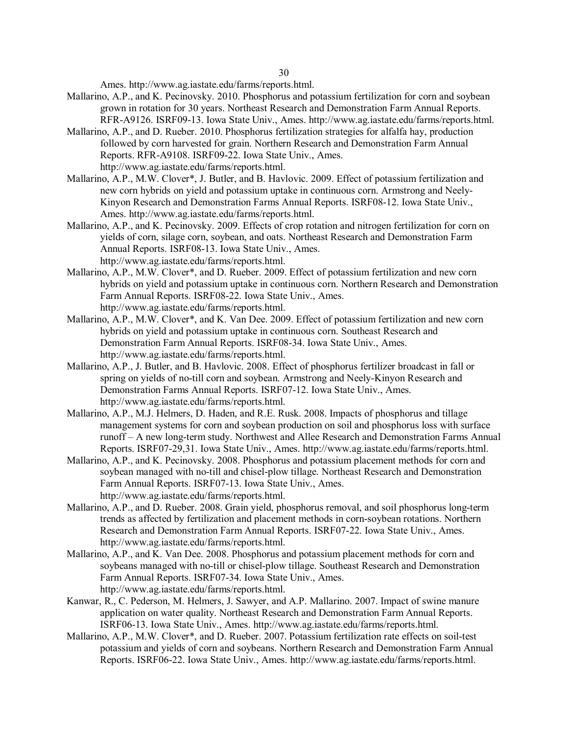Ames. http://www.ag.iastate.edu/farms/reports.html.

- Mallarino, A.P., and K. Pecinovsky. 2010. Phosphorus and potassium fertilization for corn and soybean grown in rotation for 30 years. Northeast Research and Demonstration Farm Annual Reports. RFR-A9126. ISRF09-13. Iowa State Univ., Ames. http://www.ag.iastate.edu/farms/reports.html.
- Mallarino, A.P., and D. Rueber. 2010. Phosphorus fertilization strategies for alfalfa hay, production followed by corn harvested for grain. Northern Research and Demonstration Farm Annual Reports. RFR-A9108. ISRF09-22. Iowa State Univ., Ames. http://www.ag.iastate.edu/farms/reports.html.
- Mallarino, A.P., M.W. Clover\*, J. Butler, and B. Havlovic. 2009. Effect of potassium fertilization and new corn hybrids on yield and potassium uptake in continuous corn. Armstrong and Neely-Kinyon Research and Demonstration Farms Annual Reports. ISRF08-12. Iowa State Univ., Ames. http://www.ag.iastate.edu/farms/reports.html.
- Mallarino, A.P., and K. Pecinovsky. 2009. Effects of crop rotation and nitrogen fertilization for corn on yields of corn, silage corn, soybean, and oats. Northeast Research and Demonstration Farm Annual Reports. ISRF08-13. Iowa State Univ., Ames. http://www.ag.iastate.edu/farms/reports.html.
- Mallarino, A.P., M.W. Clover\*, and D. Rueber. 2009. Effect of potassium fertilization and new corn hybrids on yield and potassium uptake in continuous corn. Northern Research and Demonstration Farm Annual Reports. ISRF08-22. Iowa State Univ., Ames. http://www.ag.iastate.edu/farms/reports.html.
- Mallarino, A.P., M.W. Clover\*, and K. Van Dee. 2009. Effect of potassium fertilization and new corn hybrids on yield and potassium uptake in continuous corn. Southeast Research and Demonstration Farm Annual Reports. ISRF08-34. Iowa State Univ., Ames. http://www.ag.iastate.edu/farms/reports.html.
- Mallarino, A.P., J. Butler, and B. Havlovic. 2008. Effect of phosphorus fertilizer broadcast in fall or spring on yields of no-till corn and soybean. Armstrong and Neely-Kinyon Research and Demonstration Farms Annual Reports. ISRF07-12. Iowa State Univ., Ames. http://www.ag.iastate.edu/farms/reports.html.
- Mallarino, A.P., M.J. Helmers, D. Haden, and R.E. Rusk. 2008. Impacts of phosphorus and tillage management systems for corn and soybean production on soil and phosphorus loss with surface runoff – A new long-term study. Northwest and Allee Research and Demonstration Farms Annual Reports. ISRF07-29,31. Iowa State Univ., Ames. http://www.ag.iastate.edu/farms/reports.html.
- Mallarino, A.P., and K. Pecinovsky. 2008. Phosphorus and potassium placement methods for corn and soybean managed with no-till and chisel-plow tillage. Northeast Research and Demonstration Farm Annual Reports. ISRF07-13. Iowa State Univ., Ames. http://www.ag.iastate.edu/farms/reports.html.
- Mallarino, A.P., and D. Rueber. 2008. Grain yield, phosphorus removal, and soil phosphorus long-term trends as affected by fertilization and placement methods in corn-soybean rotations. Northern Research and Demonstration Farm Annual Reports. ISRF07-22. Iowa State Univ., Ames. http://www.ag.iastate.edu/farms/reports.html.
- Mallarino, A.P., and K. Van Dee. 2008. Phosphorus and potassium placement methods for corn and soybeans managed with no-till or chisel-plow tillage. Southeast Research and Demonstration Farm Annual Reports. ISRF07-34. Iowa State Univ., Ames. http://www.ag.iastate.edu/farms/reports.html.
- Kanwar, R., C. Pederson, M. Helmers, J. Sawyer, and A.P. Mallarino. 2007. Impact of swine manure application on water quality. Northeast Research and Demonstration Farm Annual Reports. ISRF06-13. Iowa State Univ., Ames. http://www.ag.iastate.edu/farms/reports.html.
- Mallarino, A.P., M.W. Clover\*, and D. Rueber. 2007. Potassium fertilization rate effects on soil-test potassium and yields of corn and soybeans. Northern Research and Demonstration Farm Annual Reports. ISRF06-22. Iowa State Univ., Ames. http://www.ag.iastate.edu/farms/reports.html.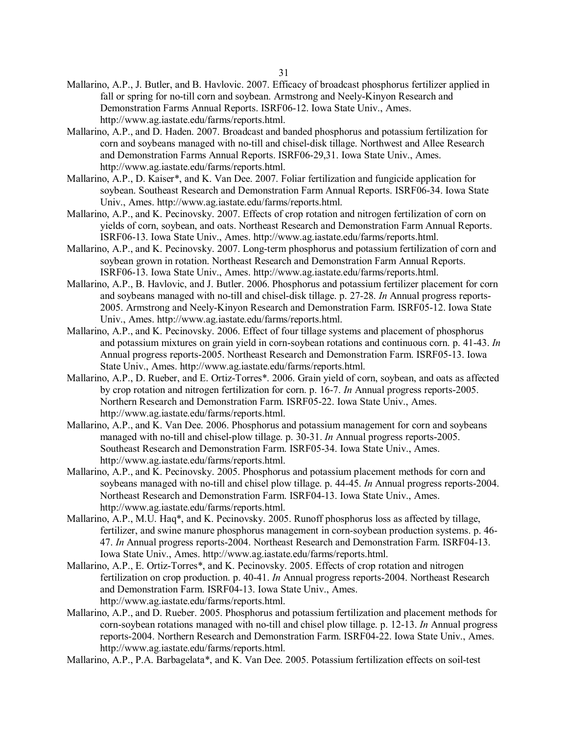- Mallarino, A.P., J. Butler, and B. Havlovic. 2007. Efficacy of broadcast phosphorus fertilizer applied in fall or spring for no-till corn and soybean. Armstrong and Neely-Kinyon Research and Demonstration Farms Annual Reports. ISRF06-12. Iowa State Univ., Ames. http://www.ag.iastate.edu/farms/reports.html.
- Mallarino, A.P., and D. Haden. 2007. Broadcast and banded phosphorus and potassium fertilization for corn and soybeans managed with no-till and chisel-disk tillage. Northwest and Allee Research and Demonstration Farms Annual Reports. ISRF06-29,31. Iowa State Univ., Ames. http://www.ag.iastate.edu/farms/reports.html.
- Mallarino, A.P., D. Kaiser\*, and K. Van Dee. 2007. Foliar fertilization and fungicide application for soybean. Southeast Research and Demonstration Farm Annual Reports. ISRF06-34. Iowa State Univ., Ames. http://www.ag.iastate.edu/farms/reports.html.
- Mallarino, A.P., and K. Pecinovsky. 2007. Effects of crop rotation and nitrogen fertilization of corn on yields of corn, soybean, and oats. Northeast Research and Demonstration Farm Annual Reports. ISRF06-13. Iowa State Univ., Ames. http://www.ag.iastate.edu/farms/reports.html.
- Mallarino, A.P., and K. Pecinovsky. 2007. Long-term phosphorus and potassium fertilization of corn and soybean grown in rotation. Northeast Research and Demonstration Farm Annual Reports. ISRF06-13. Iowa State Univ., Ames. http://www.ag.iastate.edu/farms/reports.html.
- Mallarino, A.P., B. Havlovic, and J. Butler. 2006. Phosphorus and potassium fertilizer placement for corn and soybeans managed with no-till and chisel-disk tillage. p. 27-28. *In* Annual progress reports-2005. Armstrong and Neely-Kinyon Research and Demonstration Farm. ISRF05-12. Iowa State Univ., Ames. http://www.ag.iastate.edu/farms/reports.html.
- Mallarino, A.P., and K. Pecinovsky. 2006. Effect of four tillage systems and placement of phosphorus and potassium mixtures on grain yield in corn-soybean rotations and continuous corn. p. 41-43. *In* Annual progress reports-2005. Northeast Research and Demonstration Farm. ISRF05-13. Iowa State Univ., Ames. http://www.ag.iastate.edu/farms/reports.html.
- Mallarino, A.P., D. Rueber, and E. Ortiz-Torres\*. 2006. Grain yield of corn, soybean, and oats as affected by crop rotation and nitrogen fertilization for corn. p. 16-7. *In* Annual progress reports-2005. Northern Research and Demonstration Farm. ISRF05-22. Iowa State Univ., Ames. http://www.ag.iastate.edu/farms/reports.html.
- Mallarino, A.P., and K. Van Dee. 2006. Phosphorus and potassium management for corn and soybeans managed with no-till and chisel-plow tillage. p. 30-31. *In* Annual progress reports-2005. Southeast Research and Demonstration Farm. ISRF05-34. Iowa State Univ., Ames. http://www.ag.iastate.edu/farms/reports.html.
- Mallarino, A.P., and K. Pecinovsky. 2005. Phosphorus and potassium placement methods for corn and soybeans managed with no-till and chisel plow tillage. p. 44-45. *In* Annual progress reports-2004. Northeast Research and Demonstration Farm. ISRF04-13. Iowa State Univ., Ames. http://www.ag.iastate.edu/farms/reports.html.
- Mallarino, A.P., M.U. Haq\*, and K. Pecinovsky. 2005. Runoff phosphorus loss as affected by tillage, fertilizer, and swine manure phosphorus management in corn-soybean production systems. p. 46- 47. *In* Annual progress reports-2004. Northeast Research and Demonstration Farm. ISRF04-13. Iowa State Univ., Ames. http://www.ag.iastate.edu/farms/reports.html.
- Mallarino, A.P., E. Ortiz-Torres\*, and K. Pecinovsky. 2005. Effects of crop rotation and nitrogen fertilization on crop production. p. 40-41. *In* Annual progress reports-2004. Northeast Research and Demonstration Farm. ISRF04-13. Iowa State Univ., Ames. http://www.ag.iastate.edu/farms/reports.html.
- Mallarino, A.P., and D. Rueber. 2005. Phosphorus and potassium fertilization and placement methods for corn-soybean rotations managed with no-till and chisel plow tillage. p. 12-13. *In* Annual progress reports-2004. Northern Research and Demonstration Farm. ISRF04-22. Iowa State Univ., Ames. http://www.ag.iastate.edu/farms/reports.html.
- Mallarino, A.P., P.A. Barbagelata\*, and K. Van Dee. 2005. Potassium fertilization effects on soil-test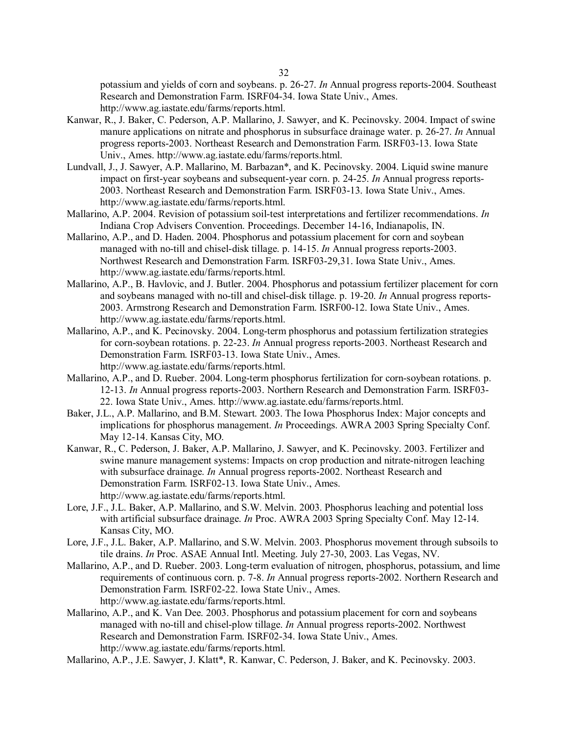potassium and yields of corn and soybeans. p. 26-27. *In* Annual progress reports-2004. Southeast Research and Demonstration Farm. ISRF04-34. Iowa State Univ., Ames. http://www.ag.iastate.edu/farms/reports.html.

- Kanwar, R., J. Baker, C. Pederson, A.P. Mallarino, J. Sawyer, and K. Pecinovsky. 2004. Impact of swine manure applications on nitrate and phosphorus in subsurface drainage water. p. 26-27. *In* Annual progress reports-2003. Northeast Research and Demonstration Farm. ISRF03-13. Iowa State Univ., Ames. http://www.ag.iastate.edu/farms/reports.html.
- Lundvall, J., J. Sawyer, A.P. Mallarino, M. Barbazan\*, and K. Pecinovsky. 2004. Liquid swine manure impact on first-year soybeans and subsequent-year corn. p. 24-25. *In* Annual progress reports-2003. Northeast Research and Demonstration Farm. ISRF03-13. Iowa State Univ., Ames. http://www.ag.iastate.edu/farms/reports.html.
- Mallarino, A.P. 2004. Revision of potassium soil-test interpretations and fertilizer recommendations. *In* Indiana Crop Advisers Convention. Proceedings. December 14-16, Indianapolis, IN.
- Mallarino, A.P., and D. Haden. 2004. Phosphorus and potassium placement for corn and soybean managed with no-till and chisel-disk tillage. p. 14-15. *In* Annual progress reports-2003. Northwest Research and Demonstration Farm. ISRF03-29,31. Iowa State Univ., Ames. http://www.ag.iastate.edu/farms/reports.html.
- Mallarino, A.P., B. Havlovic, and J. Butler. 2004. Phosphorus and potassium fertilizer placement for corn and soybeans managed with no-till and chisel-disk tillage. p. 19-20. *In* Annual progress reports-2003. Armstrong Research and Demonstration Farm. ISRF00-12. Iowa State Univ., Ames. http://www.ag.iastate.edu/farms/reports.html.
- Mallarino, A.P., and K. Pecinovsky. 2004. Long-term phosphorus and potassium fertilization strategies for corn-soybean rotations. p. 22-23. *In* Annual progress reports-2003. Northeast Research and Demonstration Farm. ISRF03-13. Iowa State Univ., Ames. http://www.ag.iastate.edu/farms/reports.html.
- Mallarino, A.P., and D. Rueber. 2004. Long-term phosphorus fertilization for corn-soybean rotations. p. 12-13. *In* Annual progress reports-2003. Northern Research and Demonstration Farm. ISRF03- 22. Iowa State Univ., Ames. http://www.ag.iastate.edu/farms/reports.html.
- Baker, J.L., A.P. Mallarino, and B.M. Stewart. 2003. The Iowa Phosphorus Index: Major concepts and implications for phosphorus management. *In* Proceedings. AWRA 2003 Spring Specialty Conf. May 12-14. Kansas City, MO.
- Kanwar, R., C. Pederson, J. Baker, A.P. Mallarino, J. Sawyer, and K. Pecinovsky. 2003. Fertilizer and swine manure management systems: Impacts on crop production and nitrate-nitrogen leaching with subsurface drainage. *In* Annual progress reports-2002. Northeast Research and Demonstration Farm. ISRF02-13. Iowa State Univ., Ames. http://www.ag.iastate.edu/farms/reports.html.
- Lore, J.F., J.L. Baker, A.P. Mallarino, and S.W. Melvin. 2003. Phosphorus leaching and potential loss with artificial subsurface drainage. *In* Proc. AWRA 2003 Spring Specialty Conf. May 12-14. Kansas City, MO.
- Lore, J.F., J.L. Baker, A.P. Mallarino, and S.W. Melvin. 2003. Phosphorus movement through subsoils to tile drains. *In* Proc. ASAE Annual Intl. Meeting. July 27-30, 2003. Las Vegas, NV.
- Mallarino, A.P., and D. Rueber. 2003. Long-term evaluation of nitrogen, phosphorus, potassium, and lime requirements of continuous corn. p. 7-8. *In* Annual progress reports-2002. Northern Research and Demonstration Farm. ISRF02-22. Iowa State Univ., Ames. http://www.ag.iastate.edu/farms/reports.html.
- Mallarino, A.P., and K. Van Dee. 2003. Phosphorus and potassium placement for corn and soybeans managed with no-till and chisel-plow tillage. *In* Annual progress reports-2002. Northwest Research and Demonstration Farm. ISRF02-34. Iowa State Univ., Ames. http://www.ag.iastate.edu/farms/reports.html.
- Mallarino, A.P., J.E. Sawyer, J. Klatt\*, R. Kanwar, C. Pederson, J. Baker, and K. Pecinovsky. 2003.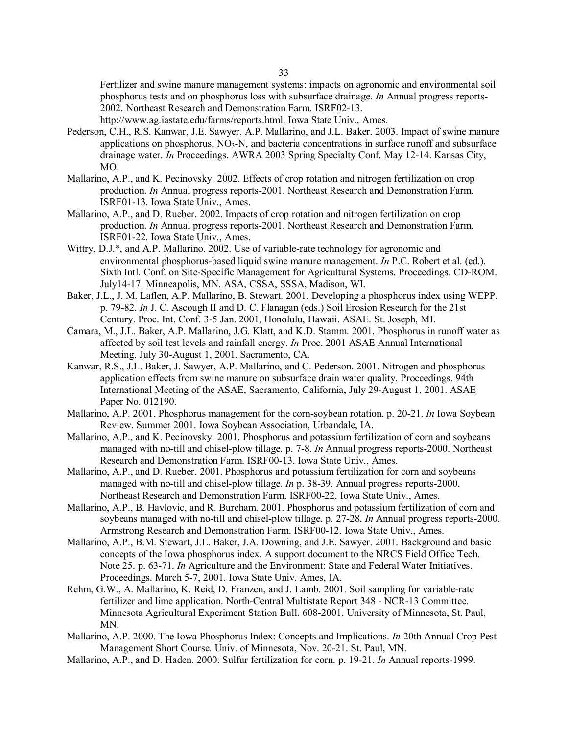Fertilizer and swine manure management systems: impacts on agronomic and environmental soil phosphorus tests and on phosphorus loss with subsurface drainage. *In* Annual progress reports-2002. Northeast Research and Demonstration Farm. ISRF02-13.

http://www.ag.iastate.edu/farms/reports.html. Iowa State Univ., Ames.

- Pederson, C.H., R.S. Kanwar, J.E. Sawyer, A.P. Mallarino, and J.L. Baker. 2003. Impact of swine manure applications on phosphorus,  $NO<sub>3</sub>-N$ , and bacteria concentrations in surface runoff and subsurface drainage water. *In* Proceedings. AWRA 2003 Spring Specialty Conf. May 12-14. Kansas City, MO.
- Mallarino, A.P., and K. Pecinovsky. 2002. Effects of crop rotation and nitrogen fertilization on crop production. *In* Annual progress reports-2001. Northeast Research and Demonstration Farm. ISRF01-13. Iowa State Univ., Ames.
- Mallarino, A.P., and D. Rueber. 2002. Impacts of crop rotation and nitrogen fertilization on crop production. *In* Annual progress reports-2001. Northeast Research and Demonstration Farm. ISRF01-22. Iowa State Univ., Ames.
- Wittry, D.J.\*, and A.P. Mallarino. 2002. Use of variable-rate technology for agronomic and environmental phosphorus-based liquid swine manure management. *In* P.C. Robert et al. (ed.). Sixth Intl. Conf. on Site-Specific Management for Agricultural Systems. Proceedings. CD-ROM. July14-17. Minneapolis, MN. ASA, CSSA, SSSA, Madison, WI.
- Baker, J.L., J. M. Laflen, A.P. Mallarino, B. Stewart. 2001. Developing a phosphorus index using WEPP. p. 79-82. *In* J. C. Ascough II and D. C. Flanagan (eds.) Soil Erosion Research for the 21st Century. Proc. Int. Conf. 3-5 Jan. 2001, Honolulu, Hawaii. ASAE. St. Joseph, MI.
- Camara, M., J.L. Baker, A.P. Mallarino, J.G. Klatt, and K.D. Stamm. 2001. Phosphorus in runoff water as affected by soil test levels and rainfall energy. *In* Proc. 2001 ASAE Annual International Meeting. July 30-August 1, 2001. Sacramento, CA.
- Kanwar, R.S., J.L. Baker, J. Sawyer, A.P. Mallarino, and C. Pederson. 2001. Nitrogen and phosphorus application effects from swine manure on subsurface drain water quality. Proceedings. 94th International Meeting of the ASAE, Sacramento, California, July 29-August 1, 2001. ASAE Paper No. 012190.
- Mallarino, A.P. 2001. Phosphorus management for the corn-soybean rotation. p. 20-21. *In* Iowa Soybean Review. Summer 2001. Iowa Soybean Association, Urbandale, IA.
- Mallarino, A.P., and K. Pecinovsky. 2001. Phosphorus and potassium fertilization of corn and soybeans managed with no-till and chisel-plow tillage. p. 7-8. *In* Annual progress reports-2000. Northeast Research and Demonstration Farm. ISRF00-13. Iowa State Univ., Ames.
- Mallarino, A.P., and D. Rueber. 2001. Phosphorus and potassium fertilization for corn and soybeans managed with no-till and chisel-plow tillage. *In* p. 38-39. Annual progress reports-2000. Northeast Research and Demonstration Farm. ISRF00-22. Iowa State Univ., Ames.
- Mallarino, A.P., B. Havlovic, and R. Burcham. 2001. Phosphorus and potassium fertilization of corn and soybeans managed with no-till and chisel-plow tillage. p. 27-28. *In* Annual progress reports-2000. Armstrong Research and Demonstration Farm. ISRF00-12. Iowa State Univ., Ames.
- Mallarino, A.P., B.M. Stewart, J.L. Baker, J.A. Downing, and J.E. Sawyer. 2001. Background and basic concepts of the Iowa phosphorus index. A support document to the NRCS Field Office Tech. Note 25. p. 63-71. *In* Agriculture and the Environment: State and Federal Water Initiatives. Proceedings. March 5-7, 2001. Iowa State Univ. Ames, IA.
- Rehm, G.W., A. Mallarino, K. Reid, D. Franzen, and J. Lamb. 2001. Soil sampling for variable-rate fertilizer and lime application. North-Central Multistate Report 348 - NCR-13 Committee. Minnesota Agricultural Experiment Station Bull. 608-2001. University of Minnesota, St. Paul, MN.
- Mallarino, A.P. 2000. The Iowa Phosphorus Index: Concepts and Implications. *In* 20th Annual Crop Pest Management Short Course. Univ. of Minnesota, Nov. 20-21. St. Paul, MN.
- Mallarino, A.P., and D. Haden. 2000. Sulfur fertilization for corn. p. 19-21. *In* Annual reports-1999.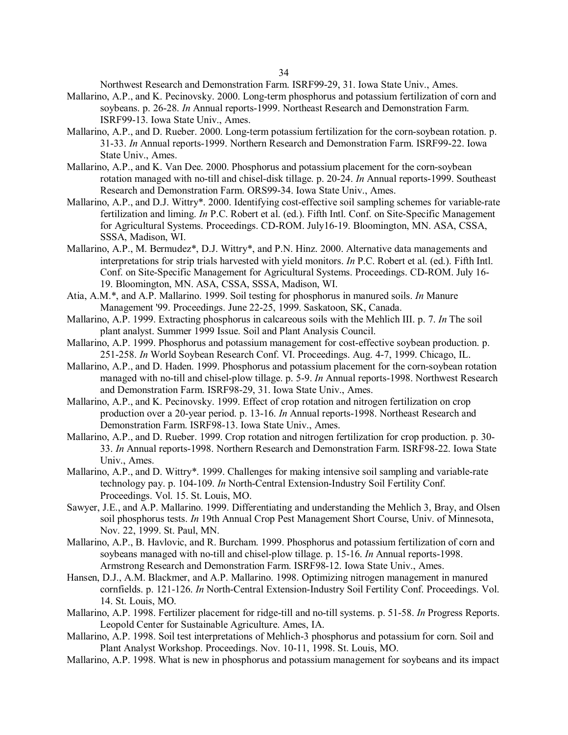Northwest Research and Demonstration Farm. ISRF99-29, 31. Iowa State Univ., Ames.

- Mallarino, A.P., and K. Pecinovsky. 2000. Long-term phosphorus and potassium fertilization of corn and soybeans. p. 26-28. *In* Annual reports-1999. Northeast Research and Demonstration Farm. ISRF99-13. Iowa State Univ., Ames.
- Mallarino, A.P., and D. Rueber. 2000. Long-term potassium fertilization for the corn-soybean rotation. p. 31-33. *In* Annual reports-1999. Northern Research and Demonstration Farm. ISRF99-22. Iowa State Univ., Ames.
- Mallarino, A.P., and K. Van Dee. 2000. Phosphorus and potassium placement for the corn-soybean rotation managed with no-till and chisel-disk tillage. p. 20-24. *In* Annual reports-1999. Southeast Research and Demonstration Farm. ORS99-34. Iowa State Univ., Ames.
- Mallarino, A.P., and D.J. Wittry\*. 2000. Identifying cost-effective soil sampling schemes for variable-rate fertilization and liming. *In* P.C. Robert et al. (ed.). Fifth Intl. Conf. on Site-Specific Management for Agricultural Systems. Proceedings. CD-ROM. July16-19. Bloomington, MN. ASA, CSSA, SSSA, Madison, WI.
- Mallarino, A.P., M. Bermudez\*, D.J. Wittry\*, and P.N. Hinz. 2000. Alternative data managements and interpretations for strip trials harvested with yield monitors. *In* P.C. Robert et al. (ed.). Fifth Intl. Conf. on Site-Specific Management for Agricultural Systems. Proceedings. CD-ROM. July 16- 19. Bloomington, MN. ASA, CSSA, SSSA, Madison, WI.
- Atia, A.M.\*, and A.P. Mallarino. 1999. Soil testing for phosphorus in manured soils. *In* Manure Management '99. Proceedings. June 22-25, 1999. Saskatoon, SK, Canada.
- Mallarino, A.P. 1999. Extracting phosphorus in calcareous soils with the Mehlich III. p. 7. *In* The soil plant analyst. Summer 1999 Issue. Soil and Plant Analysis Council.
- Mallarino, A.P. 1999. Phosphorus and potassium management for cost-effective soybean production. p. 251-258. *In* World Soybean Research Conf. VI. Proceedings. Aug. 4-7, 1999. Chicago, IL.
- Mallarino, A.P., and D. Haden. 1999. Phosphorus and potassium placement for the corn-soybean rotation managed with no-till and chisel-plow tillage. p. 5-9. *In* Annual reports-1998. Northwest Research and Demonstration Farm. ISRF98-29, 31. Iowa State Univ., Ames.
- Mallarino, A.P., and K. Pecinovsky. 1999. Effect of crop rotation and nitrogen fertilization on crop production over a 20-year period. p. 13-16. *In* Annual reports-1998. Northeast Research and Demonstration Farm. ISRF98-13. Iowa State Univ., Ames.
- Mallarino, A.P., and D. Rueber. 1999. Crop rotation and nitrogen fertilization for crop production. p. 30- 33. *In* Annual reports-1998. Northern Research and Demonstration Farm. ISRF98-22. Iowa State Univ., Ames.
- Mallarino, A.P., and D. Wittry\*. 1999. Challenges for making intensive soil sampling and variable-rate technology pay. p. 104-109. *In* North-Central Extension-Industry Soil Fertility Conf. Proceedings. Vol. 15. St. Louis, MO.
- Sawyer, J.E., and A.P. Mallarino. 1999. Differentiating and understanding the Mehlich 3, Bray, and Olsen soil phosphorus tests. *In* 19th Annual Crop Pest Management Short Course, Univ. of Minnesota, Nov. 22, 1999. St. Paul, MN.
- Mallarino, A.P., B. Havlovic, and R. Burcham. 1999. Phosphorus and potassium fertilization of corn and soybeans managed with no-till and chisel-plow tillage. p. 15-16. *In* Annual reports-1998. Armstrong Research and Demonstration Farm. ISRF98-12. Iowa State Univ., Ames.
- Hansen, D.J., A.M. Blackmer, and A.P. Mallarino. 1998. Optimizing nitrogen management in manured cornfields. p. 121-126. *In* North-Central Extension-Industry Soil Fertility Conf. Proceedings. Vol. 14. St. Louis, MO.
- Mallarino, A.P. 1998. Fertilizer placement for ridge-till and no-till systems. p. 51-58. *In* Progress Reports. Leopold Center for Sustainable Agriculture. Ames, IA.
- Mallarino, A.P. 1998. Soil test interpretations of Mehlich-3 phosphorus and potassium for corn. Soil and Plant Analyst Workshop. Proceedings. Nov. 10-11, 1998. St. Louis, MO.
- Mallarino, A.P. 1998. What is new in phosphorus and potassium management for soybeans and its impact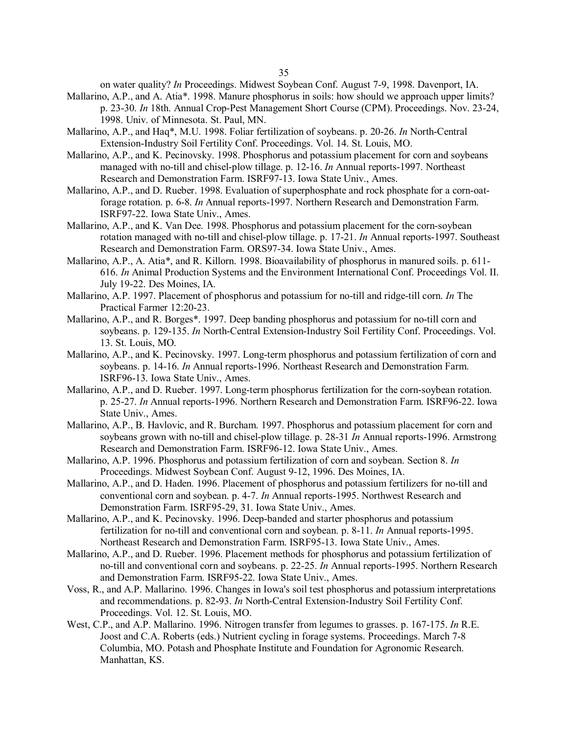on water quality? *In* Proceedings. Midwest Soybean Conf. August 7-9, 1998. Davenport, IA.

- Mallarino, A.P., and A. Atia\*. 1998. Manure phosphorus in soils: how should we approach upper limits? p. 23-30. *In* 18th. Annual Crop-Pest Management Short Course (CPM). Proceedings. Nov. 23-24, 1998. Univ. of Minnesota. St. Paul, MN.
- Mallarino, A.P., and Haq\*, M.U. 1998. Foliar fertilization of soybeans. p. 20-26. *In* North-Central Extension-Industry Soil Fertility Conf. Proceedings. Vol. 14. St. Louis, MO.
- Mallarino, A.P., and K. Pecinovsky. 1998. Phosphorus and potassium placement for corn and soybeans managed with no-till and chisel-plow tillage. p. 12-16. *In* Annual reports-1997. Northeast Research and Demonstration Farm. ISRF97-13. Iowa State Univ., Ames.
- Mallarino, A.P., and D. Rueber. 1998. Evaluation of superphosphate and rock phosphate for a corn-oatforage rotation. p. 6-8. *In* Annual reports-1997. Northern Research and Demonstration Farm. ISRF97-22. Iowa State Univ., Ames.
- Mallarino, A.P., and K. Van Dee. 1998. Phosphorus and potassium placement for the corn-soybean rotation managed with no-till and chisel-plow tillage. p. 17-21. *In* Annual reports-1997. Southeast Research and Demonstration Farm. ORS97-34. Iowa State Univ., Ames.
- Mallarino, A.P., A. Atia\*, and R. Killorn. 1998. Bioavailability of phosphorus in manured soils. p. 611- 616. *In* Animal Production Systems and the Environment International Conf. Proceedings Vol. II. July 19-22. Des Moines, IA.
- Mallarino, A.P. 1997. Placement of phosphorus and potassium for no-till and ridge-till corn. *In* The Practical Farmer 12:20-23.
- Mallarino, A.P., and R. Borges\*. 1997. Deep banding phosphorus and potassium for no-till corn and soybeans. p. 129-135. *In* North-Central Extension-Industry Soil Fertility Conf. Proceedings. Vol. 13. St. Louis, MO.
- Mallarino, A.P., and K. Pecinovsky. 1997. Long-term phosphorus and potassium fertilization of corn and soybeans. p. 14-16. *In* Annual reports-1996. Northeast Research and Demonstration Farm. ISRF96-13. Iowa State Univ., Ames.
- Mallarino, A.P., and D. Rueber. 1997. Long-term phosphorus fertilization for the corn-soybean rotation. p. 25-27. *In* Annual reports-1996. Northern Research and Demonstration Farm. ISRF96-22. Iowa State Univ., Ames.
- Mallarino, A.P., B. Havlovic, and R. Burcham. 1997. Phosphorus and potassium placement for corn and soybeans grown with no-till and chisel-plow tillage. p. 28-31 *In* Annual reports-1996. Armstrong Research and Demonstration Farm. ISRF96-12. Iowa State Univ., Ames.
- Mallarino, A.P. 1996. Phosphorus and potassium fertilization of corn and soybean. Section 8. *In* Proceedings. Midwest Soybean Conf. August 9-12, 1996. Des Moines, IA.
- Mallarino, A.P., and D. Haden. 1996. Placement of phosphorus and potassium fertilizers for no-till and conventional corn and soybean. p. 4-7. *In* Annual reports-1995. Northwest Research and Demonstration Farm. ISRF95-29, 31. Iowa State Univ., Ames.
- Mallarino, A.P., and K. Pecinovsky. 1996. Deep-banded and starter phosphorus and potassium fertilization for no-till and conventional corn and soybean. p. 8-11. *In* Annual reports-1995. Northeast Research and Demonstration Farm. ISRF95-13. Iowa State Univ., Ames.
- Mallarino, A.P., and D. Rueber. 1996. Placement methods for phosphorus and potassium fertilization of no-till and conventional corn and soybeans. p. 22-25. *In* Annual reports-1995. Northern Research and Demonstration Farm. ISRF95-22. Iowa State Univ., Ames.
- Voss, R., and A.P. Mallarino. 1996. Changes in Iowa's soil test phosphorus and potassium interpretations and recommendations. p. 82-93. *In* North-Central Extension-Industry Soil Fertility Conf. Proceedings. Vol. 12. St. Louis, MO.
- West, C.P., and A.P. Mallarino. 1996. Nitrogen transfer from legumes to grasses. p. 167-175. *In* R.E. Joost and C.A. Roberts (eds.) Nutrient cycling in forage systems. Proceedings. March 7-8 Columbia, MO. Potash and Phosphate Institute and Foundation for Agronomic Research. Manhattan, KS.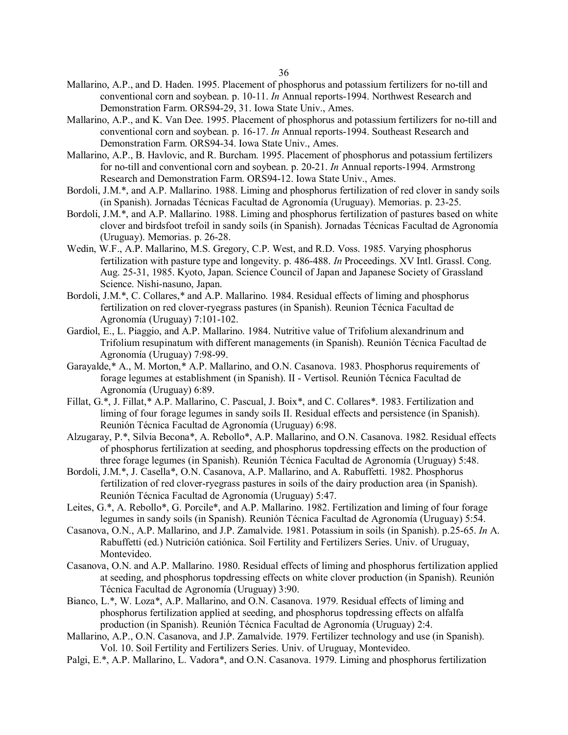- Mallarino, A.P., and D. Haden. 1995. Placement of phosphorus and potassium fertilizers for no-till and conventional corn and soybean. p. 10-11. *In* Annual reports-1994. Northwest Research and Demonstration Farm. ORS94-29, 31. Iowa State Univ., Ames.
- Mallarino, A.P., and K. Van Dee. 1995. Placement of phosphorus and potassium fertilizers for no-till and conventional corn and soybean. p. 16-17. *In* Annual reports-1994. Southeast Research and Demonstration Farm. ORS94-34. Iowa State Univ., Ames.
- Mallarino, A.P., B. Havlovic, and R. Burcham. 1995. Placement of phosphorus and potassium fertilizers for no-till and conventional corn and soybean. p. 20-21. *In* Annual reports-1994. Armstrong Research and Demonstration Farm. ORS94-12. Iowa State Univ., Ames.
- Bordoli, J.M.\*, and A.P. Mallarino. 1988. Liming and phosphorus fertilization of red clover in sandy soils (in Spanish). Jornadas Técnicas Facultad de Agronomía (Uruguay). Memorias. p. 23-25.
- Bordoli, J.M.\*, and A.P. Mallarino. 1988. Liming and phosphorus fertilization of pastures based on white clover and birdsfoot trefoil in sandy soils (in Spanish). Jornadas Técnicas Facultad de Agronomía (Uruguay). Memorias. p. 26-28.
- Wedin, W.F., A.P. Mallarino, M.S. Gregory, C.P. West, and R.D. Voss. 1985. Varying phosphorus fertilization with pasture type and longevity. p. 486-488. *In* Proceedings. XV Intl. Grassl. Cong. Aug. 25-31, 1985. Kyoto, Japan. Science Council of Japan and Japanese Society of Grassland Science. Nishi-nasuno, Japan.
- Bordoli, J.M.\*, C. Collares,\* and A.P. Mallarino. 1984. Residual effects of liming and phosphorus fertilization on red clover-ryegrass pastures (in Spanish). Reunion Técnica Facultad de Agronomía (Uruguay) 7:101-102.
- Gardiol, E., L. Piaggio, and A.P. Mallarino. 1984. Nutritive value of Trifolium alexandrinum and Trifolium resupinatum with different managements (in Spanish). Reunión Técnica Facultad de Agronomía (Uruguay) 7:98-99.
- Garayalde,\* A., M. Morton,\* A.P. Mallarino, and O.N. Casanova. 1983. Phosphorus requirements of forage legumes at establishment (in Spanish). II - Vertisol. Reunión Técnica Facultad de Agronomía (Uruguay) 6:89.
- Fillat, G.\*, J. Fillat,\* A.P. Mallarino, C. Pascual, J. Boix\*, and C. Collares\*. 1983. Fertilization and liming of four forage legumes in sandy soils II. Residual effects and persistence (in Spanish). Reunión Técnica Facultad de Agronomía (Uruguay) 6:98.
- Alzugaray, P.\*, Silvia Becona\*, A. Rebollo\*, A.P. Mallarino, and O.N. Casanova. 1982. Residual effects of phosphorus fertilization at seeding, and phosphorus topdressing effects on the production of three forage legumes (in Spanish). Reunión Técnica Facultad de Agronomía (Uruguay) 5:48.
- Bordoli, J.M.\*, J. Casella\*, O.N. Casanova, A.P. Mallarino, and A. Rabuffetti. 1982. Phosphorus fertilization of red clover-ryegrass pastures in soils of the dairy production area (in Spanish). Reunión Técnica Facultad de Agronomía (Uruguay) 5:47.
- Leites, G.\*, A. Rebollo\*, G. Porcile\*, and A.P. Mallarino. 1982. Fertilization and liming of four forage legumes in sandy soils (in Spanish). Reunión Técnica Facultad de Agronomía (Uruguay) 5:54.
- Casanova, O.N., A.P. Mallarino, and J.P. Zamalvide. 1981. Potassium in soils (in Spanish). p.25-65. *In* A. Rabuffetti (ed.) Nutrición catiónica. Soil Fertility and Fertilizers Series. Univ. of Uruguay, Montevideo.
- Casanova, O.N. and A.P. Mallarino. 1980. Residual effects of liming and phosphorus fertilization applied at seeding, and phosphorus topdressing effects on white clover production (in Spanish). Reunión Técnica Facultad de Agronomía (Uruguay) 3:90.
- Bianco, L.\*, W. Loza\*, A.P. Mallarino, and O.N. Casanova. 1979. Residual effects of liming and phosphorus fertilization applied at seeding, and phosphorus topdressing effects on alfalfa production (in Spanish). Reunión Técnica Facultad de Agronomía (Uruguay) 2:4.
- Mallarino, A.P., O.N. Casanova, and J.P. Zamalvide. 1979. Fertilizer technology and use (in Spanish). Vol. 10. Soil Fertility and Fertilizers Series. Univ. of Uruguay, Montevideo.
- Palgi, E.\*, A.P. Mallarino, L. Vadora\*, and O.N. Casanova. 1979. Liming and phosphorus fertilization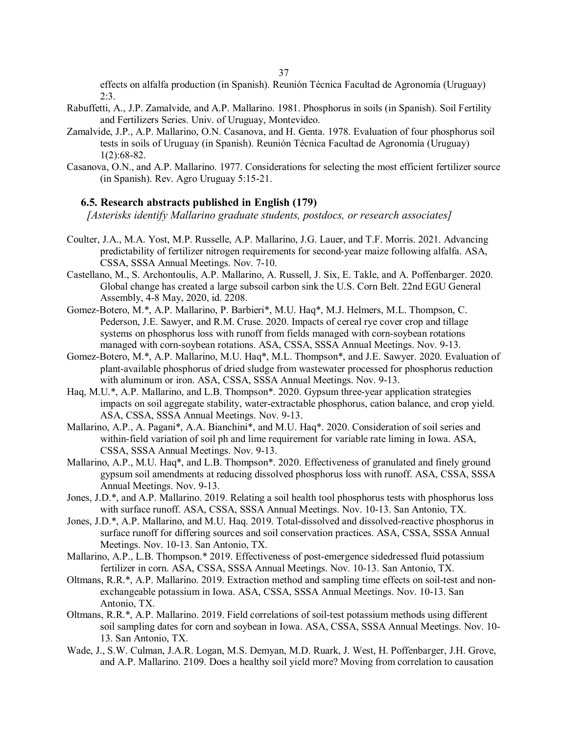effects on alfalfa production (in Spanish). Reunión Técnica Facultad de Agronomía (Uruguay)  $2:3.$ 

- Rabuffetti, A., J.P. Zamalvide, and A.P. Mallarino. 1981. Phosphorus in soils (in Spanish). Soil Fertility and Fertilizers Series. Univ. of Uruguay, Montevideo.
- Zamalvide, J.P., A.P. Mallarino, O.N. Casanova, and H. Genta. 1978. Evaluation of four phosphorus soil tests in soils of Uruguay (in Spanish). Reunión Técnica Facultad de Agronomía (Uruguay) 1(2):68-82.
- Casanova, O.N., and A.P. Mallarino. 1977. Considerations for selecting the most efficient fertilizer source (in Spanish). Rev. Agro Uruguay 5:15-21.

#### **6.5. Research abstracts published in English (179)**

*[Asterisks identify Mallarino graduate students, postdocs, or research associates]*

- Coulter, J.A., M.A. Yost, M.P. Russelle, A.P. Mallarino, J.G. Lauer, and T.F. Morris. 2021. Advancing predictability of fertilizer nitrogen requirements for second-year maize following alfalfa. ASA, CSSA, SSSA Annual Meetings. Nov. 7-10.
- Castellano, M., S. Archontoulis, A.P. Mallarino, A. Russell, J. Six, E. Takle, and A. Poffenbarger. 2020. Global change has created a large subsoil carbon sink the U.S. Corn Belt. 22nd EGU General Assembly, 4-8 May, 2020, id. 2208.
- Gomez-Botero, M.\*, A.P. Mallarino, P. Barbieri\*, M.U. Haq\*, M.J. Helmers, M.L. Thompson, C. Pederson, J.E. Sawyer, and R.M. Cruse. 2020. Impacts of cereal rye cover crop and tillage systems on phosphorus loss with runoff from fields managed with corn-soybean rotations managed with corn-soybean rotations. ASA, CSSA, SSSA Annual Meetings. Nov. 9-13.
- Gomez-Botero, M.\*, A.P. Mallarino, M.U. Haq\*, M.L. Thompson\*, and J.E. Sawyer. 2020. Evaluation of plant-available phosphorus of dried sludge from wastewater processed for phosphorus reduction with aluminum or iron. ASA, CSSA, SSSA Annual Meetings. Nov. 9-13.
- Haq, M.U.\*, A.P. Mallarino, and L.B. Thompson\*. 2020. Gypsum three-year application strategies impacts on soil aggregate stability, water-extractable phosphorus, cation balance, and crop yield. ASA, CSSA, SSSA Annual Meetings. Nov. 9-13.
- Mallarino, A.P., A. Pagani\*, A.A. Bianchini\*, and M.U. Haq\*. 2020. Consideration of soil series and within-field variation of soil ph and lime requirement for variable rate liming in Iowa. ASA, CSSA, SSSA Annual Meetings. Nov. 9-13.
- Mallarino, A.P., M.U. Haq\*, and L.B. Thompson\*. 2020. Effectiveness of granulated and finely ground gypsum soil amendments at reducing dissolved phosphorus loss with runoff. ASA, CSSA, SSSA Annual Meetings. Nov. 9-13.
- Jones, J.D.\*, and A.P. Mallarino. 2019. Relating a soil health tool phosphorus tests with phosphorus loss with surface runoff. ASA, CSSA, SSSA Annual Meetings. Nov. 10-13. San Antonio, TX.
- Jones, J.D.\*, A.P. Mallarino, and M.U. Haq. 2019. Total-dissolved and dissolved-reactive phosphorus in surface runoff for differing sources and soil conservation practices. ASA, CSSA, SSSA Annual Meetings. Nov. 10-13. San Antonio, TX.
- Mallarino, A.P., L.B. Thompson.\* 2019. Effectiveness of post-emergence sidedressed fluid potassium fertilizer in corn. ASA, CSSA, SSSA Annual Meetings. Nov. 10-13. San Antonio, TX.
- Oltmans, R.R.\*, A.P. Mallarino. 2019. Extraction method and sampling time effects on soil-test and nonexchangeable potassium in Iowa. ASA, CSSA, SSSA Annual Meetings. Nov. 10-13. San Antonio, TX.
- Oltmans, R.R.\*, A.P. Mallarino. 2019. Field correlations of soil-test potassium methods using different soil sampling dates for corn and soybean in Iowa. ASA, CSSA, SSSA Annual Meetings. Nov. 10- 13. San Antonio, TX.
- Wade, J., S.W. Culman, J.A.R. Logan, M.S. Demyan, M.D. Ruark, J. West, H. Poffenbarger, J.H. Grove, and A.P. Mallarino. 2109. Does a healthy soil yield more? Moving from correlation to causation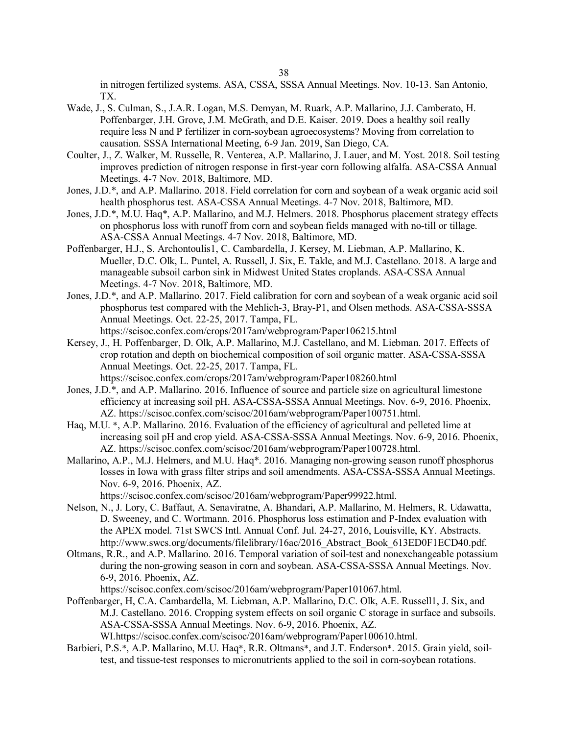in nitrogen fertilized systems. ASA, CSSA, SSSA Annual Meetings. Nov. 10-13. San Antonio, TX.

- Wade, J., S. Culman, S., J.A.R. Logan, M.S. Demyan, M. Ruark, A.P. Mallarino, J.J. Camberato, H. Poffenbarger, J.H. Grove, J.M. McGrath, and D.E. Kaiser. 2019. Does a healthy soil really require less N and P fertilizer in corn-soybean agroecosystems? Moving from correlation to causation. SSSA International Meeting, 6-9 Jan. 2019, San Diego, CA.
- Coulter, J., Z. Walker, M. Russelle, R. Venterea, A.P. Mallarino, J. Lauer, and M. Yost. 2018. Soil testing improves prediction of nitrogen response in first-year corn following alfalfa. ASA-CSSA Annual Meetings. 4-7 Nov. 2018, Baltimore, MD.
- Jones, J.D.\*, and A.P. Mallarino. 2018. Field correlation for corn and soybean of a weak organic acid soil health phosphorus test. ASA-CSSA Annual Meetings. 4-7 Nov. 2018, Baltimore, MD.
- Jones, J.D.\*, M.U. Haq\*, A.P. Mallarino, and M.J. Helmers. 2018. Phosphorus placement strategy effects on phosphorus loss with runoff from corn and soybean fields managed with no-till or tillage. ASA-CSSA Annual Meetings. 4-7 Nov. 2018, Baltimore, MD.
- Poffenbarger, H.J., S. Archontoulis1, C. Cambardella, J. Kersey, M. Liebman, A.P. Mallarino, K. Mueller, D.C. Olk, L. Puntel, A. Russell, J. Six, E. Takle, and M.J. Castellano. 2018. A large and manageable subsoil carbon sink in Midwest United States croplands. ASA-CSSA Annual Meetings. 4-7 Nov. 2018, Baltimore, MD.
- Jones, J.D.\*, and A.P. Mallarino. 2017. Field calibration for corn and soybean of a weak organic acid soil phosphorus test compared with the Mehlich-3, Bray-P1, and Olsen methods. ASA-CSSA-SSSA Annual Meetings. Oct. 22-25, 2017. Tampa, FL. https://scisoc.confex.com/crops/2017am/webprogram/Paper106215.html
- Kersey, J., H. Poffenbarger, D. Olk, A.P. Mallarino, M.J. Castellano, and M. Liebman. 2017. Effects of crop rotation and depth on biochemical composition of soil organic matter. ASA-CSSA-SSSA Annual Meetings. Oct. 22-25, 2017. Tampa, FL. https://scisoc.confex.com/crops/2017am/webprogram/Paper108260.html
- Jones, J.D.\*, and A.P. Mallarino. 2016. Influence of source and particle size on agricultural limestone efficiency at increasing soil pH. ASA-CSSA-SSSA Annual Meetings. Nov. 6-9, 2016. Phoenix, AZ. https://scisoc.confex.com/scisoc/2016am/webprogram/Paper100751.html.
- Haq, M.U. \*, A.P. Mallarino. 2016. Evaluation of the efficiency of agricultural and pelleted lime at increasing soil pH and crop yield. ASA-CSSA-SSSA Annual Meetings. Nov. 6-9, 2016. Phoenix, AZ. https://scisoc.confex.com/scisoc/2016am/webprogram/Paper100728.html.
- Mallarino, A.P., M.J. Helmers, and M.U. Haq\*. 2016. Managing non-growing season runoff phosphorus losses in Iowa with grass filter strips and soil amendments. ASA-CSSA-SSSA Annual Meetings. Nov. 6-9, 2016. Phoenix, AZ.

https://scisoc.confex.com/scisoc/2016am/webprogram/Paper99922.html.

- Nelson, N., J. Lory, C. Baffaut, A. Senaviratne, A. Bhandari, A.P. Mallarino, M. Helmers, R. Udawatta, D. Sweeney, and C. Wortmann. 2016. Phosphorus loss estimation and P-Index evaluation with the APEX model. 71st SWCS Intl. Annual Conf. Jul. 24-27, 2016, Louisville, KY. Abstracts. http://www.swcs.org/documents/filelibrary/16ac/2016\_Abstract\_Book\_613ED0F1ECD40.pdf.
- Oltmans, R.R., and A.P. Mallarino. 2016. Temporal variation of soil-test and nonexchangeable potassium during the non-growing season in corn and soybean. ASA-CSSA-SSSA Annual Meetings. Nov. 6-9, 2016. Phoenix, AZ.

https://scisoc.confex.com/scisoc/2016am/webprogram/Paper101067.html.

Poffenbarger, H, C.A. Cambardella, M. Liebman, A.P. Mallarino, D.C. Olk, A.E. Russell1, J. Six, and M.J. Castellano. 2016. Cropping system effects on soil organic C storage in surface and subsoils. ASA-CSSA-SSSA Annual Meetings. Nov. 6-9, 2016. Phoenix, AZ.

WI.https://scisoc.confex.com/scisoc/2016am/webprogram/Paper100610.html.

Barbieri, P.S.\*, A.P. Mallarino, M.U. Haq\*, R.R. Oltmans\*, and J.T. Enderson\*. 2015. Grain yield, soiltest, and tissue-test responses to micronutrients applied to the soil in corn-soybean rotations.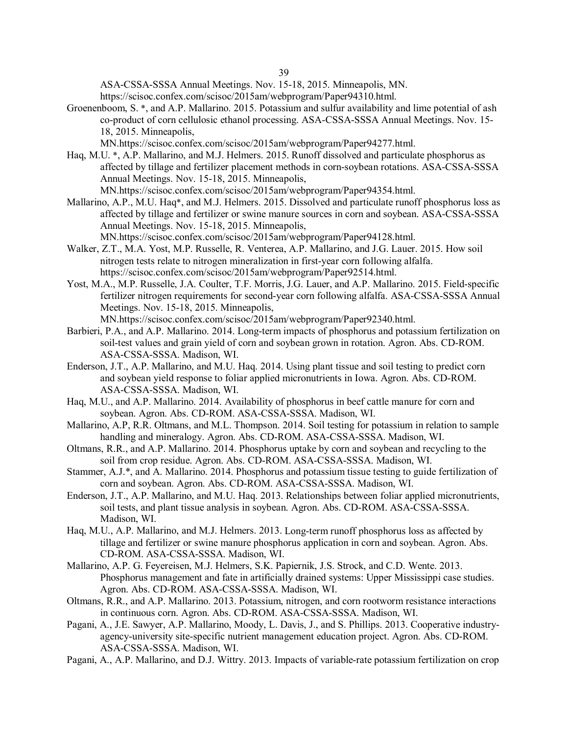ASA-CSSA-SSSA Annual Meetings. Nov. 15-18, 2015. Minneapolis, MN. https://scisoc.confex.com/scisoc/2015am/webprogram/Paper94310.html.

Groenenboom, S. \*, and A.P. Mallarino. 2015. Potassium and sulfur availability and lime potential of ash co-product of corn cellulosic ethanol processing. ASA-CSSA-SSSA Annual Meetings. Nov. 15- 18, 2015. Minneapolis,

MN.https://scisoc.confex.com/scisoc/2015am/webprogram/Paper94277.html.

- Haq, M.U. \*, A.P. Mallarino, and M.J. Helmers. 2015. Runoff dissolved and particulate phosphorus as affected by tillage and fertilizer placement methods in corn-soybean rotations. ASA-CSSA-SSSA Annual Meetings. Nov. 15-18, 2015. Minneapolis, MN.https://scisoc.confex.com/scisoc/2015am/webprogram/Paper94354.html.
- Mallarino, A.P., M.U. Haq\*, and M.J. Helmers. 2015. Dissolved and particulate runoff phosphorus loss as affected by tillage and fertilizer or swine manure sources in corn and soybean. ASA-CSSA-SSSA Annual Meetings. Nov. 15-18, 2015. Minneapolis,

MN.https://scisoc.confex.com/scisoc/2015am/webprogram/Paper94128.html.

- Walker, Z.T., M.A. Yost, M.P. Russelle, R. Venterea, A.P. Mallarino, and J.G. Lauer. 2015. How soil nitrogen tests relate to nitrogen mineralization in first-year corn following alfalfa. https://scisoc.confex.com/scisoc/2015am/webprogram/Paper92514.html.
- Yost, M.A., M.P. Russelle, J.A. Coulter, T.F. Morris, J.G. Lauer, and A.P. Mallarino. 2015. Field-specific fertilizer nitrogen requirements for second-year corn following alfalfa. ASA-CSSA-SSSA Annual Meetings. Nov. 15-18, 2015. Minneapolis,

MN.https://scisoc.confex.com/scisoc/2015am/webprogram/Paper92340.html.

- Barbieri, P.A., and A.P. Mallarino. 2014. Long-term impacts of phosphorus and potassium fertilization on soil-test values and grain yield of corn and soybean grown in rotation. Agron. Abs. CD-ROM. ASA-CSSA-SSSA. Madison, WI.
- Enderson, J.T., A.P. Mallarino, and M.U. Haq. 2014. Using plant tissue and soil testing to predict corn and soybean yield response to foliar applied micronutrients in Iowa. Agron. Abs. CD-ROM. ASA-CSSA-SSSA. Madison, WI.
- Haq, M.U., and A.P. Mallarino. 2014. Availability of phosphorus in beef cattle manure for corn and soybean. Agron. Abs. CD-ROM. ASA-CSSA-SSSA. Madison, WI.
- Mallarino, A.P, R.R. Oltmans, and M.L. Thompson. 2014. Soil testing for potassium in relation to sample handling and mineralogy. Agron. Abs. CD-ROM. ASA-CSSA-SSSA. Madison, WI.
- Oltmans, R.R., and A.P. Mallarino. 2014. Phosphorus uptake by corn and soybean and recycling to the soil from crop residue. Agron. Abs. CD-ROM. ASA-CSSA-SSSA. Madison, WI.
- Stammer, A.J.\*, and A. Mallarino. 2014. Phosphorus and potassium tissue testing to guide fertilization of corn and soybean. Agron. Abs. CD-ROM. ASA-CSSA-SSSA. Madison, WI.
- Enderson, J.T., A.P. Mallarino, and M.U. Haq. 2013. Relationships between foliar applied micronutrients, soil tests, and plant tissue analysis in soybean. Agron. Abs. CD-ROM. ASA-CSSA-SSSA. Madison, WI.
- Haq, M.U., A.P. Mallarino, and M.J. Helmers. 2013. Long-term runoff phosphorus loss as affected by tillage and fertilizer or swine manure phosphorus application in corn and soybean. Agron. Abs. CD-ROM. ASA-CSSA-SSSA. Madison, WI.
- Mallarino, A.P. G. Feyereisen, M.J. Helmers, S.K. Papiernik, J.S. Strock, and C.D. Wente. 2013. Phosphorus management and fate in artificially drained systems: Upper Mississippi case studies. Agron. Abs. CD-ROM. ASA-CSSA-SSSA. Madison, WI.
- Oltmans, R.R., and A.P. Mallarino. 2013. Potassium, nitrogen, and corn rootworm resistance interactions in continuous corn. Agron. Abs. CD-ROM. ASA-CSSA-SSSA. Madison, WI.
- Pagani, A., J.E. Sawyer, A.P. Mallarino, Moody, L. Davis, J., and S. Phillips. 2013. Cooperative industryagency-university site-specific nutrient management education project. Agron. Abs. CD-ROM. ASA-CSSA-SSSA. Madison, WI.
- Pagani, A., A.P. Mallarino, and D.J. Wittry. 2013. Impacts of variable-rate potassium fertilization on crop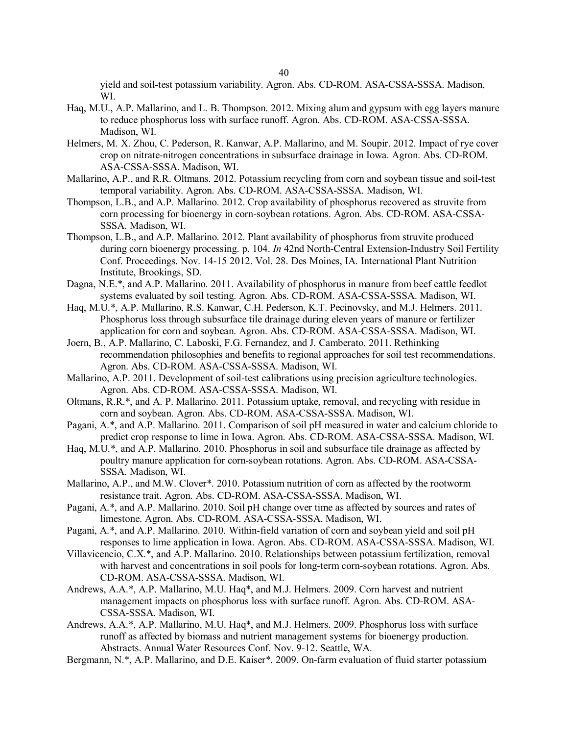yield and soil-test potassium variability. Agron. Abs. CD-ROM. ASA-CSSA-SSSA. Madison, WI.

- Haq, M.U., A.P. Mallarino, and L. B. Thompson. 2012. Mixing alum and gypsum with egg layers manure to reduce phosphorus loss with surface runoff. Agron. Abs. CD-ROM. ASA-CSSA-SSSA. Madison, WI.
- Helmers, M. X. Zhou, C. Pederson, R. Kanwar, A.P. Mallarino, and M. Soupir. 2012. Impact of rye cover crop on nitrate-nitrogen concentrations in subsurface drainage in Iowa. Agron. Abs. CD-ROM. ASA-CSSA-SSSA. Madison, WI.
- Mallarino, A.P., and R.R. Oltmans. 2012. Potassium recycling from corn and soybean tissue and soil-test temporal variability. Agron. Abs. CD-ROM. ASA-CSSA-SSSA. Madison, WI.
- Thompson, L.B., and A.P. Mallarino. 2012. Crop availability of phosphorus recovered as struvite from corn processing for bioenergy in corn-soybean rotations. Agron. Abs. CD-ROM. ASA-CSSA-SSSA. Madison, WI.
- Thompson, L.B., and A.P. Mallarino. 2012. Plant availability of phosphorus from struvite produced during corn bioenergy processing. p. 104. *In* 42nd North-Central Extension-Industry Soil Fertility Conf. Proceedings. Nov. 14-15 2012. Vol. 28. Des Moines, IA. International Plant Nutrition Institute, Brookings, SD.
- Dagna, N.E.\*, and A.P. Mallarino. 2011. Availability of phosphorus in manure from beef cattle feedlot systems evaluated by soil testing. Agron. Abs. CD-ROM. ASA-CSSA-SSSA. Madison, WI.
- Haq, M.U.\*, A.P. Mallarino, R.S. Kanwar, C.H. Pederson, K.T. Pecinovsky, and M.J. Helmers. 2011. Phosphorus loss through subsurface tile drainage during eleven years of manure or fertilizer application for corn and soybean. Agron. Abs. CD-ROM. ASA-CSSA-SSSA. Madison, WI.
- Joern, B., A.P. Mallarino, C. Laboski, F.G. Fernandez, and J. Camberato. 2011. Rethinking recommendation philosophies and benefits to regional approaches for soil test recommendations. Agron. Abs. CD-ROM. ASA-CSSA-SSSA. Madison, WI.
- Mallarino, A.P. 2011. Development of soil-test calibrations using precision agriculture technologies. Agron. Abs. CD-ROM. ASA-CSSA-SSSA. Madison, WI.
- Oltmans, R.R.\*, and A. P. Mallarino. 2011. Potassium uptake, removal, and recycling with residue in corn and soybean. Agron. Abs. CD-ROM. ASA-CSSA-SSSA. Madison, WI.
- Pagani, A.\*, and A.P. Mallarino. 2011. Comparison of soil pH measured in water and calcium chloride to predict crop response to lime in Iowa. Agron. Abs. CD-ROM. ASA-CSSA-SSSA. Madison, WI.
- Haq, M.U.\*, and A.P. Mallarino. 2010. Phosphorus in soil and subsurface tile drainage as affected by poultry manure application for corn-soybean rotations. Agron. Abs. CD-ROM. ASA-CSSA-SSSA. Madison, WI.
- Mallarino, A.P., and M.W. Clover\*. 2010. Potassium nutrition of corn as affected by the rootworm resistance trait. Agron. Abs. CD-ROM. ASA-CSSA-SSSA. Madison, WI.
- Pagani, A.\*, and A.P. Mallarino. 2010. Soil pH change over time as affected by sources and rates of limestone. Agron. Abs. CD-ROM. ASA-CSSA-SSSA. Madison, WI.
- Pagani, A.\*, and A.P. Mallarino. 2010. Within-field variation of corn and soybean yield and soil pH responses to lime application in Iowa. Agron. Abs. CD-ROM. ASA-CSSA-SSSA. Madison, WI.
- Villavicencio, C.X.\*, and A.P. Mallarino. 2010. Relationships between potassium fertilization, removal with harvest and concentrations in soil pools for long-term corn-soybean rotations. Agron. Abs. CD-ROM. ASA-CSSA-SSSA. Madison, WI.
- Andrews, A.A.\*, A.P. Mallarino, M.U. Haq\*, and M.J. Helmers. 2009. Corn harvest and nutrient management impacts on phosphorus loss with surface runoff. Agron. Abs. CD-ROM. ASA-CSSA-SSSA. Madison, WI.
- Andrews, A.A.\*, A.P. Mallarino, M.U. Haq\*, and M.J. Helmers. 2009. Phosphorus loss with surface runoff as affected by biomass and nutrient management systems for bioenergy production. Abstracts. Annual Water Resources Conf. Nov. 9-12. Seattle, WA.
- Bergmann, N.\*, A.P. Mallarino, and D.E. Kaiser\*. 2009. On-farm evaluation of fluid starter potassium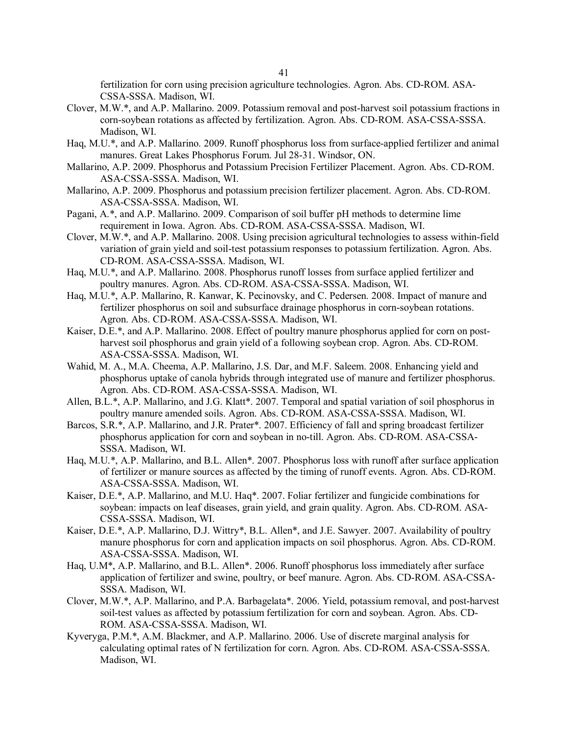fertilization for corn using precision agriculture technologies. Agron. Abs. CD-ROM. ASA-CSSA-SSSA. Madison, WI.

- Clover, M.W.\*, and A.P. Mallarino. 2009. Potassium removal and post-harvest soil potassium fractions in corn-soybean rotations as affected by fertilization. Agron. Abs. CD-ROM. ASA-CSSA-SSSA. Madison, WI.
- Haq, M.U.\*, and A.P. Mallarino. 2009. Runoff phosphorus loss from surface-applied fertilizer and animal manures. Great Lakes Phosphorus Forum. Jul 28-31. Windsor, ON.
- Mallarino, A.P. 2009. Phosphorus and Potassium Precision Fertilizer Placement. Agron. Abs. CD-ROM. ASA-CSSA-SSSA. Madison, WI.
- Mallarino, A.P. 2009. Phosphorus and potassium precision fertilizer placement. Agron. Abs. CD-ROM. ASA-CSSA-SSSA. Madison, WI.
- Pagani, A.\*, and A.P. Mallarino. 2009. Comparison of soil buffer pH methods to determine lime requirement in Iowa. Agron. Abs. CD-ROM. ASA-CSSA-SSSA. Madison, WI.
- Clover, M.W.\*, and A.P. Mallarino. 2008. Using precision agricultural technologies to assess within-field variation of grain yield and soil-test potassium responses to potassium fertilization. Agron. Abs. CD-ROM. ASA-CSSA-SSSA. Madison, WI.
- Haq, M.U.\*, and A.P. Mallarino. 2008. Phosphorus runoff losses from surface applied fertilizer and poultry manures. Agron. Abs. CD-ROM. ASA-CSSA-SSSA. Madison, WI.
- Haq, M.U.\*, A.P. Mallarino, R. Kanwar, K. Pecinovsky, and C. Pedersen. 2008. Impact of manure and fertilizer phosphorus on soil and subsurface drainage phosphorus in corn-soybean rotations. Agron. Abs. CD-ROM. ASA-CSSA-SSSA. Madison, WI.
- Kaiser, D.E.\*, and A.P. Mallarino. 2008. Effect of poultry manure phosphorus applied for corn on postharvest soil phosphorus and grain yield of a following soybean crop. Agron. Abs. CD-ROM. ASA-CSSA-SSSA. Madison, WI.
- Wahid, M. A., M.A. Cheema, A.P. Mallarino, J.S. Dar, and M.F. Saleem. 2008. Enhancing yield and phosphorus uptake of canola hybrids through integrated use of manure and fertilizer phosphorus. Agron. Abs. CD-ROM. ASA-CSSA-SSSA. Madison, WI.
- Allen, B.L.\*, A.P. Mallarino, and J.G. Klatt\*. 2007. Temporal and spatial variation of soil phosphorus in poultry manure amended soils. Agron. Abs. CD-ROM. ASA-CSSA-SSSA. Madison, WI.
- Barcos, S.R.\*, A.P. Mallarino, and J.R. Prater\*. 2007. Efficiency of fall and spring broadcast fertilizer phosphorus application for corn and soybean in no-till. Agron. Abs. CD-ROM. ASA-CSSA-SSSA. Madison, WI.
- Haq, M.U.\*, A.P. Mallarino, and B.L. Allen\*. 2007. Phosphorus loss with runoff after surface application of fertilizer or manure sources as affected by the timing of runoff events. Agron. Abs. CD-ROM. ASA-CSSA-SSSA. Madison, WI.
- Kaiser, D.E.\*, A.P. Mallarino, and M.U. Haq\*. 2007. Foliar fertilizer and fungicide combinations for soybean: impacts on leaf diseases, grain yield, and grain quality. Agron. Abs. CD-ROM. ASA-CSSA-SSSA. Madison, WI.
- Kaiser, D.E.\*, A.P. Mallarino, D.J. Wittry\*, B.L. Allen\*, and J.E. Sawyer. 2007. Availability of poultry manure phosphorus for corn and application impacts on soil phosphorus. Agron. Abs. CD-ROM. ASA-CSSA-SSSA. Madison, WI.
- Haq, U.M\*, A.P. Mallarino, and B.L. Allen\*. 2006. Runoff phosphorus loss immediately after surface application of fertilizer and swine, poultry, or beef manure. Agron. Abs. CD-ROM. ASA-CSSA-SSSA. Madison, WI.
- Clover, M.W.\*, A.P. Mallarino, and P.A. Barbagelata\*. 2006. Yield, potassium removal, and post-harvest soil-test values as affected by potassium fertilization for corn and soybean. Agron. Abs. CD-ROM. ASA-CSSA-SSSA. Madison, WI.
- Kyveryga, P.M.\*, A.M. Blackmer, and A.P. Mallarino. 2006. Use of discrete marginal analysis for calculating optimal rates of N fertilization for corn. Agron. Abs. CD-ROM. ASA-CSSA-SSSA. Madison, WI.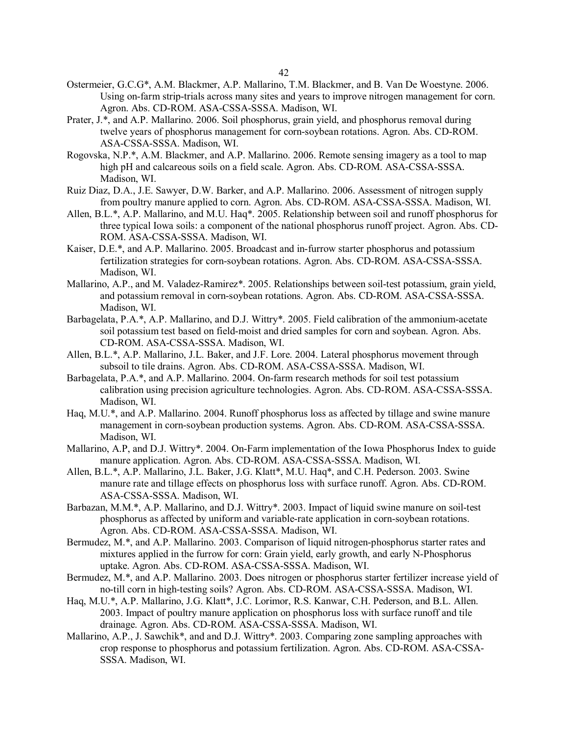- Ostermeier, G.C.G\*, A.M. Blackmer, A.P. Mallarino, T.M. Blackmer, and B. Van De Woestyne. 2006. Using on-farm strip-trials across many sites and years to improve nitrogen management for corn. Agron. Abs. CD-ROM. ASA-CSSA-SSSA. Madison, WI.
- Prater, J.\*, and A.P. Mallarino. 2006. Soil phosphorus, grain yield, and phosphorus removal during twelve years of phosphorus management for corn-soybean rotations. Agron. Abs. CD-ROM. ASA-CSSA-SSSA. Madison, WI.
- Rogovska, N.P.\*, A.M. Blackmer, and A.P. Mallarino. 2006. Remote sensing imagery as a tool to map high pH and calcareous soils on a field scale. Agron. Abs. CD-ROM. ASA-CSSA-SSSA. Madison, WI.
- Ruiz Diaz, D.A., J.E. Sawyer, D.W. Barker, and A.P. Mallarino. 2006. Assessment of nitrogen supply from poultry manure applied to corn. Agron. Abs. CD-ROM. ASA-CSSA-SSSA. Madison, WI.
- Allen, B.L.\*, A.P. Mallarino, and M.U. Haq\*. 2005. Relationship between soil and runoff phosphorus for three typical Iowa soils: a component of the national phosphorus runoff project. Agron. Abs. CD-ROM. ASA-CSSA-SSSA. Madison, WI.
- Kaiser, D.E.\*, and A.P. Mallarino. 2005. Broadcast and in-furrow starter phosphorus and potassium fertilization strategies for corn-soybean rotations. Agron. Abs. CD-ROM. ASA-CSSA-SSSA. Madison, WI.
- Mallarino, A.P., and M. Valadez-Ramirez\*. 2005. Relationships between soil-test potassium, grain yield, and potassium removal in corn-soybean rotations. Agron. Abs. CD-ROM. ASA-CSSA-SSSA. Madison, WI.
- Barbagelata, P.A.\*, A.P. Mallarino, and D.J. Wittry\*. 2005. Field calibration of the ammonium-acetate soil potassium test based on field-moist and dried samples for corn and soybean. Agron. Abs. CD-ROM. ASA-CSSA-SSSA. Madison, WI.
- Allen, B.L.\*, A.P. Mallarino, J.L. Baker, and J.F. Lore. 2004. Lateral phosphorus movement through subsoil to tile drains. Agron. Abs. CD-ROM. ASA-CSSA-SSSA. Madison, WI.
- Barbagelata, P.A.\*, and A.P. Mallarino. 2004. On-farm research methods for soil test potassium calibration using precision agriculture technologies. Agron. Abs. CD-ROM. ASA-CSSA-SSSA. Madison, WI.
- Haq, M.U.\*, and A.P. Mallarino. 2004. Runoff phosphorus loss as affected by tillage and swine manure management in corn-soybean production systems. Agron. Abs. CD-ROM. ASA-CSSA-SSSA. Madison, WI.
- Mallarino, A.P, and D.J. Wittry\*. 2004. On-Farm implementation of the Iowa Phosphorus Index to guide manure application. Agron. Abs. CD-ROM. ASA-CSSA-SSSA. Madison, WI.
- Allen, B.L.\*, A.P. Mallarino, J.L. Baker, J.G. Klatt\*, M.U. Haq\*, and C.H. Pederson. 2003. Swine manure rate and tillage effects on phosphorus loss with surface runoff. Agron. Abs. CD-ROM. ASA-CSSA-SSSA. Madison, WI.
- Barbazan, M.M.\*, A.P. Mallarino, and D.J. Wittry\*. 2003. Impact of liquid swine manure on soil-test phosphorus as affected by uniform and variable-rate application in corn-soybean rotations. Agron. Abs. CD-ROM. ASA-CSSA-SSSA. Madison, WI.
- Bermudez, M.\*, and A.P. Mallarino. 2003. Comparison of liquid nitrogen-phosphorus starter rates and mixtures applied in the furrow for corn: Grain yield, early growth, and early N-Phosphorus uptake. Agron. Abs. CD-ROM. ASA-CSSA-SSSA. Madison, WI.
- Bermudez, M.\*, and A.P. Mallarino. 2003. Does nitrogen or phosphorus starter fertilizer increase yield of no-till corn in high-testing soils? Agron. Abs. CD-ROM. ASA-CSSA-SSSA. Madison, WI.
- Haq, M.U.\*, A.P. Mallarino, J.G. Klatt\*, J.C. Lorimor, R.S. Kanwar, C.H. Pederson, and B.L. Allen. 2003. Impact of poultry manure application on phosphorus loss with surface runoff and tile drainage. Agron. Abs. CD-ROM. ASA-CSSA-SSSA. Madison, WI.
- Mallarino, A.P., J. Sawchik\*, and and D.J. Wittry\*. 2003. Comparing zone sampling approaches with crop response to phosphorus and potassium fertilization. Agron. Abs. CD-ROM. ASA-CSSA-SSSA. Madison, WI.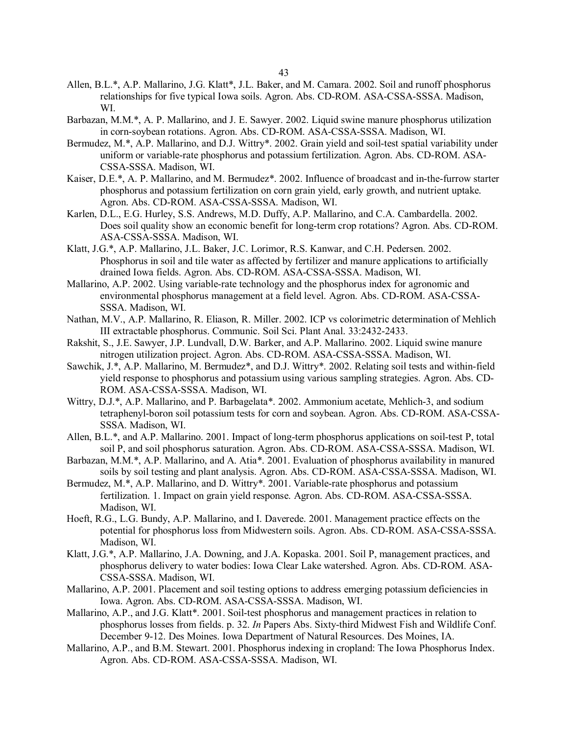- Allen, B.L.\*, A.P. Mallarino, J.G. Klatt\*, J.L. Baker, and M. Camara. 2002. Soil and runoff phosphorus relationships for five typical Iowa soils. Agron. Abs. CD-ROM. ASA-CSSA-SSSA. Madison, WI.
- Barbazan, M.M.\*, A. P. Mallarino, and J. E. Sawyer. 2002. Liquid swine manure phosphorus utilization in corn-soybean rotations. Agron. Abs. CD-ROM. ASA-CSSA-SSSA. Madison, WI.
- Bermudez, M.\*, A.P. Mallarino, and D.J. Wittry\*. 2002. Grain yield and soil-test spatial variability under uniform or variable-rate phosphorus and potassium fertilization. Agron. Abs. CD-ROM. ASA-CSSA-SSSA. Madison, WI.
- Kaiser, D.E.\*, A. P. Mallarino, and M. Bermudez\*. 2002. Influence of broadcast and in-the-furrow starter phosphorus and potassium fertilization on corn grain yield, early growth, and nutrient uptake. Agron. Abs. CD-ROM. ASA-CSSA-SSSA. Madison, WI.
- Karlen, D.L., E.G. Hurley, S.S. Andrews, M.D. Duffy, A.P. Mallarino, and C.A. Cambardella. 2002. Does soil quality show an economic benefit for long-term crop rotations? Agron. Abs. CD-ROM. ASA-CSSA-SSSA. Madison, WI.
- Klatt, J.G.\*, A.P. Mallarino, J.L. Baker, J.C. Lorimor, R.S. Kanwar, and C.H. Pedersen. 2002. Phosphorus in soil and tile water as affected by fertilizer and manure applications to artificially drained Iowa fields. Agron. Abs. CD-ROM. ASA-CSSA-SSSA. Madison, WI.
- Mallarino, A.P. 2002. Using variable-rate technology and the phosphorus index for agronomic and environmental phosphorus management at a field level. Agron. Abs. CD-ROM. ASA-CSSA-SSSA. Madison, WI.
- Nathan, M.V., A.P. Mallarino, R. Eliason, R. Miller. 2002. ICP vs colorimetric determination of Mehlich III extractable phosphorus. Communic. Soil Sci. Plant Anal. 33:2432-2433.
- Rakshit, S., J.E. Sawyer, J.P. Lundvall, D.W. Barker, and A.P. Mallarino. 2002. Liquid swine manure nitrogen utilization project. Agron. Abs. CD-ROM. ASA-CSSA-SSSA. Madison, WI.
- Sawchik, J.\*, A.P. Mallarino, M. Bermudez\*, and D.J. Wittry\*. 2002. Relating soil tests and within-field yield response to phosphorus and potassium using various sampling strategies. Agron. Abs. CD-ROM. ASA-CSSA-SSSA. Madison, WI.
- Wittry, D.J.\*, A.P. Mallarino, and P. Barbagelata\*. 2002. Ammonium acetate, Mehlich-3, and sodium tetraphenyl-boron soil potassium tests for corn and soybean. Agron. Abs. CD-ROM. ASA-CSSA-SSSA. Madison, WI.
- Allen, B.L.\*, and A.P. Mallarino. 2001. Impact of long-term phosphorus applications on soil-test P, total soil P, and soil phosphorus saturation. Agron. Abs. CD-ROM. ASA-CSSA-SSSA. Madison, WI.
- Barbazan, M.M.\*, A.P. Mallarino, and A. Atia\*. 2001. Evaluation of phosphorus availability in manured soils by soil testing and plant analysis. Agron. Abs. CD-ROM. ASA-CSSA-SSSA. Madison, WI.
- Bermudez, M.\*, A.P. Mallarino, and D. Wittry\*. 2001. Variable-rate phosphorus and potassium fertilization. 1. Impact on grain yield response. Agron. Abs. CD-ROM. ASA-CSSA-SSSA. Madison, WI.
- Hoeft, R.G., L.G. Bundy, A.P. Mallarino, and I. Daverede. 2001. Management practice effects on the potential for phosphorus loss from Midwestern soils. Agron. Abs. CD-ROM. ASA-CSSA-SSSA. Madison, WI.
- Klatt, J.G.\*, A.P. Mallarino, J.A. Downing, and J.A. Kopaska. 2001. Soil P, management practices, and phosphorus delivery to water bodies: Iowa Clear Lake watershed. Agron. Abs. CD-ROM. ASA-CSSA-SSSA. Madison, WI.
- Mallarino, A.P. 2001. Placement and soil testing options to address emerging potassium deficiencies in Iowa. Agron. Abs. CD-ROM. ASA-CSSA-SSSA. Madison, WI.
- Mallarino, A.P., and J.G. Klatt\*. 2001. Soil-test phosphorus and management practices in relation to phosphorus losses from fields. p. 32. *In* Papers Abs. Sixty-third Midwest Fish and Wildlife Conf. December 9-12. Des Moines. Iowa Department of Natural Resources. Des Moines, IA.
- Mallarino, A.P., and B.M. Stewart. 2001. Phosphorus indexing in cropland: The Iowa Phosphorus Index. Agron. Abs. CD-ROM. ASA-CSSA-SSSA. Madison, WI.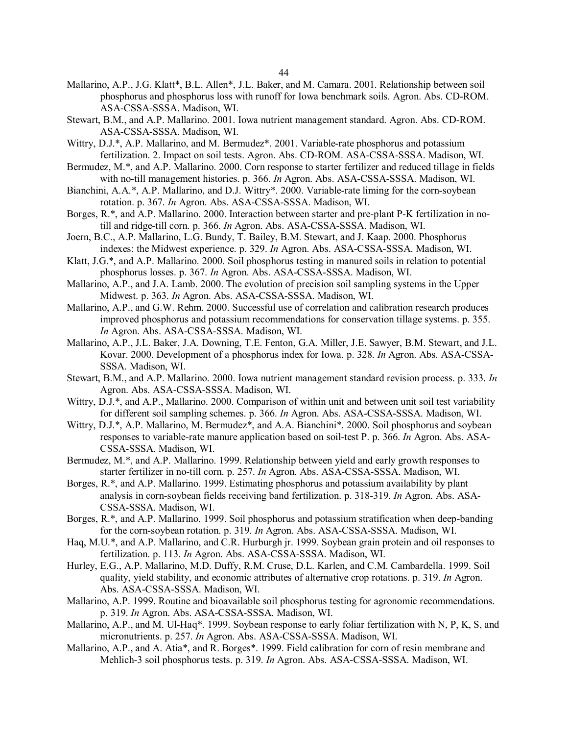- Mallarino, A.P., J.G. Klatt\*, B.L. Allen\*, J.L. Baker, and M. Camara. 2001. Relationship between soil phosphorus and phosphorus loss with runoff for Iowa benchmark soils. Agron. Abs. CD-ROM. ASA-CSSA-SSSA. Madison, WI.
- Stewart, B.M., and A.P. Mallarino. 2001. Iowa nutrient management standard. Agron. Abs. CD-ROM. ASA-CSSA-SSSA. Madison, WI.
- Wittry, D.J.\*, A.P. Mallarino, and M. Bermudez\*. 2001. Variable-rate phosphorus and potassium fertilization. 2. Impact on soil tests. Agron. Abs. CD-ROM. ASA-CSSA-SSSA. Madison, WI.
- Bermudez, M.\*, and A.P. Mallarino. 2000. Corn response to starter fertilizer and reduced tillage in fields with no-till management histories. p. 366. *In* Agron. Abs. ASA-CSSA-SSSA. Madison, WI.
- Bianchini, A.A.\*, A.P. Mallarino, and D.J. Wittry\*. 2000. Variable-rate liming for the corn-soybean rotation. p. 367. *In* Agron. Abs. ASA-CSSA-SSSA. Madison, WI.
- Borges, R.\*, and A.P. Mallarino. 2000. Interaction between starter and pre-plant P-K fertilization in notill and ridge-till corn. p. 366. *In* Agron. Abs. ASA-CSSA-SSSA. Madison, WI.
- Joern, B.C., A.P. Mallarino, L.G. Bundy, T. Bailey, B.M. Stewart, and J. Kaap. 2000. Phosphorus indexes: the Midwest experience. p. 329. *In* Agron. Abs. ASA-CSSA-SSSA. Madison, WI.
- Klatt, J.G.\*, and A.P. Mallarino. 2000. Soil phosphorus testing in manured soils in relation to potential phosphorus losses. p. 367. *In* Agron. Abs. ASA-CSSA-SSSA. Madison, WI.
- Mallarino, A.P., and J.A. Lamb. 2000. The evolution of precision soil sampling systems in the Upper Midwest. p. 363. *In* Agron. Abs. ASA-CSSA-SSSA. Madison, WI.
- Mallarino, A.P., and G.W. Rehm. 2000. Successful use of correlation and calibration research produces improved phosphorus and potassium recommendations for conservation tillage systems. p. 355. *In* Agron. Abs. ASA-CSSA-SSSA. Madison, WI.
- Mallarino, A.P., J.L. Baker, J.A. Downing, T.E. Fenton, G.A. Miller, J.E. Sawyer, B.M. Stewart, and J.L. Kovar. 2000. Development of a phosphorus index for Iowa. p. 328. *In* Agron. Abs. ASA-CSSA-SSSA. Madison, WI.
- Stewart, B.M., and A.P. Mallarino. 2000. Iowa nutrient management standard revision process. p. 333. *In* Agron. Abs. ASA-CSSA-SSSA. Madison, WI.
- Wittry, D.J.<sup>\*</sup>, and A.P., Mallarino. 2000. Comparison of within unit and between unit soil test variability for different soil sampling schemes. p. 366. *In* Agron. Abs. ASA-CSSA-SSSA. Madison, WI.
- Wittry, D.J.\*, A.P. Mallarino, M. Bermudez\*, and A.A. Bianchini\*. 2000. Soil phosphorus and soybean responses to variable-rate manure application based on soil-test P. p. 366. *In* Agron. Abs. ASA-CSSA-SSSA. Madison, WI.
- Bermudez, M.\*, and A.P. Mallarino. 1999. Relationship between yield and early growth responses to starter fertilizer in no-till corn. p. 257. *In* Agron. Abs. ASA-CSSA-SSSA. Madison, WI.
- Borges, R.\*, and A.P. Mallarino. 1999. Estimating phosphorus and potassium availability by plant analysis in corn-soybean fields receiving band fertilization. p. 318-319. *In* Agron. Abs. ASA-CSSA-SSSA. Madison, WI.
- Borges, R.\*, and A.P. Mallarino. 1999. Soil phosphorus and potassium stratification when deep-banding for the corn-soybean rotation. p. 319. *In* Agron. Abs. ASA-CSSA-SSSA. Madison, WI.
- Haq, M.U.\*, and A.P. Mallarino, and C.R. Hurburgh jr. 1999. Soybean grain protein and oil responses to fertilization. p. 113. *In* Agron. Abs. ASA-CSSA-SSSA. Madison, WI.
- Hurley, E.G., A.P. Mallarino, M.D. Duffy, R.M. Cruse, D.L. Karlen, and C.M. Cambardella. 1999. Soil quality, yield stability, and economic attributes of alternative crop rotations. p. 319. *In* Agron. Abs. ASA-CSSA-SSSA. Madison, WI.
- Mallarino, A.P. 1999. Routine and bioavailable soil phosphorus testing for agronomic recommendations. p. 319. *In* Agron. Abs. ASA-CSSA-SSSA. Madison, WI.
- Mallarino, A.P., and M. Ul-Haq\*. 1999. Soybean response to early foliar fertilization with N, P, K, S, and micronutrients. p. 257. *In* Agron. Abs. ASA-CSSA-SSSA. Madison, WI.
- Mallarino, A.P., and A. Atia\*, and R. Borges\*. 1999. Field calibration for corn of resin membrane and Mehlich-3 soil phosphorus tests. p. 319. *In* Agron. Abs. ASA-CSSA-SSSA. Madison, WI.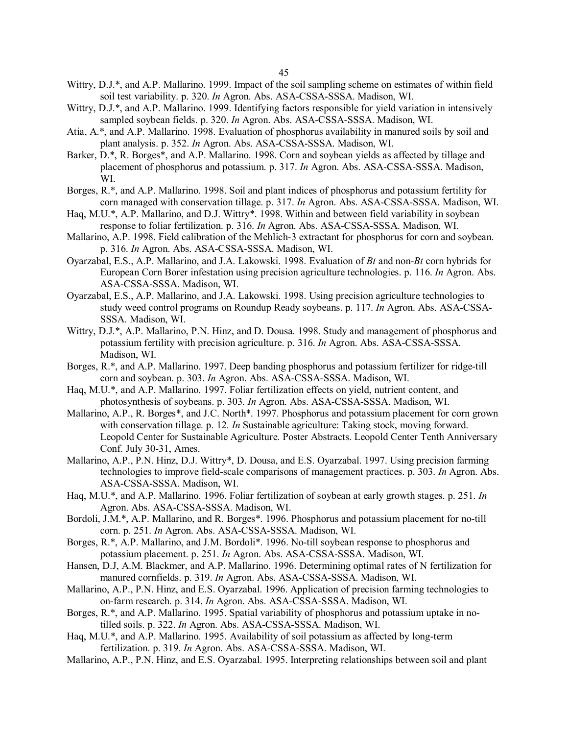- Wittry, D.J.\*, and A.P. Mallarino. 1999. Impact of the soil sampling scheme on estimates of within field soil test variability. p. 320. *In* Agron. Abs. ASA-CSSA-SSSA. Madison, WI.
- Wittry, D.J.<sup>\*</sup>, and A.P. Mallarino. 1999. Identifying factors responsible for yield variation in intensively sampled soybean fields. p. 320. *In* Agron. Abs. ASA-CSSA-SSSA. Madison, WI.
- Atia, A.\*, and A.P. Mallarino. 1998. Evaluation of phosphorus availability in manured soils by soil and plant analysis. p. 352. *In* Agron. Abs. ASA-CSSA-SSSA. Madison, WI.
- Barker, D.\*, R. Borges\*, and A.P. Mallarino. 1998. Corn and soybean yields as affected by tillage and placement of phosphorus and potassium. p. 317. *In* Agron. Abs. ASA-CSSA-SSSA. Madison, WI.
- Borges, R.\*, and A.P. Mallarino. 1998. Soil and plant indices of phosphorus and potassium fertility for corn managed with conservation tillage. p. 317. *In* Agron. Abs. ASA-CSSA-SSSA. Madison, WI.
- Haq, M.U.\*, A.P. Mallarino, and D.J. Wittry\*. 1998. Within and between field variability in soybean response to foliar fertilization. p. 316. *In* Agron. Abs. ASA-CSSA-SSSA. Madison, WI.
- Mallarino, A.P. 1998. Field calibration of the Mehlich-3 extractant for phosphorus for corn and soybean. p. 316. *In* Agron. Abs. ASA-CSSA-SSSA. Madison, WI.
- Oyarzabal, E.S., A.P. Mallarino, and J.A. Lakowski. 1998. Evaluation of *Bt* and non-*Bt* corn hybrids for European Corn Borer infestation using precision agriculture technologies. p. 116. *In* Agron. Abs. ASA-CSSA-SSSA. Madison, WI.
- Oyarzabal, E.S., A.P. Mallarino, and J.A. Lakowski. 1998. Using precision agriculture technologies to study weed control programs on Roundup Ready soybeans. p. 117. *In* Agron. Abs. ASA-CSSA-SSSA. Madison, WI.
- Wittry, D.J.\*, A.P. Mallarino, P.N. Hinz, and D. Dousa. 1998. Study and management of phosphorus and potassium fertility with precision agriculture. p. 316. *In* Agron. Abs. ASA-CSSA-SSSA. Madison, WI.
- Borges, R.\*, and A.P. Mallarino. 1997. Deep banding phosphorus and potassium fertilizer for ridge-till corn and soybean. p. 303. *In* Agron. Abs. ASA-CSSA-SSSA. Madison, WI.
- Haq, M.U.\*, and A.P. Mallarino. 1997. Foliar fertilization effects on yield, nutrient content, and photosynthesis of soybeans. p. 303. *In* Agron. Abs. ASA-CSSA-SSSA. Madison, WI.
- Mallarino, A.P., R. Borges\*, and J.C. North\*. 1997. Phosphorus and potassium placement for corn grown with conservation tillage. p. 12. *In* Sustainable agriculture: Taking stock, moving forward. Leopold Center for Sustainable Agriculture. Poster Abstracts. Leopold Center Tenth Anniversary Conf. July 30-31, Ames.
- Mallarino, A.P., P.N. Hinz, D.J. Wittry\*, D. Dousa, and E.S. Oyarzabal. 1997. Using precision farming technologies to improve field-scale comparisons of management practices. p. 303. *In* Agron. Abs. ASA-CSSA-SSSA. Madison, WI.
- Haq, M.U.\*, and A.P. Mallarino. 1996. Foliar fertilization of soybean at early growth stages. p. 251. *In* Agron. Abs. ASA-CSSA-SSSA. Madison, WI.
- Bordoli, J.M.\*, A.P. Mallarino, and R. Borges\*. 1996. Phosphorus and potassium placement for no-till corn. p. 251. *In* Agron. Abs. ASA-CSSA-SSSA. Madison, WI.
- Borges, R.\*, A.P. Mallarino, and J.M. Bordoli\*. 1996. No-till soybean response to phosphorus and potassium placement. p. 251. *In* Agron. Abs. ASA-CSSA-SSSA. Madison, WI.
- Hansen, D.J, A.M. Blackmer, and A.P. Mallarino. 1996. Determining optimal rates of N fertilization for manured cornfields. p. 319. *In* Agron. Abs. ASA-CSSA-SSSA. Madison, WI.
- Mallarino, A.P., P.N. Hinz, and E.S. Oyarzabal. 1996. Application of precision farming technologies to on-farm research. p. 314. *In* Agron. Abs. ASA-CSSA-SSSA. Madison, WI.
- Borges, R.\*, and A.P. Mallarino. 1995. Spatial variability of phosphorus and potassium uptake in notilled soils. p. 322. *In* Agron. Abs. ASA-CSSA-SSSA. Madison, WI.
- Haq, M.U.\*, and A.P. Mallarino. 1995. Availability of soil potassium as affected by long-term fertilization. p. 319. *In* Agron. Abs. ASA-CSSA-SSSA. Madison, WI.
- Mallarino, A.P., P.N. Hinz, and E.S. Oyarzabal. 1995. Interpreting relationships between soil and plant